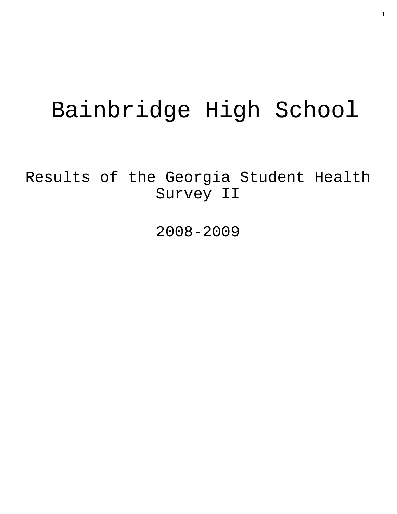# Bainbridge High School

Results of the Georgia Student Health Survey II

2008-2009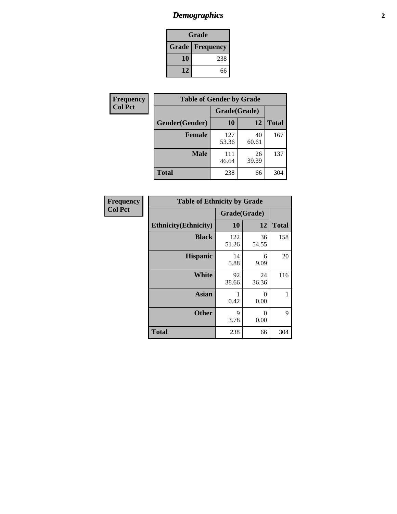## *Demographics* **2**

| Grade                    |     |  |  |
|--------------------------|-----|--|--|
| <b>Grade   Frequency</b> |     |  |  |
| 10                       | 238 |  |  |
| 12                       | 66  |  |  |

| Frequency      | <b>Table of Gender by Grade</b> |              |             |              |  |  |
|----------------|---------------------------------|--------------|-------------|--------------|--|--|
| <b>Col Pct</b> |                                 | Grade(Grade) |             |              |  |  |
|                | Gender(Gender)                  | 10           | 12          | <b>Total</b> |  |  |
|                | <b>Female</b>                   | 127<br>53.36 | 40<br>60.61 | 167          |  |  |
|                | <b>Male</b>                     | 111<br>46.64 | 26<br>39.39 | 137          |  |  |
|                | <b>Total</b>                    | 238          | 66          | 304          |  |  |

| <b>Frequency</b> |  |
|------------------|--|
| Col Pct          |  |

| <b>Table of Ethnicity by Grade</b> |              |             |              |  |  |  |
|------------------------------------|--------------|-------------|--------------|--|--|--|
|                                    | Grade(Grade) |             |              |  |  |  |
| <b>Ethnicity</b> (Ethnicity)       | 10           | 12          | <b>Total</b> |  |  |  |
| <b>Black</b>                       | 122<br>51.26 | 36<br>54.55 | 158          |  |  |  |
| <b>Hispanic</b>                    | 14<br>5.88   | 6<br>9.09   | 20           |  |  |  |
| <b>White</b>                       | 92<br>38.66  | 24<br>36.36 | 116          |  |  |  |
| <b>Asian</b>                       | 1<br>0.42    | 0<br>0.00   | 1            |  |  |  |
| <b>Other</b>                       | 9<br>3.78    | 0<br>0.00   | 9            |  |  |  |
| <b>Total</b>                       | 238          | 66          | 304          |  |  |  |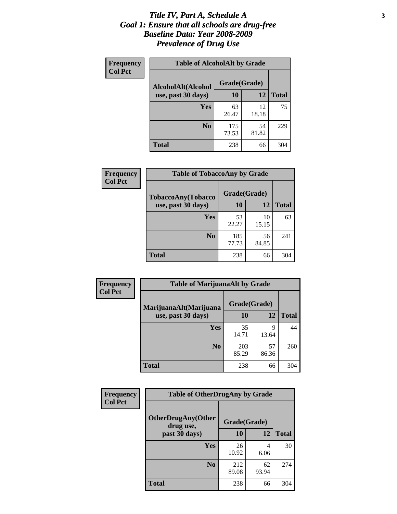#### *Title IV, Part A, Schedule A* **3** *Goal 1: Ensure that all schools are drug-free Baseline Data: Year 2008-2009 Prevalence of Drug Use*

| Frequency<br><b>Col Pct</b> | <b>Table of AlcoholAlt by Grade</b> |              |             |              |  |
|-----------------------------|-------------------------------------|--------------|-------------|--------------|--|
|                             | AlcoholAlt(Alcohol                  | Grade(Grade) |             |              |  |
|                             | use, past 30 days)                  | <b>10</b>    | 12          | <b>Total</b> |  |
|                             | Yes                                 | 63<br>26.47  | 12<br>18.18 | 75           |  |
|                             | N <sub>0</sub>                      | 175<br>73.53 | 54<br>81.82 | 229          |  |
|                             | Total                               | 238          | 66          | 304          |  |

| Frequency      | <b>Table of TobaccoAny by Grade</b> |              |             |              |  |  |
|----------------|-------------------------------------|--------------|-------------|--------------|--|--|
| <b>Col Pct</b> | <b>TobaccoAny(Tobacco</b>           | Grade(Grade) |             |              |  |  |
|                | use, past 30 days)                  | 10           | 12          | <b>Total</b> |  |  |
|                | Yes                                 | 53<br>22.27  | 10<br>15.15 | 63           |  |  |
|                | N <sub>0</sub>                      | 185<br>77.73 | 56<br>84.85 | 241          |  |  |
|                | <b>Total</b>                        | 238          | 66          | 304          |  |  |

| Frequency<br><b>Col Pct</b> | <b>Table of MarijuanaAlt by Grade</b> |              |             |              |  |
|-----------------------------|---------------------------------------|--------------|-------------|--------------|--|
|                             | MarijuanaAlt(Marijuana                | Grade(Grade) |             |              |  |
|                             | use, past 30 days)                    | 10           | 12          | <b>Total</b> |  |
|                             | <b>Yes</b>                            | 35<br>14.71  | 9<br>13.64  | 44           |  |
|                             | N <sub>0</sub>                        | 203<br>85.29 | 57<br>86.36 | 260          |  |
|                             | <b>Total</b>                          | 238          | 66          | 304          |  |

| <b>Frequency</b> | <b>Table of OtherDrugAny by Grade</b>  |              |             |              |  |
|------------------|----------------------------------------|--------------|-------------|--------------|--|
| <b>Col Pct</b>   | <b>OtherDrugAny(Other</b><br>drug use, | Grade(Grade) |             |              |  |
|                  | past 30 days)                          | 10           | <b>12</b>   | <b>Total</b> |  |
|                  | Yes                                    | 26<br>10.92  | 4<br>6.06   | 30           |  |
|                  | N <sub>0</sub>                         | 212<br>89.08 | 62<br>93.94 | 274          |  |
|                  | <b>Total</b>                           | 238          | 66          | 304          |  |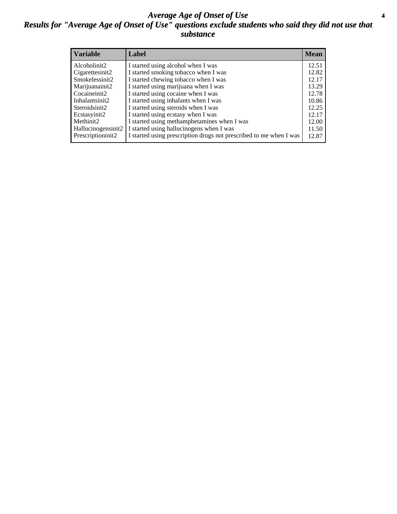#### *Average Age of Onset of Use* **4** *Results for "Average Age of Onset of Use" questions exclude students who said they did not use that substance*

| <b>Variable</b>    | Label                                                              | <b>Mean</b> |
|--------------------|--------------------------------------------------------------------|-------------|
| Alcoholinit2       | I started using alcohol when I was                                 | 12.51       |
| Cigarettesinit2    | I started smoking tobacco when I was                               | 12.82       |
| Smokelessinit2     | I started chewing tobacco when I was                               | 12.17       |
| Marijuanainit2     | I started using marijuana when I was                               | 13.29       |
| Cocaineinit2       | I started using cocaine when I was                                 | 12.78       |
| Inhalantsinit2     | I started using inhalants when I was                               | 10.86       |
| Steroidsinit2      | I started using steroids when I was                                | 12.25       |
| Ecstasyinit2       | I started using ecstasy when I was                                 | 12.17       |
| Methinit2          | I started using methamphetamines when I was                        | 12.00       |
| Hallucinogensinit2 | I started using hallucinogens when I was                           | 11.50       |
| Prescriptioninit2  | I started using prescription drugs not prescribed to me when I was | 12.87       |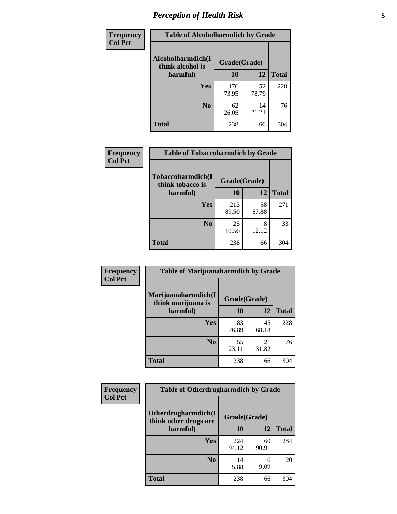## *Perception of Health Risk* **5**

| <b>Frequency</b> | <b>Table of Alcoholharmdich by Grade</b> |              |             |              |  |
|------------------|------------------------------------------|--------------|-------------|--------------|--|
| <b>Col Pct</b>   | Alcoholharmdich(I<br>think alcohol is    | Grade(Grade) |             |              |  |
|                  | harmful)                                 | 10           | 12          | <b>Total</b> |  |
|                  | <b>Yes</b>                               | 176<br>73.95 | 52<br>78.79 | 228          |  |
|                  | N <sub>0</sub>                           | 62<br>26.05  | 14<br>21.21 | 76           |  |
|                  | <b>Total</b>                             | 238          | 66          | 304          |  |

| Frequency<br><b>Col Pct</b> | <b>Table of Tobaccoharmdich by Grade</b> |              |             |              |  |
|-----------------------------|------------------------------------------|--------------|-------------|--------------|--|
|                             | Tobaccoharmdich(I<br>think tobacco is    | Grade(Grade) |             |              |  |
|                             | harmful)                                 | 10           | 12          | <b>Total</b> |  |
|                             | Yes                                      | 213<br>89.50 | 58<br>87.88 | 271          |  |
|                             | N <sub>0</sub>                           | 25<br>10.50  | 8<br>12.12  | 33           |  |
|                             | Total                                    | 238          | 66          | 304          |  |

| Frequency<br><b>Col Pct</b> | <b>Table of Marijuanaharmdich by Grade</b>                |              |             |              |  |  |
|-----------------------------|-----------------------------------------------------------|--------------|-------------|--------------|--|--|
|                             | Marijuanaharmdich(I<br>Grade(Grade)<br>think marijuana is |              |             |              |  |  |
|                             | harmful)                                                  | <b>10</b>    | 12          | <b>Total</b> |  |  |
|                             | Yes                                                       | 183<br>76.89 | 45<br>68.18 | 228          |  |  |
|                             | N <sub>0</sub>                                            | 55<br>23.11  | 21<br>31.82 | 76           |  |  |
|                             | <b>Total</b>                                              | 238          | 66          | 304          |  |  |

| <b>Frequency</b> | <b>Table of Otherdrugharmdich by Grade</b>           |              |             |              |  |  |  |  |
|------------------|------------------------------------------------------|--------------|-------------|--------------|--|--|--|--|
| <b>Col Pct</b>   | <b>Otherdrugharmdich</b> (I<br>think other drugs are | Grade(Grade) |             |              |  |  |  |  |
|                  | harmful)                                             | 10           | 12          | <b>Total</b> |  |  |  |  |
|                  | <b>Yes</b>                                           | 224<br>94.12 | 60<br>90.91 | 284          |  |  |  |  |
|                  | N <sub>0</sub>                                       | 14<br>5.88   | 6<br>9.09   | 20           |  |  |  |  |
|                  | <b>Total</b>                                         | 238          | 66          | 304          |  |  |  |  |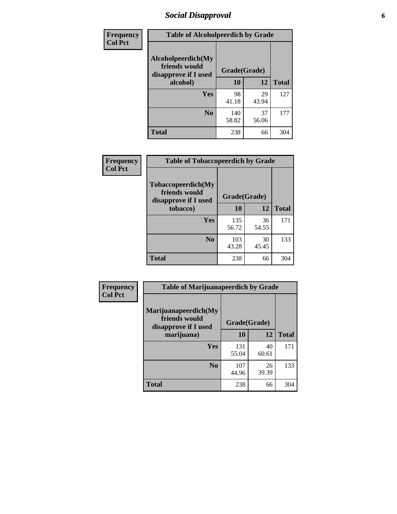### *Social Disapproval* **6**

| <b>Frequency</b> | <b>Table of Alcoholpeerdich by Grade</b>                    |              |              |     |
|------------------|-------------------------------------------------------------|--------------|--------------|-----|
| <b>Col Pct</b>   | Alcoholpeerdich(My<br>friends would<br>disapprove if I used | Grade(Grade) |              |     |
|                  | alcohol)                                                    | 10           | <b>Total</b> |     |
|                  | <b>Yes</b>                                                  | 98<br>41.18  | 29<br>43.94  | 127 |
|                  | N <sub>0</sub>                                              | 140<br>58.82 | 37<br>56.06  | 177 |
|                  | <b>Total</b>                                                | 238          | 66           | 304 |

| <b>Frequency</b> |
|------------------|
| <b>Col Pct</b>   |

| <b>Table of Tobaccopeerdich by Grade</b>                            |              |             |              |  |  |  |  |
|---------------------------------------------------------------------|--------------|-------------|--------------|--|--|--|--|
| <b>Tobaccopeerdich</b> (My<br>friends would<br>disapprove if I used | Grade(Grade) |             |              |  |  |  |  |
| tobacco)                                                            | 10           | 12          | <b>Total</b> |  |  |  |  |
| Yes                                                                 | 135<br>56.72 | 36<br>54.55 | 171          |  |  |  |  |
| N <sub>0</sub>                                                      | 103<br>43.28 | 30<br>45.45 | 133          |  |  |  |  |
| <b>Total</b>                                                        | 238          | 66          | 304          |  |  |  |  |

| Frequency      | <b>Table of Marijuanapeerdich by Grade</b>                    |              |             |              |  |  |  |  |
|----------------|---------------------------------------------------------------|--------------|-------------|--------------|--|--|--|--|
| <b>Col Pct</b> | Marijuanapeerdich(My<br>friends would<br>disapprove if I used | Grade(Grade) |             |              |  |  |  |  |
|                | marijuana)                                                    | 10           | 12          | <b>Total</b> |  |  |  |  |
|                | <b>Yes</b>                                                    | 131<br>55.04 | 40<br>60.61 | 171          |  |  |  |  |
|                | N <sub>0</sub>                                                | 107<br>44.96 | 26<br>39.39 | 133          |  |  |  |  |
|                | <b>Total</b>                                                  | 238          | 66          | 304          |  |  |  |  |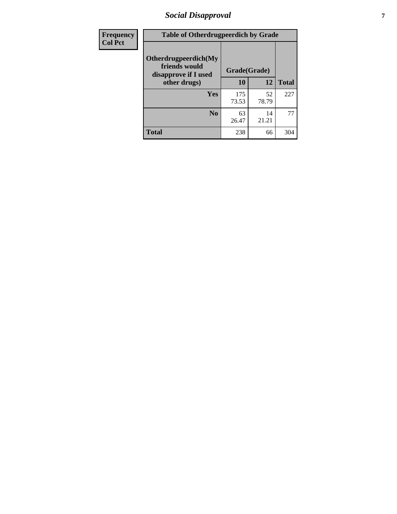### *Social Disapproval* **7**

| Frequency      | <b>Table of Otherdrugpeerdich by Grade</b>                    |              |             |              |  |  |  |  |
|----------------|---------------------------------------------------------------|--------------|-------------|--------------|--|--|--|--|
| <b>Col Pct</b> | Otherdrugpeerdich(My<br>friends would<br>disapprove if I used | Grade(Grade) |             |              |  |  |  |  |
|                | other drugs)                                                  | 10           | 12          | <b>Total</b> |  |  |  |  |
|                | <b>Yes</b>                                                    | 175<br>73.53 | 52<br>78.79 | 227          |  |  |  |  |
|                | N <sub>0</sub>                                                | 63<br>26.47  | 14<br>21.21 | 77           |  |  |  |  |
|                | <b>Total</b>                                                  | 238          | 66          | 304          |  |  |  |  |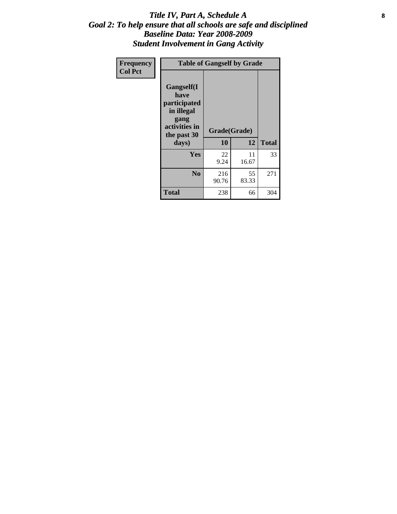#### Title IV, Part A, Schedule A **8** *Goal 2: To help ensure that all schools are safe and disciplined Baseline Data: Year 2008-2009 Student Involvement in Gang Activity*

| Frequency      | <b>Table of Gangself by Grade</b>                                                                 |                    |             |              |
|----------------|---------------------------------------------------------------------------------------------------|--------------------|-------------|--------------|
| <b>Col Pct</b> | Gangself(I<br>have<br>participated<br>in illegal<br>gang<br>activities in<br>the past 30<br>days) | Grade(Grade)<br>10 | 12          | <b>Total</b> |
|                | Yes                                                                                               | 22<br>9.24         | 11<br>16.67 | 33           |
|                | N <sub>0</sub>                                                                                    | 216<br>90.76       | 55<br>83.33 | 271          |
|                | <b>Total</b>                                                                                      | 238                | 66          | 304          |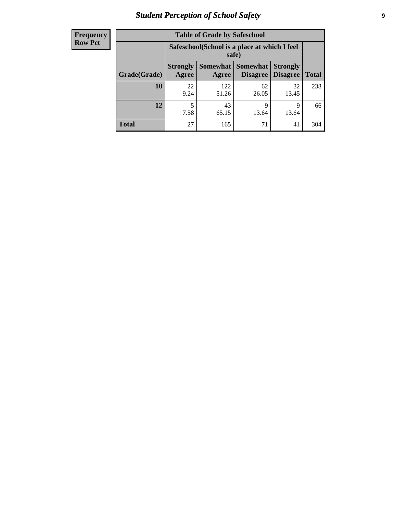## *Student Perception of School Safety* **9**

| <b>Frequency</b><br>Row Pct |
|-----------------------------|
|                             |

| <b>Table of Grade by Safeschool</b> |                          |                                                        |                             |                                    |              |  |  |
|-------------------------------------|--------------------------|--------------------------------------------------------|-----------------------------|------------------------------------|--------------|--|--|
|                                     |                          | Safeschool (School is a place at which I feel<br>safe) |                             |                                    |              |  |  |
| Grade(Grade)                        | <b>Strongly</b><br>Agree | Somewhat<br>Agree                                      | <b>Somewhat</b><br>Disagree | <b>Strongly</b><br><b>Disagree</b> | <b>Total</b> |  |  |
| 10                                  | 22<br>9.24               | 122<br>51.26                                           | 62<br>26.05                 | 32<br>13.45                        | 238          |  |  |
| 12                                  | 5<br>7.58                | 43<br>65.15                                            | 9<br>13.64                  | 9<br>13.64                         | 66           |  |  |
| <b>Total</b>                        | 27                       | 165                                                    | 71                          | 41                                 | 304          |  |  |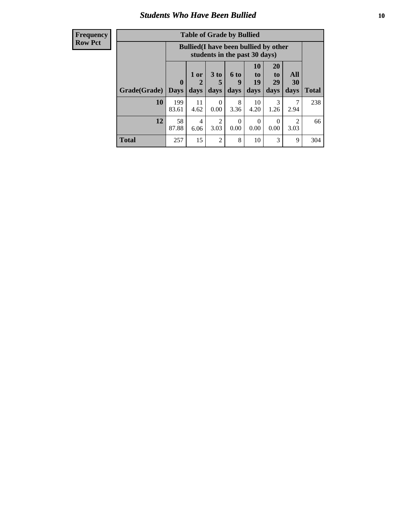#### *Students Who Have Been Bullied* **10**

| <b>Frequency</b> |
|------------------|
| Row Pct          |

| <b>Table of Grade by Bullied</b> |                            |                                                                               |                              |                   |                        |                        |                                 |              |
|----------------------------------|----------------------------|-------------------------------------------------------------------------------|------------------------------|-------------------|------------------------|------------------------|---------------------------------|--------------|
|                                  |                            | <b>Bullied</b> (I have been bullied by other<br>students in the past 30 days) |                              |                   |                        |                        |                                 |              |
| Grade(Grade)                     | $\mathbf 0$<br><b>Days</b> | 1 or<br>2<br>days                                                             | 3 <sub>to</sub><br>5<br>days | 6 to<br>9<br>days | 10<br>to<br>19<br>days | 20<br>to<br>29<br>days | <b>All</b><br><b>30</b><br>days | <b>Total</b> |
| 10                               | 199<br>83.61               | 11<br>4.62                                                                    | $\Omega$<br>0.00             | 8<br>3.36         | 10<br>4.20             | 3<br>1.26              | 2.94                            | 238          |
| 12                               | 58<br>87.88                | 4<br>6.06                                                                     | 2<br>3.03                    | 0<br>0.00         | $\theta$<br>0.00       | 0<br>0.00              | $\mathcal{D}$<br>3.03           | 66           |
| Total                            | 257                        | 15                                                                            | 2                            | 8                 | 10                     | 3                      | 9                               | 304          |

 $\blacksquare$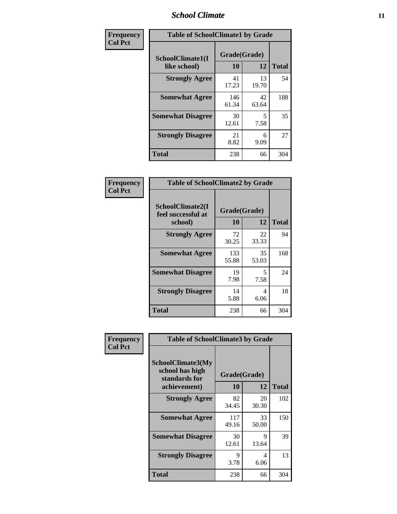### *School Climate* **11**

| <b>Frequency</b> | <b>Table of SchoolClimate1 by Grade</b> |                    |             |              |  |  |  |
|------------------|-----------------------------------------|--------------------|-------------|--------------|--|--|--|
| <b>Col Pct</b>   | SchoolClimate1(I<br>like school)        | Grade(Grade)<br>10 | 12          | <b>Total</b> |  |  |  |
|                  | <b>Strongly Agree</b>                   | 41<br>17.23        | 13<br>19.70 | 54           |  |  |  |
|                  | <b>Somewhat Agree</b>                   | 146<br>61.34       | 42<br>63.64 | 188          |  |  |  |
|                  | <b>Somewhat Disagree</b>                | 30<br>12.61        | 5<br>7.58   | 35           |  |  |  |
|                  | <b>Strongly Disagree</b>                | 21<br>8.82         | 6<br>9.09   | 27           |  |  |  |
|                  | <b>Total</b>                            | 238                | 66          | 304          |  |  |  |

| <b>Table of SchoolClimate2 by Grade</b>           |                    |             |              |  |
|---------------------------------------------------|--------------------|-------------|--------------|--|
| SchoolClimate2(I<br>feel successful at<br>school) | Grade(Grade)<br>10 | 12          | <b>Total</b> |  |
| <b>Strongly Agree</b>                             | 72<br>30.25        | 22<br>33.33 | 94           |  |
| <b>Somewhat Agree</b>                             | 133<br>55.88       | 35<br>53.03 | 168          |  |
| <b>Somewhat Disagree</b>                          | 19<br>7.98         | 5<br>7.58   | 24           |  |
| <b>Strongly Disagree</b>                          | 14<br>5.88         | 4<br>6.06   | 18           |  |
| Total                                             | 238                | 66          | 304          |  |

| Frequency      | <b>Table of SchoolClimate3 by Grade</b>                                      |                    |             |              |  |
|----------------|------------------------------------------------------------------------------|--------------------|-------------|--------------|--|
| <b>Col Pct</b> | <b>SchoolClimate3(My</b><br>school has high<br>standards for<br>achievement) | Grade(Grade)<br>10 | 12          | <b>Total</b> |  |
|                | <b>Strongly Agree</b>                                                        | 82<br>34.45        | 20<br>30.30 | 102          |  |
|                | <b>Somewhat Agree</b>                                                        | 117<br>49.16       | 33<br>50.00 | 150          |  |
|                | <b>Somewhat Disagree</b>                                                     | 30<br>12.61        | 9<br>13.64  | 39           |  |
|                | <b>Strongly Disagree</b>                                                     | 9<br>3.78          | 4<br>6.06   | 13           |  |
|                | Total                                                                        | 238                | 66          | 304          |  |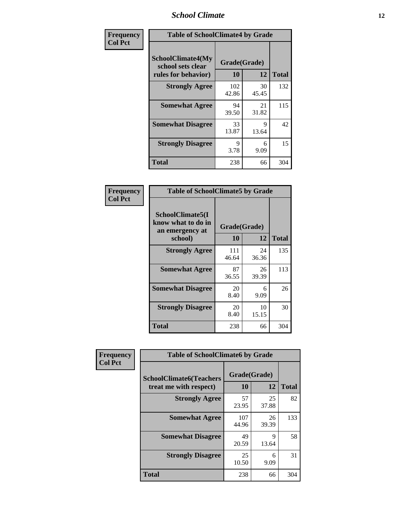### *School Climate* **12**

| Frequency      | <b>Table of SchoolClimate4 by Grade</b>                       |                    |             |              |
|----------------|---------------------------------------------------------------|--------------------|-------------|--------------|
| <b>Col Pct</b> | SchoolClimate4(My<br>school sets clear<br>rules for behavior) | Grade(Grade)<br>10 | 12          | <b>Total</b> |
|                | <b>Strongly Agree</b>                                         | 102<br>42.86       | 30<br>45.45 | 132          |
|                | <b>Somewhat Agree</b>                                         | 94<br>39.50        | 21<br>31.82 | 115          |
|                | <b>Somewhat Disagree</b>                                      | 33<br>13.87        | 9<br>13.64  | 42           |
|                | <b>Strongly Disagree</b>                                      | 9<br>3.78          | 6<br>9.09   | 15           |
|                | <b>Total</b>                                                  | 238                | 66          | 304          |

| <b>Table of SchoolClimate5 by Grade</b>                              |                    |              |     |  |
|----------------------------------------------------------------------|--------------------|--------------|-----|--|
| SchoolClimate5(I<br>know what to do in<br>an emergency at<br>school) | Grade(Grade)<br>10 | <b>Total</b> |     |  |
| <b>Strongly Agree</b>                                                | 111                | 12<br>24     | 135 |  |
|                                                                      | 46.64              | 36.36        |     |  |
| <b>Somewhat Agree</b>                                                | 87<br>36.55        | 26<br>39.39  | 113 |  |
| <b>Somewhat Disagree</b>                                             | 20<br>8.40         | 6<br>9.09    | 26  |  |
| <b>Strongly Disagree</b>                                             | 20<br>8.40         | 10<br>15.15  | 30  |  |
| Total                                                                | 238                | 66           | 304 |  |

| Frequency      | <b>Table of SchoolClimate6 by Grade</b>                  |                    |             |              |
|----------------|----------------------------------------------------------|--------------------|-------------|--------------|
| <b>Col Pct</b> | <b>SchoolClimate6(Teachers</b><br>treat me with respect) | Grade(Grade)<br>10 | 12          | <b>Total</b> |
|                | <b>Strongly Agree</b>                                    | 57<br>23.95        | 25<br>37.88 | 82           |
|                | <b>Somewhat Agree</b>                                    | 107<br>44.96       | 26<br>39.39 | 133          |
|                | <b>Somewhat Disagree</b>                                 | 49<br>20.59        | 9<br>13.64  | 58           |
|                | <b>Strongly Disagree</b>                                 | 25<br>10.50        | 6<br>9.09   | 31           |
|                | <b>Total</b>                                             | 238                | 66          | 304          |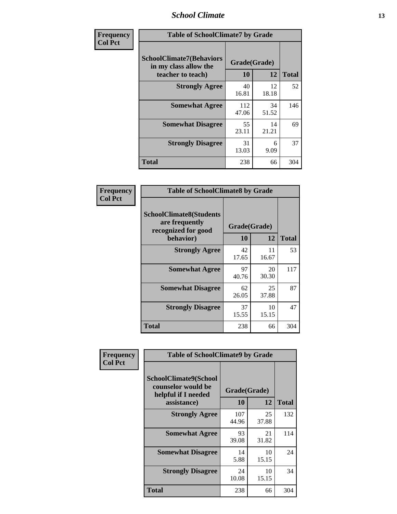### *School Climate* **13**

| Frequency      | <b>Table of SchoolClimate7 by Grade</b>                                       |                           |             |              |
|----------------|-------------------------------------------------------------------------------|---------------------------|-------------|--------------|
| <b>Col Pct</b> | <b>SchoolClimate7(Behaviors</b><br>in my class allow the<br>teacher to teach) | Grade(Grade)<br><b>10</b> | 12          | <b>Total</b> |
|                | <b>Strongly Agree</b>                                                         | 40<br>16.81               | 12<br>18.18 | 52           |
|                | <b>Somewhat Agree</b>                                                         | 112<br>47.06              | 34<br>51.52 | 146          |
|                | <b>Somewhat Disagree</b>                                                      | 55<br>23.11               | 14<br>21.21 | 69           |
|                | <b>Strongly Disagree</b>                                                      | 31<br>13.03               | 6<br>9.09   | 37           |
|                | <b>Total</b>                                                                  | 238                       | 66          | 304          |

| Frequency      | <b>Table of SchoolClimate8 by Grade</b>                                 |              |             |              |
|----------------|-------------------------------------------------------------------------|--------------|-------------|--------------|
| <b>Col Pct</b> | <b>SchoolClimate8(Students</b><br>are frequently<br>recognized for good | Grade(Grade) |             |              |
|                | behavior)                                                               | 10           | 12          | <b>Total</b> |
|                | <b>Strongly Agree</b>                                                   | 42<br>17.65  | 11<br>16.67 | 53           |
|                | <b>Somewhat Agree</b>                                                   | 97<br>40.76  | 20<br>30.30 | 117          |
|                | <b>Somewhat Disagree</b>                                                | 62<br>26.05  | 25<br>37.88 | 87           |
|                | <b>Strongly Disagree</b>                                                | 37<br>15.55  | 10<br>15.15 | 47           |
|                | <b>Total</b>                                                            | 238          | 66          | 304          |

| Frequency      | <b>Table of SchoolClimate9 by Grade</b>                                                  |                    |             |              |
|----------------|------------------------------------------------------------------------------------------|--------------------|-------------|--------------|
| <b>Col Pct</b> | <b>SchoolClimate9(School</b><br>counselor would be<br>helpful if I needed<br>assistance) | Grade(Grade)<br>10 | 12          | <b>Total</b> |
|                | <b>Strongly Agree</b>                                                                    | 107<br>44.96       | 25<br>37.88 | 132          |
|                | <b>Somewhat Agree</b>                                                                    | 93<br>39.08        | 21<br>31.82 | 114          |
|                | <b>Somewhat Disagree</b>                                                                 | 14<br>5.88         | 10<br>15.15 | 24           |
|                | <b>Strongly Disagree</b>                                                                 | 24<br>10.08        | 10<br>15.15 | 34           |
|                | <b>Total</b>                                                                             | 238                | 66          | 304          |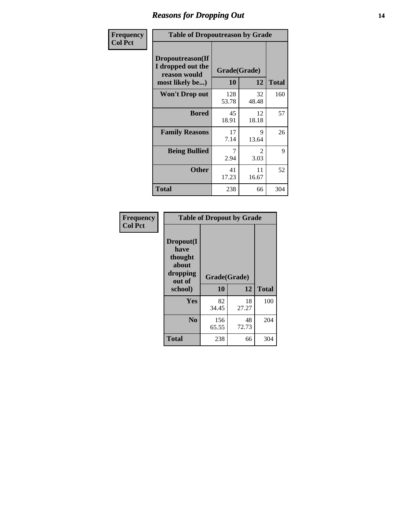### *Reasons for Dropping Out* **14**

| Frequency      | <b>Table of Dropoutreason by Grade</b>                                   |                    |                        |              |
|----------------|--------------------------------------------------------------------------|--------------------|------------------------|--------------|
| <b>Col Pct</b> | Dropoutreason(If<br>I dropped out the<br>reason would<br>most likely be) | Grade(Grade)<br>10 | 12                     | <b>Total</b> |
|                | <b>Won't Drop out</b>                                                    | 128<br>53.78       | 32<br>48.48            | 160          |
|                | <b>Bored</b>                                                             | 45<br>18.91        | 12<br>18.18            | 57           |
|                | <b>Family Reasons</b>                                                    | 17<br>7.14         | 9<br>13.64             | 26           |
|                | <b>Being Bullied</b>                                                     | 7<br>2.94          | $\mathfrak{D}$<br>3.03 | 9            |
|                | <b>Other</b>                                                             | 41<br>17.23        | 11<br>16.67            | 52           |
|                | Total                                                                    | 238                | 66                     | 304          |

| Frequency<br><b>Col Pct</b> | <b>Table of Dropout by Grade</b>                                       |                    |             |              |  |
|-----------------------------|------------------------------------------------------------------------|--------------------|-------------|--------------|--|
|                             | Dropout(I<br>have<br>thought<br>about<br>dropping<br>out of<br>school) | Grade(Grade)<br>10 | 12          | <b>Total</b> |  |
|                             |                                                                        |                    |             |              |  |
|                             | Yes                                                                    | 82<br>34.45        | 18<br>27.27 | 100          |  |
|                             | N <sub>0</sub>                                                         | 156<br>65.55       | 48<br>72.73 | 204          |  |
|                             | <b>Total</b>                                                           | 238                | 66          | 304          |  |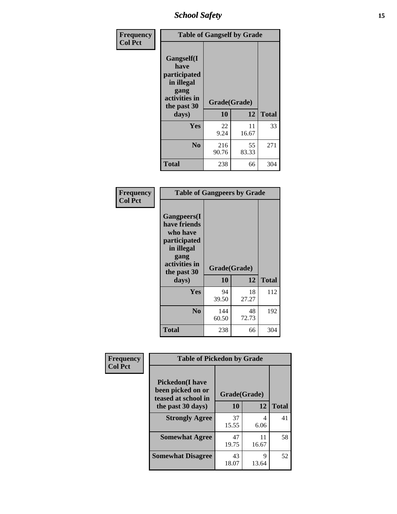*School Safety* **15**

| Frequency      | <b>Table of Gangself by Grade</b>                                                                 |                    |             |              |
|----------------|---------------------------------------------------------------------------------------------------|--------------------|-------------|--------------|
| <b>Col Pct</b> | Gangself(I<br>have<br>participated<br>in illegal<br>gang<br>activities in<br>the past 30<br>days) | Grade(Grade)<br>10 | 12          | <b>Total</b> |
|                | Yes                                                                                               | 22<br>9.24         | 11<br>16.67 | 33           |
|                | N <sub>o</sub>                                                                                    | 216<br>90.76       | 55<br>83.33 | 271          |
|                | Total                                                                                             | 238                | 66          | 304          |

| Frequency<br><b>Col Pct</b> | <b>Table of Gangpeers by Grade</b>                                                                                     |                    |             |              |
|-----------------------------|------------------------------------------------------------------------------------------------------------------------|--------------------|-------------|--------------|
|                             | Gangpeers(I<br>have friends<br>who have<br>participated<br>in illegal<br>gang<br>activities in<br>the past 30<br>days) | Grade(Grade)<br>10 | 12          | <b>Total</b> |
|                             | <b>Yes</b>                                                                                                             | 94<br>39.50        | 18<br>27.27 | 112          |
|                             | N <sub>0</sub>                                                                                                         | 144<br>60.50       | 48<br>72.73 | 192          |
|                             | <b>Total</b>                                                                                                           | 238                | 66          | 304          |

| Frequency      | <b>Table of Pickedon by Grade</b>                                  |              |             |              |
|----------------|--------------------------------------------------------------------|--------------|-------------|--------------|
| <b>Col Pct</b> | <b>Pickedon(I have</b><br>been picked on or<br>teased at school in | Grade(Grade) |             |              |
|                | the past 30 days)                                                  | 10           | 12          | <b>Total</b> |
|                | <b>Strongly Agree</b>                                              | 37<br>15.55  | 4<br>6.06   | 41           |
|                | <b>Somewhat Agree</b>                                              | 47<br>19.75  | 11<br>16.67 | 58           |
|                | <b>Somewhat Disagree</b>                                           | 43<br>18.07  | 9<br>13.64  | 52           |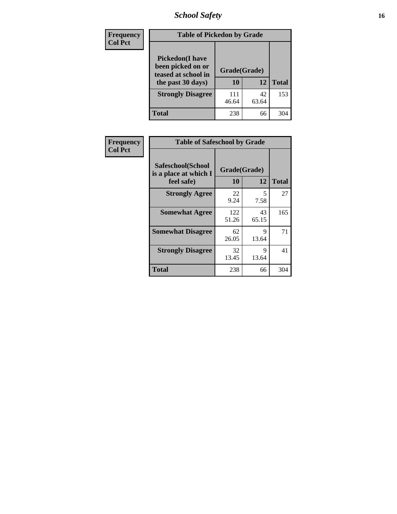## *School Safety* **16**

| <b>Frequency</b> | <b>Table of Pickedon by Grade</b>                                                       |                    |             |              |
|------------------|-----------------------------------------------------------------------------------------|--------------------|-------------|--------------|
| <b>Col Pct</b>   | <b>Pickedon(I have</b><br>been picked on or<br>teased at school in<br>the past 30 days) | Grade(Grade)<br>10 | 12          | <b>Total</b> |
|                  | <b>Strongly Disagree</b>                                                                | 111<br>46.64       | 42<br>63.64 | 153          |
|                  | Total                                                                                   | 238                | 66          | 304          |

| Frequency      |                                                          | <b>Table of Safeschool by Grade</b> |             |              |  |  |  |  |  |
|----------------|----------------------------------------------------------|-------------------------------------|-------------|--------------|--|--|--|--|--|
| <b>Col Pct</b> | Safeschool(School<br>is a place at which I<br>feel safe) | Grade(Grade)<br>10                  | 12          | <b>Total</b> |  |  |  |  |  |
|                | <b>Strongly Agree</b>                                    | 22<br>9.24                          | 5<br>7.58   | 27           |  |  |  |  |  |
|                | <b>Somewhat Agree</b>                                    | 122<br>51.26                        | 43<br>65.15 | 165          |  |  |  |  |  |
|                | <b>Somewhat Disagree</b>                                 | 62<br>26.05                         | 9<br>13.64  | 71           |  |  |  |  |  |
|                | <b>Strongly Disagree</b>                                 | 32<br>13.45                         | 9<br>13.64  | 41           |  |  |  |  |  |
|                | Total                                                    | 238                                 | 66          | 304          |  |  |  |  |  |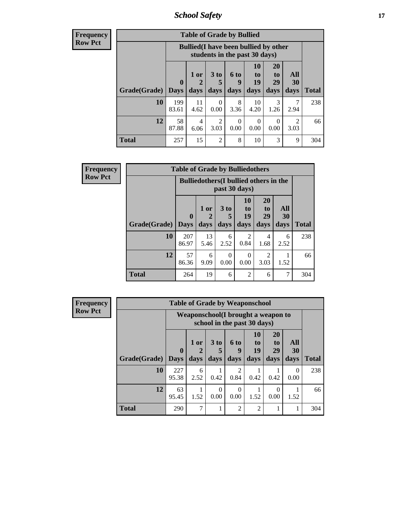*School Safety* **17**

| Frequeno       |
|----------------|
| <b>Row Pct</b> |

| $c_{\mathbf{V}}$ | <b>Table of Grade by Bullied</b> |                  |                                                                               |                        |                  |                  |                       |                        |              |  |  |  |
|------------------|----------------------------------|------------------|-------------------------------------------------------------------------------|------------------------|------------------|------------------|-----------------------|------------------------|--------------|--|--|--|
|                  |                                  |                  | <b>Bullied</b> (I have been bullied by other<br>students in the past 30 days) |                        |                  |                  |                       |                        |              |  |  |  |
|                  |                                  | $\boldsymbol{0}$ | 1 or                                                                          | 3 to<br>5              | 6 to<br>9        | 10<br>to<br>19   | <b>20</b><br>to<br>29 | All<br>30              |              |  |  |  |
|                  | <b>Grade</b> (Grade)   Days      |                  | days                                                                          | days                   | days             | days             | days                  | days                   | <b>Total</b> |  |  |  |
|                  | 10                               | 199<br>83.61     | 11<br>4.62                                                                    | 0<br>0.00              | 8<br>3.36        | 10<br>4.20       | 3<br>1.26             | 2.94                   | 238          |  |  |  |
|                  | 12                               | 58<br>87.88      | 4<br>6.06                                                                     | $\mathfrak{D}$<br>3.03 | $\Omega$<br>0.00 | $\Omega$<br>0.00 | ∩<br>0.00             | $\mathfrak{D}$<br>3.03 | 66           |  |  |  |
|                  | Total                            | 257              | 15                                                                            | $\overline{2}$         | 8                | 10               | 3                     | 9                      | 304          |  |  |  |

| Frequency      |                     | <b>Table of Grade by Bulliedothers</b> |                                                                |              |                        |                               |                   |              |  |
|----------------|---------------------|----------------------------------------|----------------------------------------------------------------|--------------|------------------------|-------------------------------|-------------------|--------------|--|
| <b>Row Pct</b> |                     |                                        | <b>Bulliedothers</b> (I bullied others in the<br>past 30 days) |              |                        |                               |                   |              |  |
|                | Grade(Grade)   Days | $\bf{0}$                               | 1 or<br>days                                                   | 3 to<br>days | 10<br>to<br>19<br>days | <b>20</b><br>to<br>29<br>days | All<br>30<br>days | <b>Total</b> |  |
|                | 10                  | 207<br>86.97                           | 13<br>5.46                                                     | 6<br>2.52    | $\mathfrak{D}$<br>0.84 | 4<br>1.68                     | 6<br>2.52         | 238          |  |
|                | 12                  | 57<br>86.36                            | 6<br>9.09                                                      | 0<br>0.00    | 0<br>0.00              | 2<br>3.03                     | 1.52              | 66           |  |
|                | <b>Total</b>        | 264                                    | 19                                                             | 6            | $\overline{2}$         | 6                             | 7                 | 304          |  |

| <b>Frequency</b> | <b>Table of Grade by Weaponschool</b> |              |                                                                   |                      |                        |                |                       |                  |              |  |  |  |
|------------------|---------------------------------------|--------------|-------------------------------------------------------------------|----------------------|------------------------|----------------|-----------------------|------------------|--------------|--|--|--|
| <b>Row Pct</b>   |                                       |              | Weaponschool(I brought a weapon to<br>school in the past 30 days) |                      |                        |                |                       |                  |              |  |  |  |
|                  |                                       | $\bf{0}$     | 1 or<br>2                                                         | 3 <sub>to</sub><br>5 | <b>6 to</b><br>9       | 10<br>to<br>19 | <b>20</b><br>to<br>29 | All<br>30        |              |  |  |  |
|                  | Grade(Grade)                          | <b>Days</b>  | days                                                              | days                 | days                   | days           | days                  | days             | <b>Total</b> |  |  |  |
|                  | 10                                    | 227<br>95.38 | 6<br>2.52                                                         | 0.42                 | $\mathfrak{D}$<br>0.84 | 0.42           | 0.42                  | $\Omega$<br>0.00 | 238          |  |  |  |
|                  | 12                                    | 63<br>95.45  | 1<br>1.52                                                         | $\Omega$<br>0.00     | $\Omega$<br>0.00       | 1.52           | $\left($<br>0.00      | 1.52             | 66           |  |  |  |
|                  | <b>Total</b>                          | 290          | 7                                                                 |                      | $\overline{2}$         | $\overline{2}$ |                       |                  | 304          |  |  |  |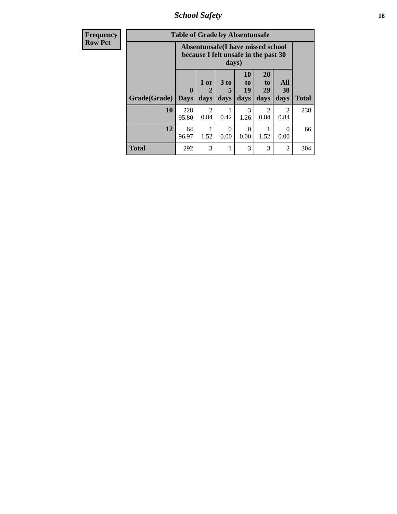*School Safety* **18**

| <b>Frequency</b> | <b>Table of Grade by Absentunsafe</b> |                            |                             |                              |                                                                           |                                           |                        |              |  |  |
|------------------|---------------------------------------|----------------------------|-----------------------------|------------------------------|---------------------------------------------------------------------------|-------------------------------------------|------------------------|--------------|--|--|
| <b>Row Pct</b>   |                                       |                            |                             | days)                        | Absentunsafe(I have missed school<br>because I felt unsafe in the past 30 |                                           |                        |              |  |  |
|                  | Grade(Grade)                          | $\mathbf 0$<br><b>Days</b> | 1 or<br>$\mathbf 2$<br>days | 3 <sub>to</sub><br>5<br>days | <b>10</b><br>to<br>19<br>days                                             | <b>20</b><br>t <sub>0</sub><br>29<br>days | All<br>30<br>days      | <b>Total</b> |  |  |
|                  | 10                                    | 228<br>95.80               | $\mathcal{D}$<br>0.84       | 0.42                         | 3<br>1.26                                                                 | 0.84                                      | $\mathfrak{D}$<br>0.84 | 238          |  |  |
|                  | 12                                    | 64<br>96.97                | 1.52                        | 0<br>0.00                    | 0<br>0.00                                                                 | 1.52                                      | $\Omega$<br>0.00       | 66           |  |  |
|                  | <b>Total</b>                          | 292                        | 3                           |                              | 3                                                                         | 3                                         | 2                      | 304          |  |  |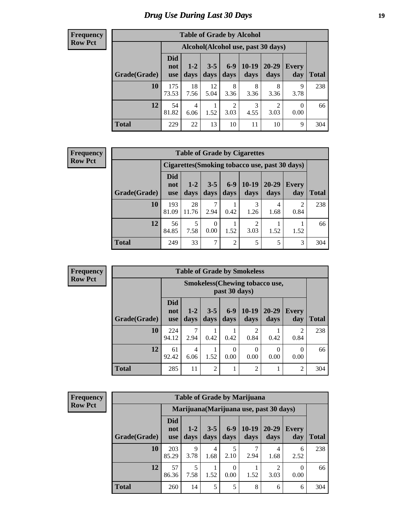### *Drug Use During Last 30 Days* **19**

#### **Frequency Row Pct**

| <b>Table of Grade by Alcohol</b> |                                 |                                    |                 |                        |                 |                        |                  |       |  |  |  |  |  |
|----------------------------------|---------------------------------|------------------------------------|-----------------|------------------------|-----------------|------------------------|------------------|-------|--|--|--|--|--|
|                                  |                                 | Alcohol(Alcohol use, past 30 days) |                 |                        |                 |                        |                  |       |  |  |  |  |  |
| Grade(Grade)                     | <b>Did</b><br>not<br><b>use</b> | $1 - 2$<br>days                    | $3 - 5$<br>days | $6-9$<br>days          | $10-19$<br>days | 20-29<br>days          | Every<br>day     | Total |  |  |  |  |  |
| 10                               | 175<br>73.53                    | 18<br>7.56                         | 12<br>5.04      | 8<br>3.36              | 8<br>3.36       | 8<br>3.36              | 9<br>3.78        | 238   |  |  |  |  |  |
| 12                               | 54<br>81.82                     | $\overline{4}$<br>6.06             | 1.52            | $\overline{2}$<br>3.03 | 3<br>4.55       | $\overline{c}$<br>3.03 | $\theta$<br>0.00 | 66    |  |  |  |  |  |
| <b>Total</b>                     | 229                             | 22                                 | 13              | 10                     | 11              | 10                     | 9                | 304   |  |  |  |  |  |

#### **Frequency Row Pct**

| <b>Table of Grade by Cigarettes</b> |                                 |                                                |                 |                |                 |                   |                     |       |  |  |  |  |
|-------------------------------------|---------------------------------|------------------------------------------------|-----------------|----------------|-----------------|-------------------|---------------------|-------|--|--|--|--|
|                                     |                                 | Cigarettes (Smoking tobacco use, past 30 days) |                 |                |                 |                   |                     |       |  |  |  |  |
| Grade(Grade)                        | <b>Did</b><br>not<br><b>use</b> | $1-2$<br>days                                  | $3 - 5$<br>days | $6-9$<br>days  | $10-19$<br>days | $20 - 29$<br>days | <b>Every</b><br>day | Total |  |  |  |  |
| 10                                  | 193<br>81.09                    | 28<br>11.76                                    | 2.94            | 0.42           | 3<br>1.26       | 4<br>1.68         | 0.84                | 238   |  |  |  |  |
| 12                                  | 56<br>84.85                     | 5<br>7.58                                      | 0<br>0.00       | 1.52           | 2<br>3.03       | 1.52              | 1.52                | 66    |  |  |  |  |
| <b>Total</b>                        | 249                             | 33                                             | 7               | $\overline{2}$ | 5               | 5                 | 3                   | 304   |  |  |  |  |

**Frequency Row Pct**

| <b>Table of Grade by Smokeless</b> |                                 |                                                        |                 |                  |                        |                   |                        |       |  |  |  |  |
|------------------------------------|---------------------------------|--------------------------------------------------------|-----------------|------------------|------------------------|-------------------|------------------------|-------|--|--|--|--|
|                                    |                                 | <b>Smokeless</b> (Chewing tobaccouse,<br>past 30 days) |                 |                  |                        |                   |                        |       |  |  |  |  |
| Grade(Grade)                       | <b>Did</b><br>not<br><b>use</b> | $1 - 2$<br>days                                        | $3 - 5$<br>days | $6 - 9$<br>days  | $10-19$<br>days        | $20 - 29$<br>days | <b>Every</b><br>day    | Total |  |  |  |  |
| 10                                 | 224<br>94.12                    | 7<br>2.94                                              | 0.42            | 0.42             | $\mathfrak{D}$<br>0.84 | 0.42              | $\mathfrak{D}$<br>0.84 | 238   |  |  |  |  |
| 12                                 | 61<br>92.42                     | 4<br>6.06                                              | 1.52            | $\Omega$<br>0.00 | $\Omega$<br>0.00       | 0<br>0.00         | 0<br>0.00              | 66    |  |  |  |  |
| <b>Total</b>                       | 285                             | 11                                                     | $\overline{2}$  |                  | $\overline{2}$         |                   | 2                      | 304   |  |  |  |  |

**Frequency Row Pct**

| <b>Table of Grade by Marijuana</b> |                                 |                                         |                 |                  |                 |               |                  |              |  |  |  |  |
|------------------------------------|---------------------------------|-----------------------------------------|-----------------|------------------|-----------------|---------------|------------------|--------------|--|--|--|--|
|                                    |                                 | Marijuana (Marijuana use, past 30 days) |                 |                  |                 |               |                  |              |  |  |  |  |
| Grade(Grade)                       | <b>Did</b><br>not<br><b>use</b> | $1-2$<br>days                           | $3 - 5$<br>days | $6 - 9$<br>days  | $10-19$<br>days | 20-29<br>days | Every<br>day     | <b>Total</b> |  |  |  |  |
| 10                                 | 203<br>85.29                    | 9<br>3.78                               | 4<br>1.68       | 5<br>2.10        | 7<br>2.94       | 4<br>1.68     | 6<br>2.52        | 238          |  |  |  |  |
| 12                                 | 57<br>86.36                     | 5<br>7.58                               | 1.52            | $\Omega$<br>0.00 | 1.52            | ∍<br>3.03     | $\theta$<br>0.00 | 66           |  |  |  |  |
| <b>Total</b>                       | 260                             | 14                                      | 5               | 5                | 8               | 6             | 6                | 304          |  |  |  |  |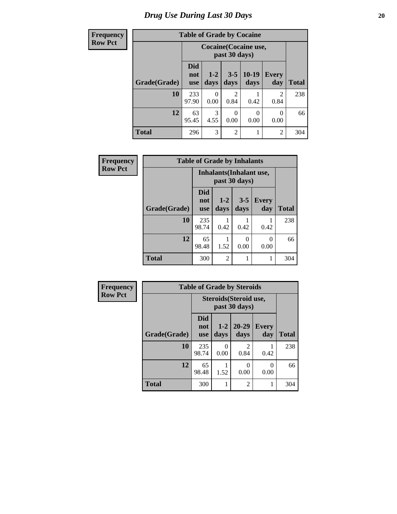### *Drug Use During Last 30 Days* 20

| Frequency      |              | <b>Table of Grade by Cocaine</b> |                       |                 |                              |                     |              |  |
|----------------|--------------|----------------------------------|-----------------------|-----------------|------------------------------|---------------------|--------------|--|
| <b>Row Pct</b> |              |                                  |                       | past 30 days)   | <b>Cocaine (Cocaine use,</b> |                     |              |  |
|                | Grade(Grade) | <b>Did</b><br>not<br><b>use</b>  | $1 - 2$<br>days       | $3 - 5$<br>days | $10-19$<br>days              | <b>Every</b><br>day | <b>Total</b> |  |
|                | 10           | 233<br>97.90                     | $\Omega$<br>0.00      | 0.84            | 0.42                         | 2<br>0.84           | 238          |  |
|                | 12           | 63<br>95.45                      | $\mathcal{R}$<br>4.55 | 0<br>0.00       | 0<br>0.00                    | 0<br>0.00           | 66           |  |
|                | <b>Total</b> | 296                              | 3                     | 2               |                              | 2                   | 304          |  |

| Frequency      | <b>Table of Grade by Inhalants</b> |                          |                                 |                 |                  |              |
|----------------|------------------------------------|--------------------------|---------------------------------|-----------------|------------------|--------------|
| <b>Row Pct</b> |                                    |                          | <b>Inhalants</b> (Inhalant use, | past 30 days)   |                  |              |
|                | Grade(Grade)                       | Did<br>not<br><b>use</b> | $1 - 2$<br>days                 | $3 - 5$<br>days | Every<br>day     | <b>Total</b> |
|                | 10                                 | 235<br>98.74             | 0.42                            | 0.42            | 0.42             | 238          |
|                | 12                                 | 65<br>98.48              | 1.52                            | 0<br>0.00       | $\Omega$<br>0.00 | 66           |
|                | <b>Total</b>                       | 300                      | $\overline{2}$                  |                 |                  | 304          |

| Frequency      | <b>Table of Grade by Steroids</b> |                                 |                       |                                         |                     |              |  |  |
|----------------|-----------------------------------|---------------------------------|-----------------------|-----------------------------------------|---------------------|--------------|--|--|
| <b>Row Pct</b> |                                   |                                 |                       | Steroids (Steroid use,<br>past 30 days) |                     |              |  |  |
|                | Grade(Grade)                      | <b>Did</b><br>not<br><b>use</b> | $1-2$<br>days         | 20-29<br>days                           | <b>Every</b><br>day | <b>Total</b> |  |  |
|                | 10                                | 235<br>98.74                    | $\mathcal{L}$<br>0.00 | $\mathfrak{D}$<br>0.84                  | 0.42                | 238          |  |  |
|                | 12                                | 65<br>98.48                     | 1.52                  | 0.00                                    | 0.00                | 66           |  |  |
|                | <b>Total</b>                      | 300                             |                       | $\mathfrak{D}$                          | 1                   | 304          |  |  |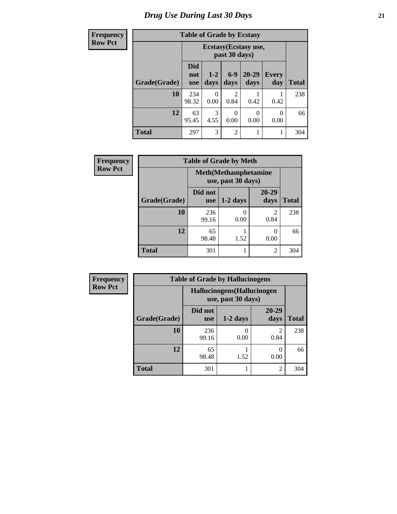## *Drug Use During Last 30 Days* **21**

#### **Frequency Row Pct**

|  |  | <b>Table of Grade by Ecstasy</b> |
|--|--|----------------------------------|
|  |  |                                  |

| cquency | Table of Graue by Ecstasy |                                 |                                        |                 |                   |                     |              |  |  |
|---------|---------------------------|---------------------------------|----------------------------------------|-----------------|-------------------|---------------------|--------------|--|--|
| w Pct   |                           |                                 | Ecstasy (Ecstasy use,<br>past 30 days) |                 |                   |                     |              |  |  |
|         | Grade(Grade)              | <b>Did</b><br>not<br><b>use</b> | $1 - 2$<br>days                        | $6 - 9$<br>days | $20 - 29$<br>days | <b>Every</b><br>day | <b>Total</b> |  |  |
|         | 10                        | 234<br>98.32                    | 0<br>0.00                              | 2<br>0.84       | 0.42              | 0.42                | 238          |  |  |
|         | 12                        | 63<br>95.45                     | 3<br>4.55                              | 0<br>0.00       | 0.00              | 0<br>0.00           | 66           |  |  |
|         | <b>Total</b>              | 297                             | 3                                      | $\overline{2}$  |                   |                     | 304          |  |  |

| Frequency      | <b>Table of Grade by Meth</b> |                |                                                    |                        |              |  |
|----------------|-------------------------------|----------------|----------------------------------------------------|------------------------|--------------|--|
| <b>Row Pct</b> |                               |                | <b>Meth</b> (Methamphetamine<br>use, past 30 days) |                        |              |  |
|                | Grade(Grade)                  | Did not<br>use | $1-2$ days                                         | $20 - 29$<br>days      | <b>Total</b> |  |
|                | 10                            | 236<br>99.16   | 0.00                                               | $\mathfrak{D}$<br>0.84 | 238          |  |
|                | 12                            | 65<br>98.48    | 1.52                                               | $\mathcal{L}$<br>0.00  | 66           |  |
|                | <b>Total</b>                  | 301            |                                                    | 2                      | 304          |  |

| <b>Frequency</b> | <b>Table of Grade by Hallucinogens</b> |                       |                                                   |                           |              |  |  |  |
|------------------|----------------------------------------|-----------------------|---------------------------------------------------|---------------------------|--------------|--|--|--|
| <b>Row Pct</b>   |                                        |                       | Hallucinogens (Hallucinogen<br>use, past 30 days) |                           |              |  |  |  |
|                  | Grade(Grade)                           | Did not<br><b>use</b> | $1-2$ days                                        | 20-29<br>days             | <b>Total</b> |  |  |  |
|                  | 10                                     | 236<br>99.16          | 0.00                                              | 0.84                      | 238          |  |  |  |
|                  | 12                                     | 65<br>98.48           | 1.52                                              | $\mathbf{\Omega}$<br>0.00 | 66           |  |  |  |
|                  | <b>Total</b>                           | 301                   |                                                   | $\overline{2}$            | 304          |  |  |  |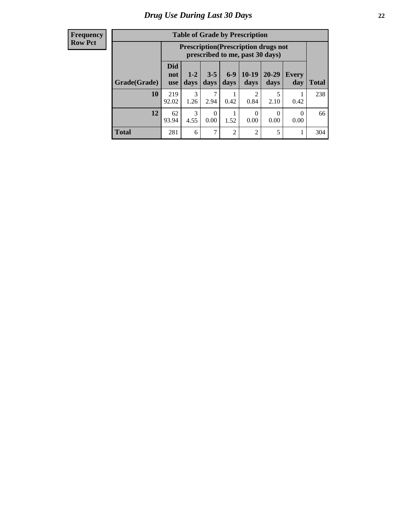| <b>Frequency</b> |
|------------------|
| <b>Row Pct</b>   |

| <b>Table of Grade by Prescription</b> |                          |                                                                                |                  |                 |                        |                  |                  |       |
|---------------------------------------|--------------------------|--------------------------------------------------------------------------------|------------------|-----------------|------------------------|------------------|------------------|-------|
|                                       |                          | <b>Prescription</b> (Prescription drugs not<br>prescribed to me, past 30 days) |                  |                 |                        |                  |                  |       |
| Grade(Grade)                          | Did<br>not<br><b>use</b> | $1 - 2$<br>days                                                                | $3 - 5$<br>days  | $6 - 9$<br>days | $10-19$<br>days        | 20-29<br>days    | Every<br>day     | Total |
| 10                                    | 219<br>92.02             | $\mathcal{R}$<br>1.26                                                          | 2.94             | 0.42            | $\mathfrak{D}$<br>0.84 | 5<br>2.10        | 0.42             | 238   |
| 12                                    | 62<br>93.94              | 3<br>4.55                                                                      | $\Omega$<br>0.00 | 1.52            | 0<br>0.00              | $\Omega$<br>0.00 | $\Omega$<br>0.00 | 66    |
| <b>Total</b>                          | 281                      | 6                                                                              | 7                | $\overline{2}$  | $\overline{2}$         | 5                |                  | 304   |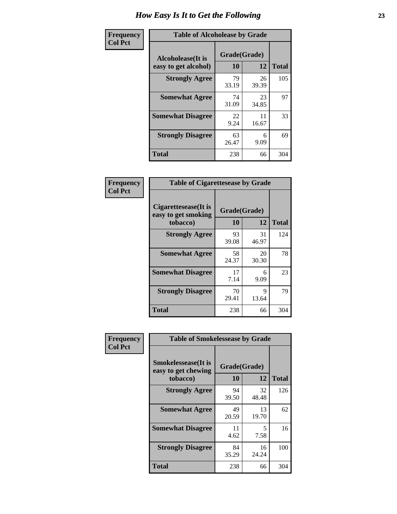| Frequency      | <b>Table of Alcoholease by Grade</b>       |                    |             |              |  |  |
|----------------|--------------------------------------------|--------------------|-------------|--------------|--|--|
| <b>Col Pct</b> | Alcoholease (It is<br>easy to get alcohol) | Grade(Grade)<br>10 | 12          | <b>Total</b> |  |  |
|                | <b>Strongly Agree</b>                      | 79<br>33.19        | 26<br>39.39 | 105          |  |  |
|                | <b>Somewhat Agree</b>                      | 74<br>31.09        | 23<br>34.85 | 97           |  |  |
|                | <b>Somewhat Disagree</b>                   | 22<br>9.24         | 11<br>16.67 | 33           |  |  |
|                | <b>Strongly Disagree</b>                   | 63<br>26.47        | 6<br>9.09   | 69           |  |  |
|                | <b>Total</b>                               | 238                | 66          | 304          |  |  |

| Frequency      | <b>Table of Cigarettesease by Grade</b>                  |                    |             |              |  |  |
|----------------|----------------------------------------------------------|--------------------|-------------|--------------|--|--|
| <b>Col Pct</b> | Cigarettesease (It is<br>easy to get smoking<br>tobacco) | Grade(Grade)<br>10 | 12          | <b>Total</b> |  |  |
|                | <b>Strongly Agree</b>                                    | 93<br>39.08        | 31<br>46.97 | 124          |  |  |
|                | <b>Somewhat Agree</b>                                    | 58<br>24.37        | 20<br>30.30 | 78           |  |  |
|                | <b>Somewhat Disagree</b>                                 | 17<br>7.14         | 6<br>9.09   | 23           |  |  |
|                | <b>Strongly Disagree</b>                                 | 70<br>29.41        | Q<br>13.64  | 79           |  |  |
|                | <b>Total</b>                                             | 238                | 66          | 304          |  |  |

| Frequency      | <b>Table of Smokelessease by Grade</b>                         |                    |             |              |  |  |  |  |
|----------------|----------------------------------------------------------------|--------------------|-------------|--------------|--|--|--|--|
| <b>Col Pct</b> | <b>Smokelessease</b> (It is<br>easy to get chewing<br>tobacco) | Grade(Grade)<br>10 | 12          | <b>Total</b> |  |  |  |  |
|                | <b>Strongly Agree</b>                                          | 94<br>39.50        | 32<br>48.48 | 126          |  |  |  |  |
|                | <b>Somewhat Agree</b>                                          | 49<br>20.59        | 13<br>19.70 | 62           |  |  |  |  |
|                | <b>Somewhat Disagree</b>                                       | 11<br>4.62         | 5<br>7.58   | 16           |  |  |  |  |
|                | <b>Strongly Disagree</b>                                       | 84<br>35.29        | 16<br>24.24 | 100          |  |  |  |  |
|                | Total                                                          | 238                | 66          | 304          |  |  |  |  |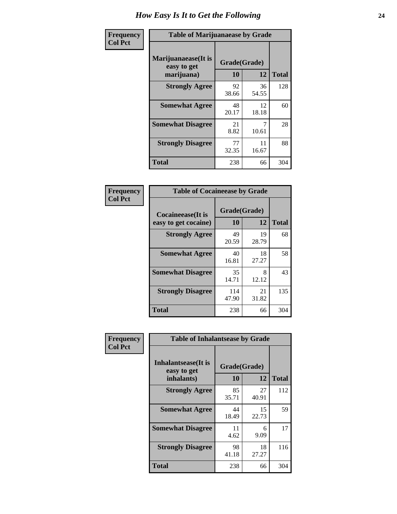| Frequency      | <b>Table of Marijuanaease by Grade</b>           |                           |             |              |  |  |  |  |  |  |
|----------------|--------------------------------------------------|---------------------------|-------------|--------------|--|--|--|--|--|--|
| <b>Col Pct</b> | Marijuanaease(It is<br>easy to get<br>marijuana) | Grade(Grade)<br><b>10</b> | 12          | <b>Total</b> |  |  |  |  |  |  |
|                | <b>Strongly Agree</b>                            | 92<br>38.66               | 36<br>54.55 | 128          |  |  |  |  |  |  |
|                | <b>Somewhat Agree</b>                            | 48<br>20.17               | 12<br>18.18 | 60           |  |  |  |  |  |  |
|                | <b>Somewhat Disagree</b>                         | 21<br>8.82                | 10.61       | 28           |  |  |  |  |  |  |
|                | <b>Strongly Disagree</b>                         | 77<br>32.35               | 11<br>16.67 | 88           |  |  |  |  |  |  |
|                | <b>Total</b>                                     | 238                       | 66          | 304          |  |  |  |  |  |  |

| <b>Table of Cocaineease by Grade</b>      |                    |             |              |  |  |  |  |  |  |
|-------------------------------------------|--------------------|-------------|--------------|--|--|--|--|--|--|
| Cocaineease(It is<br>easy to get cocaine) | Grade(Grade)<br>10 | 12          | <b>Total</b> |  |  |  |  |  |  |
| <b>Strongly Agree</b>                     | 49<br>20.59        | 19<br>28.79 | 68           |  |  |  |  |  |  |
| <b>Somewhat Agree</b>                     | 40<br>16.81        | 18<br>27.27 | 58           |  |  |  |  |  |  |
| <b>Somewhat Disagree</b>                  | 35<br>14.71        | 8<br>12.12  | 43           |  |  |  |  |  |  |
| <b>Strongly Disagree</b>                  | 114<br>47.90       | 21<br>31.82 | 135          |  |  |  |  |  |  |
| <b>Total</b>                              | 238                | 66          | 304          |  |  |  |  |  |  |

| Frequency      | <b>Table of Inhalantsease by Grade</b>                   |                    |             |              |  |  |  |  |  |  |
|----------------|----------------------------------------------------------|--------------------|-------------|--------------|--|--|--|--|--|--|
| <b>Col Pct</b> | <b>Inhalantsease</b> (It is<br>easy to get<br>inhalants) | Grade(Grade)<br>10 | 12          | <b>Total</b> |  |  |  |  |  |  |
|                | <b>Strongly Agree</b>                                    | 85<br>35.71        | 27<br>40.91 | 112          |  |  |  |  |  |  |
|                | <b>Somewhat Agree</b>                                    | 44<br>18.49        | 15<br>22.73 | 59           |  |  |  |  |  |  |
|                | <b>Somewhat Disagree</b>                                 | 11<br>4.62         | 6<br>9.09   | 17           |  |  |  |  |  |  |
|                | <b>Strongly Disagree</b>                                 | 98<br>41.18        | 18<br>27.27 | 116          |  |  |  |  |  |  |
|                | <b>Total</b>                                             | 238                | 66          | 304          |  |  |  |  |  |  |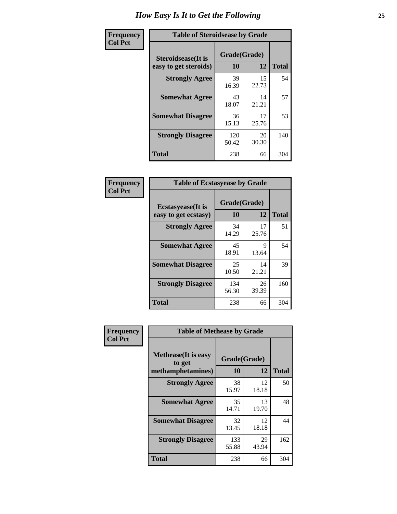| Frequency      |                                                     | <b>Table of Steroidsease by Grade</b> |             |              |  |  |  |  |  |
|----------------|-----------------------------------------------------|---------------------------------------|-------------|--------------|--|--|--|--|--|
| <b>Col Pct</b> | <b>Steroidsease</b> (It is<br>easy to get steroids) | Grade(Grade)<br>10                    | 12          | <b>Total</b> |  |  |  |  |  |
|                | <b>Strongly Agree</b>                               | 39<br>16.39                           | 15<br>22.73 | 54           |  |  |  |  |  |
|                | <b>Somewhat Agree</b>                               | 43<br>18.07                           | 14<br>21.21 | 57           |  |  |  |  |  |
|                | <b>Somewhat Disagree</b>                            | 36<br>15.13                           | 17<br>25.76 | 53           |  |  |  |  |  |
|                | <b>Strongly Disagree</b>                            | 120<br>50.42                          | 20<br>30.30 | 140          |  |  |  |  |  |
|                | <b>Total</b>                                        | 238                                   | 66          | 304          |  |  |  |  |  |

| Frequency      | <b>Table of Ecstasyease by Grade</b>              |                    |             |              |  |  |  |  |
|----------------|---------------------------------------------------|--------------------|-------------|--------------|--|--|--|--|
| <b>Col Pct</b> | <b>Ecstasyease</b> (It is<br>easy to get ecstasy) | Grade(Grade)<br>10 | 12          | <b>Total</b> |  |  |  |  |
|                | <b>Strongly Agree</b>                             | 34<br>14.29        | 17<br>25.76 | 51           |  |  |  |  |
|                | <b>Somewhat Agree</b>                             | 45<br>18.91        | 9<br>13.64  | 54           |  |  |  |  |
|                | <b>Somewhat Disagree</b>                          | 25<br>10.50        | 14<br>21.21 | 39           |  |  |  |  |
|                | <b>Strongly Disagree</b>                          | 134<br>56.30       | 26<br>39.39 | 160          |  |  |  |  |
|                | Total                                             | 238                | 66          | 304          |  |  |  |  |

| Frequency      | <b>Table of Methease by Grade</b>     |              |             |              |
|----------------|---------------------------------------|--------------|-------------|--------------|
| <b>Col Pct</b> | <b>Methease</b> (It is easy<br>to get | Grade(Grade) |             |              |
|                | methamphetamines)                     | 10           | 12          | <b>Total</b> |
|                | <b>Strongly Agree</b>                 | 38<br>15.97  | 12<br>18.18 | 50           |
|                | <b>Somewhat Agree</b>                 | 35<br>14.71  | 13<br>19.70 | 48           |
|                | <b>Somewhat Disagree</b>              | 32<br>13.45  | 12<br>18.18 | 44           |
|                | <b>Strongly Disagree</b>              | 133<br>55.88 | 29<br>43.94 | 162          |
|                | Total                                 | 238          | 66          | 304          |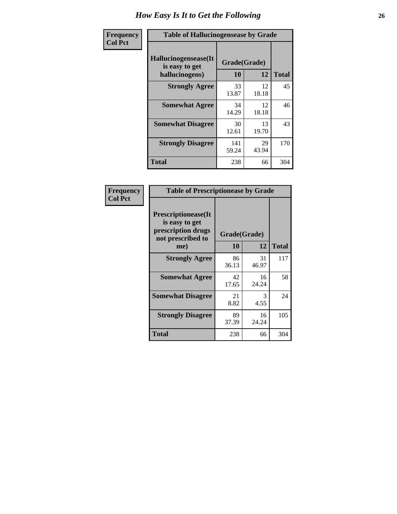| <b>Frequency</b> | <b>Table of Hallucinogensease by Grade</b>               |                    |             |              |  |  |  |  |  |  |
|------------------|----------------------------------------------------------|--------------------|-------------|--------------|--|--|--|--|--|--|
| <b>Col Pct</b>   | Hallucinogensease(It<br>is easy to get<br>hallucinogens) | Grade(Grade)<br>10 | 12          | <b>Total</b> |  |  |  |  |  |  |
|                  | <b>Strongly Agree</b>                                    | 33<br>13.87        | 12<br>18.18 | 45           |  |  |  |  |  |  |
|                  | <b>Somewhat Agree</b>                                    | 34<br>14.29        | 12<br>18.18 | 46           |  |  |  |  |  |  |
|                  | <b>Somewhat Disagree</b>                                 | 30<br>12.61        | 13<br>19.70 | 43           |  |  |  |  |  |  |
|                  | <b>Strongly Disagree</b>                                 | 141<br>59.24       | 29<br>43.94 | 170          |  |  |  |  |  |  |
|                  | <b>Total</b>                                             | 238                | 66          | 304          |  |  |  |  |  |  |

| Frequency<br>  Col Pct |
|------------------------|

| <b>Table of Prescriptionease by Grade</b>                                                |              |             |              |  |  |  |  |  |  |
|------------------------------------------------------------------------------------------|--------------|-------------|--------------|--|--|--|--|--|--|
| <b>Prescriptionease</b> (It<br>is easy to get<br>prescription drugs<br>not prescribed to | Grade(Grade) |             |              |  |  |  |  |  |  |
| me)                                                                                      | 10           | 12          | <b>Total</b> |  |  |  |  |  |  |
| <b>Strongly Agree</b>                                                                    | 86<br>36.13  | 31<br>46.97 | 117          |  |  |  |  |  |  |
| <b>Somewhat Agree</b>                                                                    | 42<br>17.65  | 16<br>24.24 | 58           |  |  |  |  |  |  |
| <b>Somewhat Disagree</b>                                                                 | 21<br>8.82   | 3<br>4.55   | 24           |  |  |  |  |  |  |
| <b>Strongly Disagree</b>                                                                 | 89<br>37.39  | 16<br>24.24 | 105          |  |  |  |  |  |  |
| Total                                                                                    | 238          | 66          | 304          |  |  |  |  |  |  |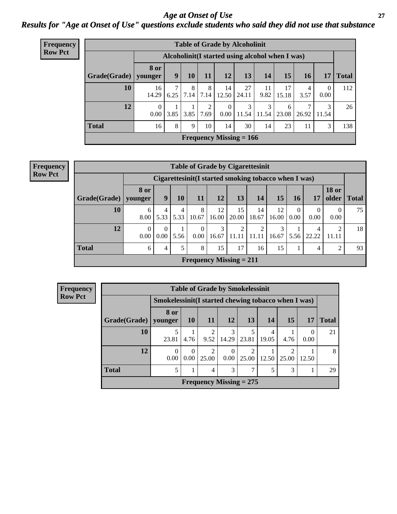#### *Age at Onset of Use* **27** *Results for "Age at Onset of Use" questions exclude students who said they did not use that substance*

| <b>Frequency</b> |                                                                  |                      |      |           |                       |                            | <b>Table of Grade by Alcoholinit</b> |            |             |           |                      |       |
|------------------|------------------------------------------------------------------|----------------------|------|-----------|-----------------------|----------------------------|--------------------------------------|------------|-------------|-----------|----------------------|-------|
| <b>Row Pct</b>   | Alcoholinit (I started using alcohol when I was)                 |                      |      |           |                       |                            |                                      |            |             |           |                      |       |
|                  | Grade(Grade)   younger                                           | <b>8 or</b>          | 9    | 10        | 11                    | <b>12</b>                  | 13                                   | 14         | 15          | <b>16</b> | 17                   | Total |
|                  | 10                                                               | 16<br>14.29          | 6.25 | 8<br>7.14 | 8<br>7.14             | 14<br>12.50                | 27<br>24.11                          | 11<br>9.82 | 17<br>15.18 | 4<br>3.57 | $\mathbf{0}$<br>0.00 | 112   |
|                  | 12                                                               | $\Omega$<br>$0.00\,$ | 3.85 | 3.85      | $\mathcal{L}$<br>7.69 | $\overline{0}$<br>$0.00\,$ | 3<br>11.54                           | 3<br>11.54 | 6<br>23.08  | 26.92     | 3<br>11.54           | 26    |
|                  | <b>Total</b><br>8<br>16<br>9<br>10<br>14<br>30<br>14<br>23<br>11 |                      |      |           |                       |                            |                                      |            |             |           |                      |       |
|                  |                                                                  |                      |      |           |                       |                            | <b>Frequency Missing = 166</b>       |            |             |           |                      |       |

#### **Frequency Row Pct**

| <b>Table of Grade by Cigarettesinit</b> |                        |                                                                                            |           |                  |                           |             |             |             |           |            |                |    |  |
|-----------------------------------------|------------------------|--------------------------------------------------------------------------------------------|-----------|------------------|---------------------------|-------------|-------------|-------------|-----------|------------|----------------|----|--|
|                                         |                        | Cigarettesinit(I started smoking tobacco when I was)                                       |           |                  |                           |             |             |             |           |            |                |    |  |
| Grade(Grade)                            | <b>8 or</b><br>younger | <b>18 or</b><br>12<br>9<br>13<br>15<br>older<br>10<br>11<br>14<br>17<br><b>Total</b><br>16 |           |                  |                           |             |             |             |           |            |                |    |  |
| 10                                      | 6<br>8.00              | 4<br>5.33                                                                                  | 4<br>5.33 | 8<br>10.67       | 12<br>16.00               | 15<br>20.00 | 14<br>18.67 | 12<br>16.00 | 0<br>0.00 | 0<br>0.00  | 0<br>0.00      | 75 |  |
| 12                                      | $\Omega$<br>0.00       | $\Omega$<br>0.00                                                                           | 5.56      | $\Omega$<br>0.00 | 3<br>16.67                | 2<br>11.11  | 2<br>11.1   | 3<br>16.67  | 5.56      | 4<br>22.22 | 2<br>11.11     | 18 |  |
| <b>Total</b>                            | 6                      | 4                                                                                          | 5         | 8                | 15                        | 17          | 16          | 15          |           | 4          | $\overline{2}$ | 93 |  |
|                                         |                        |                                                                                            |           |                  | Frequency Missing $= 211$ |             |             |             |           |            |                |    |  |

| <b>Frequency</b> |                        |                            |                                                     |                         | <b>Table of Grade by Smokelessinit</b> |            |            |            |                  |              |  |  |
|------------------|------------------------|----------------------------|-----------------------------------------------------|-------------------------|----------------------------------------|------------|------------|------------|------------------|--------------|--|--|
| <b>Row Pct</b>   |                        |                            | Smokelessinit(I started chewing tobacco when I was) |                         |                                        |            |            |            |                  |              |  |  |
|                  | Grade(Grade)   younger | 8 or                       | 10 <sup>1</sup>                                     | <b>11</b>               | <b>12</b>                              | <b>13</b>  | 14         | <b>15</b>  | 17               | <b>Total</b> |  |  |
|                  | 10                     | 23.81                      | 4.76                                                | $\mathfrak{D}$<br>9.52  | 3<br>14.29                             | 5<br>23.81 | 4<br>19.05 | 4.76       | $\theta$<br>0.00 | 21           |  |  |
|                  | 12                     | 0<br>0.00                  | 0<br>0.00                                           | $\mathfrak{D}$<br>25.00 | $\Omega$<br>0.00                       | 2<br>25.00 | 12.50      | っ<br>25.00 | 12.50            | 8            |  |  |
|                  | <b>Total</b>           | 3<br>3<br>5<br>7<br>5<br>4 |                                                     |                         |                                        |            |            |            |                  |              |  |  |
|                  |                        |                            |                                                     |                         | Frequency Missing $= 275$              |            |            |            |                  |              |  |  |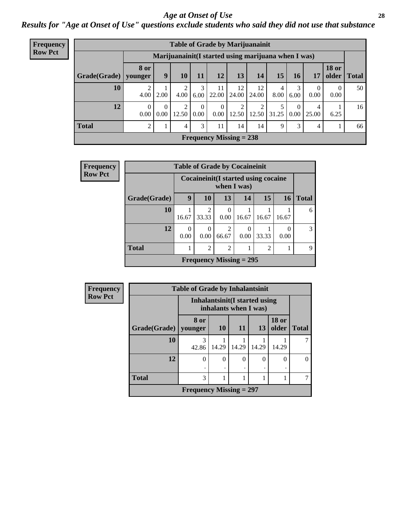#### *Age at Onset of Use* **28**

*Results for "Age at Onset of Use" questions exclude students who said they did not use that substance*

| Frequency      | <b>Table of Grade by Marijuanainit</b> |                        |                  |            |                      |                      |                                                      |             |           |           |                        |                       |                 |
|----------------|----------------------------------------|------------------------|------------------|------------|----------------------|----------------------|------------------------------------------------------|-------------|-----------|-----------|------------------------|-----------------------|-----------------|
| <b>Row Pct</b> |                                        |                        |                  |            |                      |                      | Marijuanainit (I started using marijuana when I was) |             |           |           |                        |                       |                 |
|                | Grade(Grade)                           | <b>8</b> or<br>younger | 9                | 10         | 11                   | 12                   | 13                                                   | 14          | 15        | 16        | 17                     | <b>18 or</b><br>older | <b>Total</b>    |
|                | 10                                     | 4.00                   | 2.00             | 2<br>4.00  | 3<br>6.00            | 11<br>22.00          | 12<br>24.00                                          | 12<br>24.00 | 4<br>8.00 | 3<br>6.00 | $\theta$<br>0.00       | $\theta$<br>0.00      | 50              |
|                | 12                                     | 0.00 <sub>l</sub>      | $\Omega$<br>0.00 | 2<br>12.50 | $\Omega$<br>$0.00\,$ | $\Omega$<br>$0.00\,$ | 12.50                                                | 12.50       | 31.25     | $\theta$  | 4<br>$0.00 \mid 25.00$ | 6.25                  | 16 <sup>1</sup> |
|                | <b>Total</b>                           | 2                      |                  | 4          | 3                    | 11                   | 14                                                   | 14          | 9         | 3         | 4                      |                       | 66              |
|                |                                        |                        |                  |            |                      |                      | Frequency Missing $= 238$                            |             |           |           |                        |                       |                 |

| Frequency      |              | <b>Table of Grade by Cocaineinit</b> |                         |                                                      |       |       |           |               |
|----------------|--------------|--------------------------------------|-------------------------|------------------------------------------------------|-------|-------|-----------|---------------|
| <b>Row Pct</b> |              |                                      |                         | Cocaine init (I started using cocaine<br>when I was) |       |       |           |               |
|                | Grade(Grade) | 9                                    | 10                      | 13                                                   | 14    | 15    | <b>16</b> | <b>Total</b>  |
|                | 10           | 16.67                                | $\overline{c}$<br>33.33 | $\Omega$<br>0.00                                     | 16.67 | 16.67 | 16.67     | 6             |
|                | 12           | 0<br>0.00                            | $\Omega$<br>0.00        | 2<br>66.67                                           | 0.00  | 33.33 | 0<br>0.00 | $\mathcal{R}$ |
|                | <b>Total</b> |                                      | $\overline{c}$          | $\overline{2}$                                       |       | 2     |           | Q             |
|                |              |                                      |                         | Frequency Missing $= 295$                            |       |       |           |               |

| <b>Frequency</b> |              | <b>Table of Grade by Inhalantsinit</b> |           |                                                               |       |                       |              |
|------------------|--------------|----------------------------------------|-----------|---------------------------------------------------------------|-------|-----------------------|--------------|
| <b>Row Pct</b>   |              |                                        |           | <b>Inhalantsinit(I started using</b><br>inhalants when I was) |       |                       |              |
|                  | Grade(Grade) | 8 or<br>younger                        | <b>10</b> | <b>11</b>                                                     | 13    | <b>18 or</b><br>older | <b>Total</b> |
|                  | 10           | 3<br>42.86                             | 14.29     | 14.29                                                         | 14.29 | 14.29                 |              |
|                  | 12           | $\theta$                               | ∩         | $\Omega$                                                      | 0     | 0                     | $\theta$     |
|                  | <b>Total</b> | 3                                      |           |                                                               |       |                       |              |
|                  |              | Frequency Missing $= 297$              |           |                                                               |       |                       |              |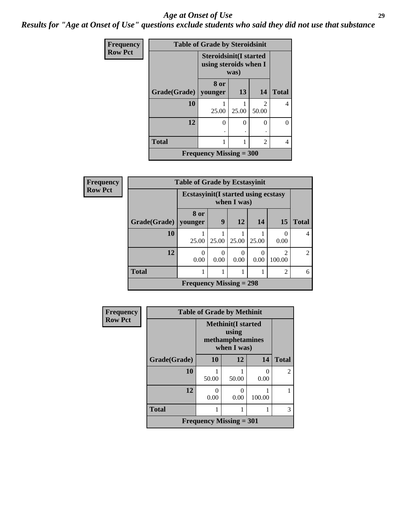#### *Age at Onset of Use* **29**

*Results for "Age at Onset of Use" questions exclude students who said they did not use that substance*

| <b>Frequency</b> | <b>Table of Grade by Steroidsinit</b> |                                                        |          |            |              |  |  |  |  |  |
|------------------|---------------------------------------|--------------------------------------------------------|----------|------------|--------------|--|--|--|--|--|
| <b>Row Pct</b>   |                                       | <b>Steroidsinit(I started</b><br>using steroids when I | was)     |            |              |  |  |  |  |  |
|                  | Grade(Grade)   younger                | 8 or                                                   | 13       | 14         | <b>Total</b> |  |  |  |  |  |
|                  | 10                                    | 25.00                                                  | 25.00    | 2<br>50.00 | 4            |  |  |  |  |  |
|                  | 12                                    | 0                                                      | $\Omega$ | $\Omega$   | 0            |  |  |  |  |  |
|                  | <b>Total</b>                          |                                                        |          | 2          | 4            |  |  |  |  |  |
|                  |                                       | Frequency Missing $=$ 300                              |          |            |              |  |  |  |  |  |

| Frequency      |              | <b>Table of Grade by Ecstasyinit</b>       |                  |           |                  |                          |                |
|----------------|--------------|--------------------------------------------|------------------|-----------|------------------|--------------------------|----------------|
| <b>Row Pct</b> |              | <b>Ecstasyinit(I started using ecstasy</b> |                  |           |                  |                          |                |
|                | Grade(Grade) | 8 or<br>younger                            | $\boldsymbol{9}$ | <b>12</b> | 14               | <b>15</b>                | <b>Total</b>   |
|                | 10           | 25.00                                      | 25.00            | 25.00     | 25.00            | 0<br>0.00                | $\overline{4}$ |
|                | 12           | 0<br>0.00                                  | 0.00             | 0.00      | $\Omega$<br>0.00 | $\mathfrak{D}$<br>100.00 | $\mathfrak{D}$ |
|                | <b>Total</b> | 1                                          |                  |           |                  | 2                        | 6              |
|                |              | <b>Frequency Missing = 298</b>             |                  |           |                  |                          |                |

| Frequency      |              | <b>Table of Grade by Methinit</b>                            |           |           |                |
|----------------|--------------|--------------------------------------------------------------|-----------|-----------|----------------|
| <b>Row Pct</b> |              | <b>Methinit(I started</b><br>methamphetamines<br>when I was) |           |           |                |
|                | Grade(Grade) | 10                                                           | 12        | 14        | <b>Total</b>   |
|                | 10           | 50.00                                                        | 50.00     | 0<br>0.00 | $\mathfrak{D}$ |
|                | 12           | 0<br>0.00                                                    | 0<br>0.00 | 100.00    |                |
|                | <b>Total</b> |                                                              |           |           | 3              |
|                |              | <b>Frequency Missing = 301</b>                               |           |           |                |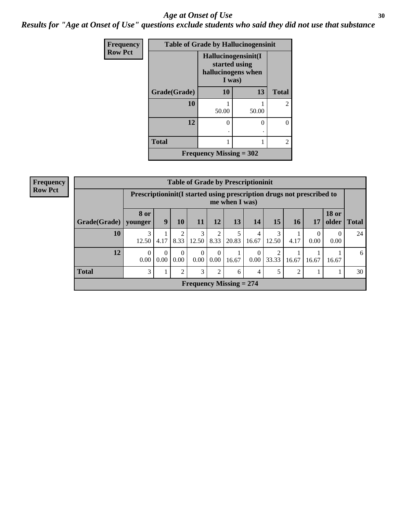#### Age at Onset of Use **30**

*Results for "Age at Onset of Use" questions exclude students who said they did not use that substance*

| Frequency      |              | <b>Table of Grade by Hallucinogensinit</b>                           |       |                |  |
|----------------|--------------|----------------------------------------------------------------------|-------|----------------|--|
| <b>Row Pct</b> |              | Hallucinogensinit(I<br>started using<br>hallucinogens when<br>I was) |       |                |  |
|                | Grade(Grade) | <b>10</b>                                                            | 13    | <b>Total</b>   |  |
|                | 10           | 50.00                                                                | 50.00 | $\mathfrak{D}$ |  |
|                | 12           | 0                                                                    | 0     | 0              |  |
|                | <b>Total</b> |                                                                      |       | 2              |  |
|                |              | Frequency Missing $= 302$                                            |       |                |  |

| <b>Frequency</b> |              |                                                                       |                |                  |                      |                  | <b>Table of Grade by Prescriptioninit</b> |                  |            |       |                  |                  |               |
|------------------|--------------|-----------------------------------------------------------------------|----------------|------------------|----------------------|------------------|-------------------------------------------|------------------|------------|-------|------------------|------------------|---------------|
| <b>Row Pct</b>   |              | Prescriptioninit(I started using prescription drugs not prescribed to |                |                  |                      |                  | me when I was)                            |                  |            |       |                  |                  |               |
|                  | Grade(Grade) | <b>8 or</b><br>vounger                                                | 9 <sup>1</sup> | 10               | 11                   | 12               | 13                                        | 14               | 15         | 16    | 17               | <b>18 or</b>     | older   Total |
|                  | 10           | 3<br>12.50                                                            | 4.17           | 8.33             | 3<br>12.50           | 8.33             | 5<br>20.83                                | 4<br>16.67       | 3<br>12.50 | 4.17  | $\Omega$<br>0.00 | $\theta$<br>0.00 | 24            |
|                  | 12           | $\Omega$<br>0.00                                                      | 0.00           | $\Omega$<br>0.00 | $\Omega$<br>$0.00\,$ | $\Omega$<br>0.00 | 16.67                                     | $\theta$<br>0.00 | 33.33      | 16.67 | 16.67            | 16.67            | 6             |
|                  | <b>Total</b> | 3                                                                     |                | 2                | 3                    | 2                | 6                                         | 4                |            | っ     |                  |                  | 30            |
|                  |              |                                                                       |                |                  |                      |                  | <b>Frequency Missing = 274</b>            |                  |            |       |                  |                  |               |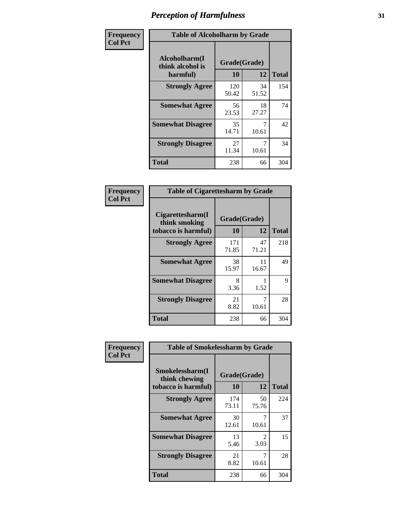| Frequency      | <b>Table of Alcoholharm by Grade</b>          |                    |             |              |  |  |  |  |
|----------------|-----------------------------------------------|--------------------|-------------|--------------|--|--|--|--|
| <b>Col Pct</b> | Alcoholharm(I<br>think alcohol is<br>harmful) | Grade(Grade)<br>10 | 12          | <b>Total</b> |  |  |  |  |
|                | <b>Strongly Agree</b>                         | 120<br>50.42       | 34<br>51.52 | 154          |  |  |  |  |
|                | <b>Somewhat Agree</b>                         | 56<br>23.53        | 18<br>27.27 | 74           |  |  |  |  |
|                | <b>Somewhat Disagree</b>                      | 35<br>14.71        | 10.61       | 42           |  |  |  |  |
|                | <b>Strongly Disagree</b>                      | 27<br>11.34        | 10.61       | 34           |  |  |  |  |
|                | <b>Total</b>                                  | 238                | 66          | 304          |  |  |  |  |

| <b>Table of Cigarettesharm by Grade</b>                  |                    |             |              |  |  |  |  |  |  |
|----------------------------------------------------------|--------------------|-------------|--------------|--|--|--|--|--|--|
| Cigarettesharm(I<br>think smoking<br>tobacco is harmful) | Grade(Grade)<br>10 | 12          | <b>Total</b> |  |  |  |  |  |  |
| <b>Strongly Agree</b>                                    | 171<br>71.85       | 47<br>71.21 | 218          |  |  |  |  |  |  |
| <b>Somewhat Agree</b>                                    | 38<br>15.97        | 11<br>16.67 | 49           |  |  |  |  |  |  |
| <b>Somewhat Disagree</b>                                 | 8<br>3.36          | 1.52        | 9            |  |  |  |  |  |  |
| <b>Strongly Disagree</b>                                 | 21<br>8.82         | 7<br>10.61  | 28           |  |  |  |  |  |  |
| <b>Total</b>                                             | 238                | 66          | 304          |  |  |  |  |  |  |

| Frequency      | <b>Table of Smokelessharm by Grade</b>                  |                           |              |     |
|----------------|---------------------------------------------------------|---------------------------|--------------|-----|
| <b>Col Pct</b> | Smokelessharm(I<br>think chewing<br>tobacco is harmful) | Grade(Grade)<br><b>10</b> | <b>Total</b> |     |
|                | <b>Strongly Agree</b>                                   | 174<br>73.11              | 50<br>75.76  | 224 |
|                | <b>Somewhat Agree</b>                                   | 30<br>12.61               | 10.61        | 37  |
|                | <b>Somewhat Disagree</b>                                | 13<br>5.46                | 2<br>3.03    | 15  |
|                | <b>Strongly Disagree</b>                                | 21<br>8.82                | 7<br>10.61   | 28  |
|                | <b>Total</b>                                            | 238                       | 66           | 304 |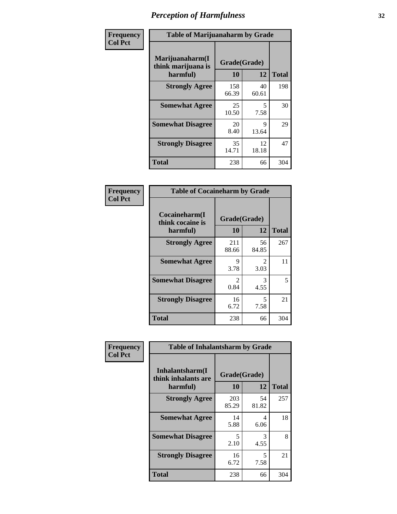| Frequency      |                                                   | <b>Table of Marijuanaharm by Grade</b> |             |              |  |  |  |  |  |  |
|----------------|---------------------------------------------------|----------------------------------------|-------------|--------------|--|--|--|--|--|--|
| <b>Col Pct</b> | Marijuanaharm(I<br>think marijuana is<br>harmful) | Grade(Grade)<br>10                     | 12          | <b>Total</b> |  |  |  |  |  |  |
|                | <b>Strongly Agree</b>                             | 158<br>66.39                           | 40<br>60.61 | 198          |  |  |  |  |  |  |
|                | <b>Somewhat Agree</b>                             | 25<br>10.50                            | 5<br>7.58   | 30           |  |  |  |  |  |  |
|                | <b>Somewhat Disagree</b>                          | 20<br>8.40                             | 9<br>13.64  | 29           |  |  |  |  |  |  |
|                | <b>Strongly Disagree</b>                          | 35<br>14.71                            | 12<br>18.18 | 47           |  |  |  |  |  |  |
|                | <b>Total</b>                                      | 238                                    | 66          | 304          |  |  |  |  |  |  |

| <b>Table of Cocaineharm by Grade</b>          |                        |                        |     |  |  |  |
|-----------------------------------------------|------------------------|------------------------|-----|--|--|--|
| Cocaineharm(I<br>think cocaine is<br>harmful) | Grade(Grade)<br>10     | <b>Total</b>           |     |  |  |  |
| <b>Strongly Agree</b>                         | 211<br>88.66           | 56<br>84.85            | 267 |  |  |  |
| <b>Somewhat Agree</b>                         | 9<br>3.78              | $\mathfrak{D}$<br>3.03 | 11  |  |  |  |
| <b>Somewhat Disagree</b>                      | $\mathfrak{D}$<br>0.84 | 3<br>4.55              | 5   |  |  |  |
| <b>Strongly Disagree</b>                      | 16<br>6.72             | 5<br>7.58              | 21  |  |  |  |
| Total                                         | 238                    | 66                     | 304 |  |  |  |

| Frequency      | <b>Table of Inhalantsharm by Grade</b>             |                    |             |              |  |
|----------------|----------------------------------------------------|--------------------|-------------|--------------|--|
| <b>Col Pct</b> | Inhalantsharm(I<br>think inhalants are<br>harmful) | Grade(Grade)<br>10 | 12          | <b>Total</b> |  |
|                | <b>Strongly Agree</b>                              | 203<br>85.29       | 54<br>81.82 | 257          |  |
|                | <b>Somewhat Agree</b>                              | 14<br>5.88         | 4<br>6.06   | 18           |  |
|                | <b>Somewhat Disagree</b>                           | 5<br>2.10          | 3<br>4.55   | 8            |  |
|                | <b>Strongly Disagree</b>                           | 16<br>6.72         | 5<br>7.58   | 21           |  |
|                | <b>Total</b>                                       | 238                | 66          | 304          |  |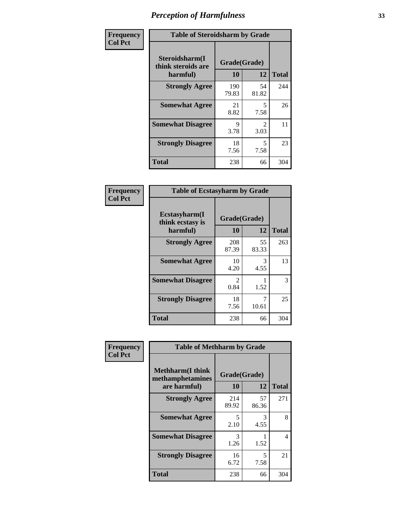| Frequency      | <b>Table of Steroidsharm by Grade</b>            |                    |                        |              |
|----------------|--------------------------------------------------|--------------------|------------------------|--------------|
| <b>Col Pct</b> | Steroidsharm(I<br>think steroids are<br>harmful) | Grade(Grade)<br>10 | 12                     | <b>Total</b> |
|                | <b>Strongly Agree</b>                            | 190<br>79.83       | 54<br>81.82            | 244          |
|                | <b>Somewhat Agree</b>                            | 21<br>8.82         | 5<br>7.58              | 26           |
|                | <b>Somewhat Disagree</b>                         | 9<br>3.78          | $\mathfrak{D}$<br>3.03 | 11           |
|                | <b>Strongly Disagree</b>                         | 18<br>7.56         | 5<br>7.58              | 23           |
|                | <b>Total</b>                                     | 238                | 66                     | 304          |

| <b>Table of Ecstasyharm by Grade</b>          |                        |             |              |  |  |  |
|-----------------------------------------------|------------------------|-------------|--------------|--|--|--|
| Ecstasyharm(I<br>think ecstasy is<br>harmful) | Grade(Grade)<br>10     | 12          | <b>Total</b> |  |  |  |
| <b>Strongly Agree</b>                         | 208<br>87.39           | 55<br>83.33 | 263          |  |  |  |
| <b>Somewhat Agree</b>                         | 10<br>4.20             | 3<br>4.55   | 13           |  |  |  |
| <b>Somewhat Disagree</b>                      | $\mathfrak{D}$<br>0.84 | 1.52        | 3            |  |  |  |
| <b>Strongly Disagree</b>                      | 18<br>7.56             | 7<br>10.61  | 25           |  |  |  |
| <b>Total</b>                                  | 238                    | 66          | 304          |  |  |  |

| Frequency      | <b>Table of Methharm by Grade</b>                            |                    |             |                |  |
|----------------|--------------------------------------------------------------|--------------------|-------------|----------------|--|
| <b>Col Pct</b> | <b>Methharm</b> (I think<br>methamphetamines<br>are harmful) | Grade(Grade)<br>10 | 12          | <b>Total</b>   |  |
|                | <b>Strongly Agree</b>                                        | 214<br>89.92       | 57<br>86.36 | 271            |  |
|                | <b>Somewhat Agree</b>                                        | 5<br>2.10          | 3<br>4.55   | 8              |  |
|                | <b>Somewhat Disagree</b>                                     | 3<br>1.26          | 1.52        | $\overline{4}$ |  |
|                | <b>Strongly Disagree</b>                                     | 16<br>6.72         | 5<br>7.58   | 21             |  |
|                | <b>Total</b>                                                 | 238                | 66          | 304            |  |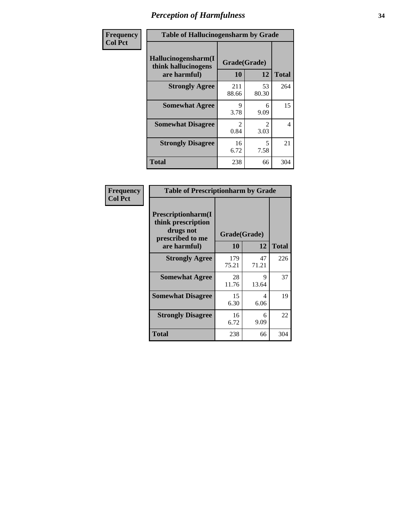| Frequency      | <b>Table of Hallucinogensharm by Grade</b>                 |                       |                       |              |
|----------------|------------------------------------------------------------|-----------------------|-----------------------|--------------|
| <b>Col Pct</b> | Hallucinogensharm(I<br>think hallucinogens<br>are harmful) | Grade(Grade)<br>10    | 12                    | <b>Total</b> |
|                | <b>Strongly Agree</b>                                      | 211<br>88.66          | 53<br>80.30           | 264          |
|                | <b>Somewhat Agree</b>                                      | 9<br>3.78             | 6<br>9.09             | 15           |
|                | <b>Somewhat Disagree</b>                                   | $\mathcal{L}$<br>0.84 | $\mathcal{L}$<br>3.03 | 4            |
|                | <b>Strongly Disagree</b>                                   | 16<br>6.72            | 5<br>7.58             | 21           |
|                | <b>Total</b>                                               | 238                   | 66                    | 304          |

| <b>Table of Prescriptionharm by Grade</b>                                                         |                    |             |              |  |
|---------------------------------------------------------------------------------------------------|--------------------|-------------|--------------|--|
| <b>Prescriptionharm(I)</b><br>think prescription<br>drugs not<br>prescribed to me<br>are harmful) | Grade(Grade)<br>10 | 12          | <b>Total</b> |  |
| <b>Strongly Agree</b>                                                                             | 179<br>75.21       | 47<br>71.21 | 226          |  |
| <b>Somewhat Agree</b>                                                                             | 28<br>11.76        | 9<br>13.64  | 37           |  |
| <b>Somewhat Disagree</b>                                                                          | 15<br>6.30         | 4<br>6.06   | 19           |  |
| <b>Strongly Disagree</b>                                                                          | 16<br>6.72         | 6<br>9.09   | 22           |  |
| <b>Total</b>                                                                                      | 238                | 66          | 304          |  |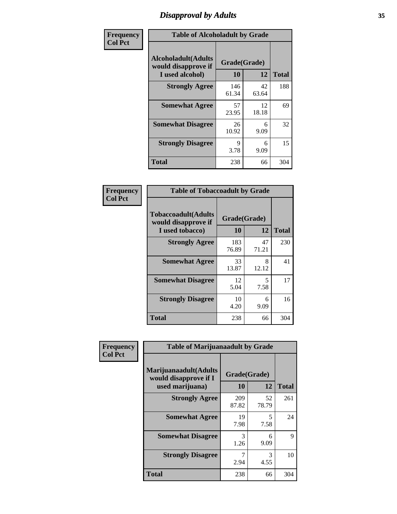### *Disapproval by Adults* **35**

| Frequency      | <b>Table of Alcoholadult by Grade</b>                                 |                    |             |              |  |
|----------------|-----------------------------------------------------------------------|--------------------|-------------|--------------|--|
| <b>Col Pct</b> | <b>Alcoholadult</b> (Adults<br>would disapprove if<br>I used alcohol) | Grade(Grade)<br>10 | 12          | <b>Total</b> |  |
|                | <b>Strongly Agree</b>                                                 | 146<br>61.34       | 42<br>63.64 | 188          |  |
|                | <b>Somewhat Agree</b>                                                 | 57<br>23.95        | 12<br>18.18 | 69           |  |
|                | <b>Somewhat Disagree</b>                                              | 26<br>10.92        | 6<br>9.09   | 32           |  |
|                | <b>Strongly Disagree</b>                                              | 9<br>3.78          | 6<br>9.09   | 15           |  |
|                | <b>Total</b>                                                          | 238                | 66          | 304          |  |

| <b>Table of Tobaccoadult by Grade</b>                                 |                    |             |              |  |  |
|-----------------------------------------------------------------------|--------------------|-------------|--------------|--|--|
| <b>Tobaccoadult</b> (Adults<br>would disapprove if<br>I used tobacco) | Grade(Grade)<br>10 | 12          | <b>Total</b> |  |  |
| <b>Strongly Agree</b>                                                 | 183<br>76.89       | 47<br>71.21 | 230          |  |  |
| <b>Somewhat Agree</b>                                                 | 33<br>13.87        | 8<br>12.12  | 41           |  |  |
| <b>Somewhat Disagree</b>                                              | 12<br>5.04         | 5<br>7.58   | 17           |  |  |
| <b>Strongly Disagree</b>                                              | 10<br>4.20         | 6<br>9.09   | 16           |  |  |
| <b>Total</b>                                                          | 238                | 66          | 304          |  |  |

| Frequency      | <b>Table of Marijuanaadult by Grade</b>                           |                    |             |              |  |
|----------------|-------------------------------------------------------------------|--------------------|-------------|--------------|--|
| <b>Col Pct</b> | Marijuanaadult(Adults<br>would disapprove if I<br>used marijuana) | Grade(Grade)<br>10 | 12          | <b>Total</b> |  |
|                | <b>Strongly Agree</b>                                             | 209<br>87.82       | 52<br>78.79 | 261          |  |
|                | <b>Somewhat Agree</b>                                             | 19<br>7.98         | 5<br>7.58   | 24           |  |
|                | <b>Somewhat Disagree</b>                                          | 3<br>1.26          | 6<br>9.09   | 9            |  |
|                | <b>Strongly Disagree</b>                                          | 7<br>2.94          | 3<br>4.55   | 10           |  |
|                | <b>Total</b>                                                      | 238                | 66          | 304          |  |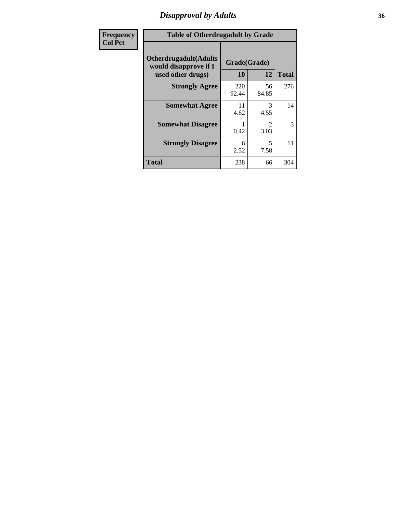### *Disapproval by Adults* **36**

| <b>Frequency</b> | <b>Table of Otherdrugadult by Grade</b>                                     |                    |                        |              |
|------------------|-----------------------------------------------------------------------------|--------------------|------------------------|--------------|
| <b>Col Pct</b>   | <b>Otherdrugadult</b> (Adults<br>would disapprove if I<br>used other drugs) | Grade(Grade)<br>10 | 12                     | <b>Total</b> |
|                  | <b>Strongly Agree</b>                                                       | 220<br>92.44       | 56<br>84.85            | 276          |
|                  | <b>Somewhat Agree</b>                                                       | 11<br>4.62         | 3<br>4.55              | 14           |
|                  | <b>Somewhat Disagree</b>                                                    | 0.42               | $\mathfrak{D}$<br>3.03 | 3            |
|                  | <b>Strongly Disagree</b>                                                    | 6<br>2.52          | 5<br>7.58              | 11           |
|                  | <b>Total</b>                                                                | 238                | 66                     | 304          |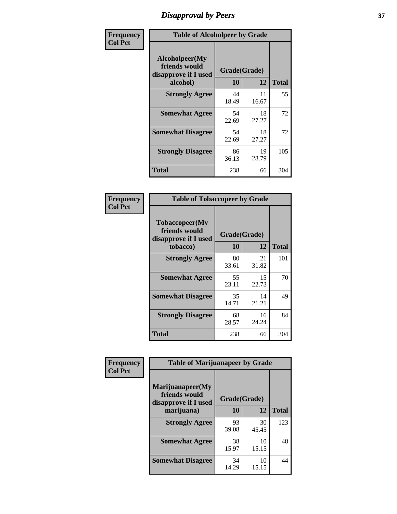# *Disapproval by Peers* **37**

| Frequency      | <b>Table of Alcoholpeer by Grade</b>                    |              |             |              |  |
|----------------|---------------------------------------------------------|--------------|-------------|--------------|--|
| <b>Col Pct</b> | Alcoholpeer(My<br>friends would<br>disapprove if I used | Grade(Grade) |             |              |  |
|                | alcohol)                                                | 10           | 12          | <b>Total</b> |  |
|                | <b>Strongly Agree</b>                                   | 44<br>18.49  | 11<br>16.67 | 55           |  |
|                | <b>Somewhat Agree</b>                                   | 54<br>22.69  | 18<br>27.27 | 72           |  |
|                | <b>Somewhat Disagree</b>                                | 54<br>22.69  | 18<br>27.27 | 72           |  |
|                | <b>Strongly Disagree</b>                                | 86<br>36.13  | 19<br>28.79 | 105          |  |
|                | Total                                                   | 238          | 66          | 304          |  |

| Frequency      | <b>Table of Tobaccopeer by Grade</b>                                |                    |             |              |  |
|----------------|---------------------------------------------------------------------|--------------------|-------------|--------------|--|
| <b>Col Pct</b> | Tobaccopeer(My<br>friends would<br>disapprove if I used<br>tobacco) | Grade(Grade)<br>10 | 12          | <b>Total</b> |  |
|                | <b>Strongly Agree</b>                                               | 80<br>33.61        | 21<br>31.82 | 101          |  |
|                | <b>Somewhat Agree</b>                                               | 55<br>23.11        | 15<br>22.73 | 70           |  |
|                | <b>Somewhat Disagree</b>                                            | 35<br>14.71        | 14<br>21.21 | 49           |  |
|                | <b>Strongly Disagree</b>                                            | 68<br>28.57        | 16<br>24.24 | 84           |  |
|                | Total                                                               | 238                | 66          | 304          |  |

| Frequency      | <b>Table of Marijuanapeer by Grade</b>                    |              |             |              |
|----------------|-----------------------------------------------------------|--------------|-------------|--------------|
| <b>Col Pct</b> | Marijuanapeer(My<br>friends would<br>disapprove if I used | Grade(Grade) |             |              |
|                | marijuana)                                                | 10           | 12          | <b>Total</b> |
|                | <b>Strongly Agree</b>                                     | 93<br>39.08  | 30<br>45.45 | 123          |
|                | <b>Somewhat Agree</b>                                     | 38<br>15.97  | 10<br>15.15 | 48           |
|                | <b>Somewhat Disagree</b>                                  | 34<br>14.29  | 10<br>15.15 | 44           |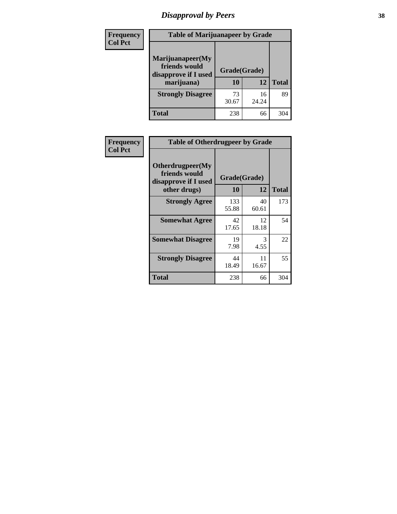# *Disapproval by Peers* **38**

| <b>Frequency</b> | <b>Table of Marijuanapeer by Grade</b>                                  |                    |             |              |  |
|------------------|-------------------------------------------------------------------------|--------------------|-------------|--------------|--|
| <b>Col Pct</b>   | Marijuanapeer(My<br>friends would<br>disapprove if I used<br>marijuana) | Grade(Grade)<br>10 | 12          | <b>Total</b> |  |
|                  | <b>Strongly Disagree</b>                                                | 73<br>30.67        | 16<br>24.24 | 89           |  |
|                  | <b>Total</b>                                                            | 238                | 66          | 304          |  |

| Frequency      | <b>Table of Otherdrugpeer by Grade</b>                                    |                    |             |              |
|----------------|---------------------------------------------------------------------------|--------------------|-------------|--------------|
| <b>Col Pct</b> | Otherdrugpeer(My<br>friends would<br>disapprove if I used<br>other drugs) | Grade(Grade)<br>10 | 12          | <b>Total</b> |
|                | <b>Strongly Agree</b>                                                     | 133<br>55.88       | 40<br>60.61 | 173          |
|                | <b>Somewhat Agree</b>                                                     | 42<br>17.65        | 12<br>18.18 | 54           |
|                | <b>Somewhat Disagree</b>                                                  | 19<br>7.98         | 3<br>4.55   | 22           |
|                | <b>Strongly Disagree</b>                                                  | 44<br>18.49        | 11<br>16.67 | 55           |
|                | <b>Total</b>                                                              | 238                | 66          | 304          |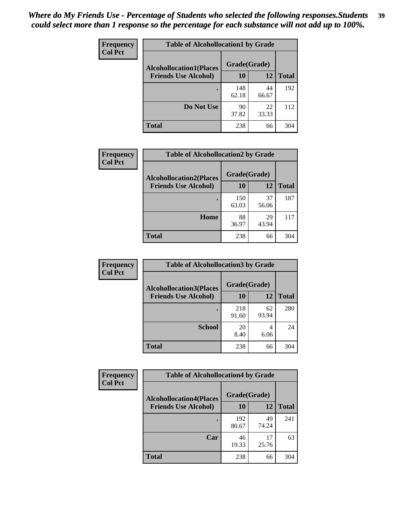| Frequency      | <b>Table of Alcohollocation1 by Grade</b> |              |             |              |  |
|----------------|-------------------------------------------|--------------|-------------|--------------|--|
| <b>Col Pct</b> | <b>Alcohollocation1(Places</b>            | Grade(Grade) |             |              |  |
|                | <b>Friends Use Alcohol)</b>               | 10           | 12          | <b>Total</b> |  |
|                |                                           | 148<br>62.18 | 44<br>66.67 | 192          |  |
|                | Do Not Use                                | 90<br>37.82  | 22<br>33.33 | 112          |  |
|                | <b>Total</b>                              | 238          | 66          | 304          |  |

| Frequency      | <b>Table of Alcohollocation2 by Grade</b>                     |                    |             |              |
|----------------|---------------------------------------------------------------|--------------------|-------------|--------------|
| <b>Col Pct</b> | <b>Alcohollocation2(Places</b><br><b>Friends Use Alcohol)</b> | Grade(Grade)<br>10 | 12          | <b>Total</b> |
|                |                                                               | 150<br>63.03       | 37<br>56.06 | 187          |
|                | Home                                                          | 88<br>36.97        | 29<br>43.94 | 117          |
|                | Total                                                         | 238                | 66          | 304          |

| Frequency<br><b>Col Pct</b> | <b>Table of Alcohollocation 3 by Grade</b>                    |                    |             |              |  |
|-----------------------------|---------------------------------------------------------------|--------------------|-------------|--------------|--|
|                             | <b>Alcohollocation3(Places</b><br><b>Friends Use Alcohol)</b> | Grade(Grade)<br>10 | 12          | <b>Total</b> |  |
|                             |                                                               | 218<br>91.60       | 62<br>93.94 | 280          |  |
|                             | <b>School</b>                                                 | 20<br>8.40         | 4<br>6.06   | 24           |  |
|                             | <b>Total</b>                                                  | 238                | 66          | 304          |  |

| <b>Frequency</b> | <b>Table of Alcohollocation4 by Grade</b> |                                                |             |              |  |
|------------------|-------------------------------------------|------------------------------------------------|-------------|--------------|--|
| <b>Col Pct</b>   |                                           | Grade(Grade)<br><b>Alcohollocation4(Places</b> |             |              |  |
|                  | <b>Friends Use Alcohol)</b>               | 10                                             | 12          | <b>Total</b> |  |
|                  |                                           | 192<br>80.67                                   | 49<br>74.24 | 241          |  |
|                  | Car                                       | 46<br>19.33                                    | 17<br>25.76 | 63           |  |
|                  | <b>Total</b>                              | 238                                            | 66          | 304          |  |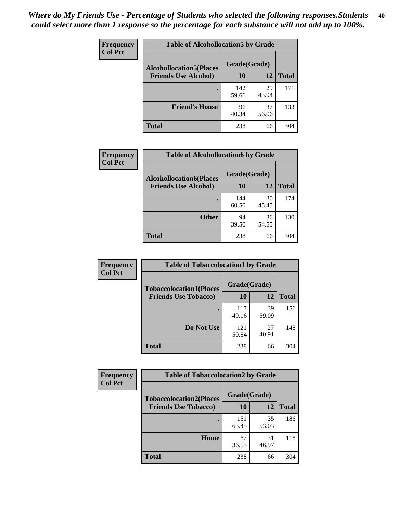| Frequency<br><b>Col Pct</b> | <b>Table of Alcohollocation5 by Grade</b><br>Grade(Grade)<br><b>Alcohollocation5(Places</b> |              |             |              |
|-----------------------------|---------------------------------------------------------------------------------------------|--------------|-------------|--------------|
|                             |                                                                                             |              |             |              |
|                             | <b>Friends Use Alcohol)</b>                                                                 | 10           | 12          | <b>Total</b> |
|                             |                                                                                             | 142<br>59.66 | 29<br>43.94 | 171          |
|                             | <b>Friend's House</b>                                                                       | 96<br>40.34  | 37<br>56.06 | 133          |
|                             | <b>Total</b>                                                                                | 238          | 66          | 304          |

| <b>Frequency</b> | <b>Table of Alcohollocation6 by Grade</b> |              |             |              |
|------------------|-------------------------------------------|--------------|-------------|--------------|
| <b>Col Pct</b>   | <b>Alcohollocation6(Places</b>            | Grade(Grade) |             |              |
|                  | <b>Friends Use Alcohol)</b>               | <b>10</b>    | 12          | <b>Total</b> |
|                  |                                           | 144<br>60.50 | 30<br>45.45 | 174          |
|                  | <b>Other</b>                              | 94<br>39.50  | 36<br>54.55 | 130          |
|                  | Total                                     | 238          | 66          | 304          |

| Frequency      | <b>Table of Tobaccolocation1 by Grade</b>                     |                    |             |              |
|----------------|---------------------------------------------------------------|--------------------|-------------|--------------|
| <b>Col Pct</b> | <b>Tobaccolocation1(Places</b><br><b>Friends Use Tobacco)</b> | Grade(Grade)<br>10 | 12          | <b>Total</b> |
|                |                                                               | 117<br>49.16       | 39<br>59.09 | 156          |
|                | Do Not Use                                                    | 121<br>50.84       | 27<br>40.91 | 148          |
|                | <b>Total</b>                                                  | 238                | 66          | 304          |

| <b>Frequency</b> | <b>Table of Tobaccolocation2 by Grade</b> |              |             |              |  |
|------------------|-------------------------------------------|--------------|-------------|--------------|--|
| <b>Col Pct</b>   | <b>Tobaccolocation2(Places</b>            | Grade(Grade) |             |              |  |
|                  | <b>Friends Use Tobacco)</b>               | 10           | 12          | <b>Total</b> |  |
|                  |                                           | 151<br>63.45 | 35<br>53.03 | 186          |  |
|                  | Home                                      | 87<br>36.55  | 31<br>46.97 | 118          |  |
|                  | <b>Total</b>                              | 238          | 66          | 304          |  |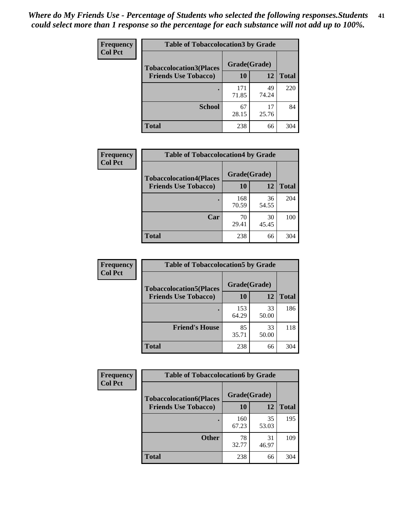| Frequency      | <b>Table of Tobaccolocation 3 by Grade</b> |              |             |              |  |
|----------------|--------------------------------------------|--------------|-------------|--------------|--|
| <b>Col Pct</b> | <b>Tobaccolocation3(Places</b>             |              |             |              |  |
|                | <b>Friends Use Tobacco)</b>                | 10           | 12          | <b>Total</b> |  |
|                |                                            | 171<br>71.85 | 49<br>74.24 | 220          |  |
|                | <b>School</b>                              | 67<br>28.15  | 17<br>25.76 | 84           |  |
|                | <b>Total</b>                               | 238          | 66          | 304          |  |

| Frequency      | <b>Table of Tobaccolocation4 by Grade</b> |              |             |              |
|----------------|-------------------------------------------|--------------|-------------|--------------|
| <b>Col Pct</b> | <b>Tobaccolocation4(Places</b>            | Grade(Grade) |             |              |
|                | <b>Friends Use Tobacco)</b>               | 10           | 12          | <b>Total</b> |
|                |                                           | 168<br>70.59 | 36<br>54.55 | 204          |
|                | Car                                       | 70<br>29.41  | 30<br>45.45 | 100          |
|                | <b>Total</b>                              | 238          | 66          | 304          |

| Frequency      | <b>Table of Tobaccolocation5 by Grade</b> |              |             |              |
|----------------|-------------------------------------------|--------------|-------------|--------------|
| <b>Col Pct</b> | <b>Tobaccolocation5(Places</b>            | Grade(Grade) |             |              |
|                | <b>Friends Use Tobacco)</b>               | 10           | <b>12</b>   | <b>Total</b> |
|                |                                           | 153<br>64.29 | 33<br>50.00 | 186          |
|                | <b>Friend's House</b>                     | 85<br>35.71  | 33<br>50.00 | 118          |
|                | <b>Total</b>                              | 238          | 66          | 304          |

| <b>Frequency</b> | <b>Table of Tobaccolocation6 by Grade</b> |              |             |              |  |
|------------------|-------------------------------------------|--------------|-------------|--------------|--|
| <b>Col Pct</b>   | <b>Tobaccolocation6(Places</b>            | Grade(Grade) |             |              |  |
|                  | <b>Friends Use Tobacco)</b>               | 10           | 12          | <b>Total</b> |  |
|                  |                                           | 160<br>67.23 | 35<br>53.03 | 195          |  |
|                  | <b>Other</b>                              | 78<br>32.77  | 31<br>46.97 | 109          |  |
|                  | <b>Total</b>                              | 238          | 66          | 304          |  |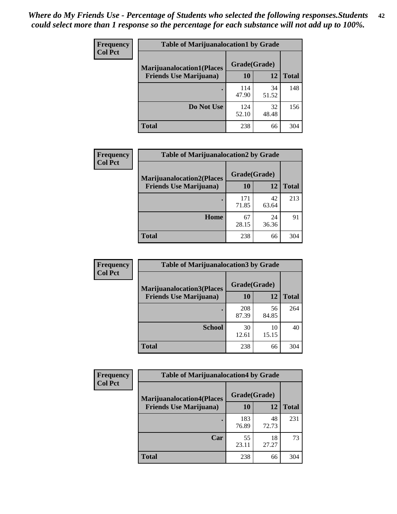| <b>Frequency</b> | <b>Table of Marijuanalocation1 by Grade</b> |              |             |              |
|------------------|---------------------------------------------|--------------|-------------|--------------|
| <b>Col Pct</b>   | <b>Marijuanalocation1(Places</b>            | Grade(Grade) |             |              |
|                  | <b>Friends Use Marijuana</b> )              | 10           | 12          | <b>Total</b> |
|                  |                                             | 114<br>47.90 | 34<br>51.52 | 148          |
|                  | Do Not Use                                  | 124<br>52.10 | 32<br>48.48 | 156          |
|                  | <b>Total</b>                                | 238          | 66          | 304          |

| <b>Frequency</b> | <b>Table of Marijuanalocation2 by Grade</b>                        |                    |             |              |
|------------------|--------------------------------------------------------------------|--------------------|-------------|--------------|
| <b>Col Pct</b>   | <b>Marijuanalocation2(Places</b><br><b>Friends Use Marijuana</b> ) | Grade(Grade)<br>10 | 12          | <b>Total</b> |
|                  |                                                                    | 171<br>71.85       | 42<br>63.64 | 213          |
|                  | Home                                                               | 67<br>28.15        | 24<br>36.36 | 91           |
|                  | <b>Total</b>                                                       | 238                | 66          | 304          |

| <b>Frequency</b><br><b>Col Pct</b> | <b>Table of Marijuanalocation3 by Grade</b> |              |             |              |
|------------------------------------|---------------------------------------------|--------------|-------------|--------------|
|                                    | <b>Marijuanalocation3</b> (Places           | Grade(Grade) |             |              |
|                                    | <b>Friends Use Marijuana</b> )              | 10           | 12          | <b>Total</b> |
|                                    |                                             | 208<br>87.39 | 56<br>84.85 | 264          |
|                                    | <b>School</b>                               | 30<br>12.61  | 10<br>15.15 | 40           |
|                                    | <b>Total</b>                                | 238          | 66          | 304          |

| <b>Frequency</b> | <b>Table of Marijuanalocation4 by Grade</b> |              |             |              |  |
|------------------|---------------------------------------------|--------------|-------------|--------------|--|
| <b>Col Pct</b>   | <b>Marijuanalocation4(Places</b>            | Grade(Grade) |             |              |  |
|                  | <b>Friends Use Marijuana</b> )              | <b>10</b>    | 12          | <b>Total</b> |  |
|                  |                                             | 183<br>76.89 | 48<br>72.73 | 231          |  |
|                  | Car                                         | 55<br>23.11  | 18<br>27.27 | 73           |  |
|                  | <b>Total</b>                                | 238          | 66          | 304          |  |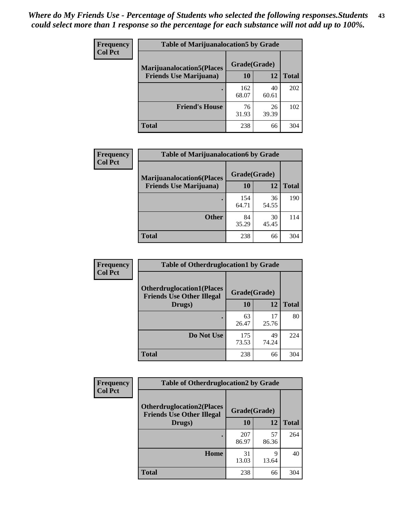| <b>Frequency</b> | <b>Table of Marijuanalocation5 by Grade</b> |              |             |              |
|------------------|---------------------------------------------|--------------|-------------|--------------|
| <b>Col Pct</b>   | <b>Marijuanalocation5</b> (Places           | Grade(Grade) |             |              |
|                  | <b>Friends Use Marijuana</b> )              | 10           | 12          | <b>Total</b> |
|                  |                                             | 162<br>68.07 | 40<br>60.61 | 202          |
|                  | <b>Friend's House</b>                       | 76<br>31.93  | 26<br>39.39 | 102          |
|                  | <b>Total</b>                                | 238          | 66          | 304          |

| <b>Frequency</b> | <b>Table of Marijuanalocation6 by Grade</b>                        |                    |             |              |
|------------------|--------------------------------------------------------------------|--------------------|-------------|--------------|
| <b>Col Pct</b>   | <b>Marijuanalocation6(Places</b><br><b>Friends Use Marijuana</b> ) | Grade(Grade)<br>10 | 12          | <b>Total</b> |
|                  |                                                                    | 154<br>64.71       | 36<br>54.55 | 190          |
|                  | <b>Other</b>                                                       | 84<br>35.29        | 30<br>45.45 | 114          |
|                  | <b>Total</b>                                                       | 238                | 66          | 304          |

| <b>Frequency</b> | <b>Table of Otherdruglocation1 by Grade</b>                          |              |             |              |
|------------------|----------------------------------------------------------------------|--------------|-------------|--------------|
| <b>Col Pct</b>   | <b>Otherdruglocation1(Places</b><br><b>Friends Use Other Illegal</b> | Grade(Grade) |             |              |
|                  | Drugs)                                                               | 10           | 12          | <b>Total</b> |
|                  |                                                                      | 63<br>26.47  | 17<br>25.76 | 80           |
|                  | Do Not Use                                                           | 175<br>73.53 | 49<br>74.24 | 224          |
|                  | <b>Total</b>                                                         | 238          | 66          | 304          |

| Frequency      | <b>Table of Otherdruglocation2 by Grade</b>                           |              |             |              |
|----------------|-----------------------------------------------------------------------|--------------|-------------|--------------|
| <b>Col Pct</b> | <b>Otherdruglocation2(Places)</b><br><b>Friends Use Other Illegal</b> | Grade(Grade) |             |              |
|                | Drugs)                                                                | 10           | 12          | <b>Total</b> |
|                |                                                                       | 207<br>86.97 | 57<br>86.36 | 264          |
|                | Home                                                                  | 31<br>13.03  | 9<br>13.64  | 40           |
|                | <b>Total</b>                                                          | 238          | 66          | 304          |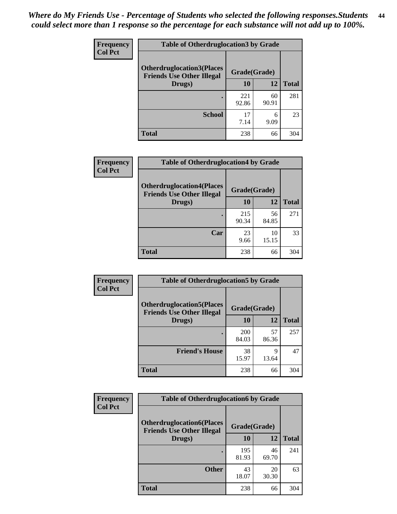| <b>Frequency</b> |                                                                      | <b>Table of Otherdruglocation3 by Grade</b> |              |              |  |
|------------------|----------------------------------------------------------------------|---------------------------------------------|--------------|--------------|--|
| <b>Col Pct</b>   | <b>Otherdruglocation3(Places</b><br><b>Friends Use Other Illegal</b> |                                             | Grade(Grade) |              |  |
|                  | Drugs)                                                               | 10                                          | 12           | <b>Total</b> |  |
|                  |                                                                      | 221<br>92.86                                | 60<br>90.91  | 281          |  |
|                  | <b>School</b>                                                        | 17<br>7.14                                  | 6<br>9.09    | 23           |  |
|                  | <b>Total</b>                                                         | 238                                         | 66           | 304          |  |

| <b>Frequency</b> | <b>Table of Otherdruglocation4 by Grade</b>                          |              |             |              |
|------------------|----------------------------------------------------------------------|--------------|-------------|--------------|
| <b>Col Pct</b>   | <b>Otherdruglocation4(Places</b><br><b>Friends Use Other Illegal</b> | Grade(Grade) |             |              |
|                  | Drugs)                                                               | 10           | 12          | <b>Total</b> |
|                  |                                                                      | 215<br>90.34 | 56<br>84.85 | 271          |
|                  | Car                                                                  | 23<br>9.66   | 10<br>15.15 | 33           |
|                  | <b>Total</b>                                                         | 238          | 66          | 304          |

| Frequency      | <b>Table of Otherdruglocation5 by Grade</b>                          |              |             |              |
|----------------|----------------------------------------------------------------------|--------------|-------------|--------------|
| <b>Col Pct</b> | <b>Otherdruglocation5(Places</b><br><b>Friends Use Other Illegal</b> | Grade(Grade) |             |              |
|                | Drugs)                                                               | 10           | 12          | <b>Total</b> |
|                |                                                                      | 200<br>84.03 | 57<br>86.36 | 257          |
|                | <b>Friend's House</b>                                                | 38<br>15.97  | Q<br>13.64  | 47           |
|                | <b>Total</b>                                                         | 238          | 66          | 304          |

| <b>Frequency</b> | <b>Table of Otherdruglocation6 by Grade</b>                          |              |             |              |
|------------------|----------------------------------------------------------------------|--------------|-------------|--------------|
| <b>Col Pct</b>   | <b>Otherdruglocation6(Places</b><br><b>Friends Use Other Illegal</b> | Grade(Grade) |             |              |
|                  | Drugs)                                                               | 10           | 12          | <b>Total</b> |
|                  |                                                                      | 195<br>81.93 | 46<br>69.70 | 241          |
|                  | <b>Other</b>                                                         | 43<br>18.07  | 20<br>30.30 | 63           |
|                  | <b>Total</b>                                                         | 238          | 66          | 304          |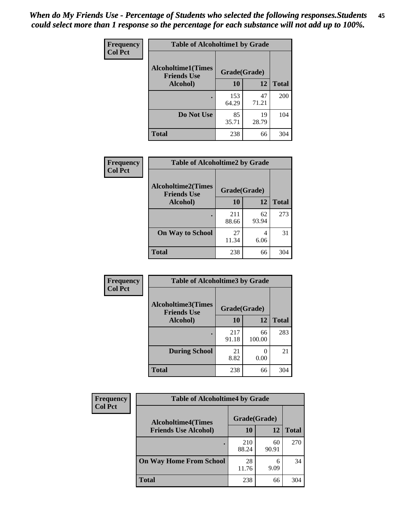| Frequency      | <b>Table of Alcoholtime1 by Grade</b>           |              |             |              |
|----------------|-------------------------------------------------|--------------|-------------|--------------|
| <b>Col Pct</b> | <b>Alcoholtime1(Times</b><br><b>Friends Use</b> | Grade(Grade) |             |              |
|                | Alcohol)                                        | 10           | 12          | <b>Total</b> |
|                |                                                 | 153<br>64.29 | 47<br>71.21 | 200          |
|                | Do Not Use                                      | 85<br>35.71  | 19<br>28.79 | 104          |
|                | <b>Total</b>                                    | 238          | 66          | 304          |

| Frequency      | <b>Table of Alcoholtime2 by Grade</b>           |              |             |              |
|----------------|-------------------------------------------------|--------------|-------------|--------------|
| <b>Col Pct</b> | <b>Alcoholtime2(Times</b><br><b>Friends Use</b> | Grade(Grade) |             |              |
|                | Alcohol)                                        | 10           | 12          | <b>Total</b> |
|                |                                                 | 211<br>88.66 | 62<br>93.94 | 273          |
|                | <b>On Way to School</b>                         | 27<br>11.34  | 4<br>6.06   | 31           |
|                | <b>Total</b>                                    | 238          | 66          | 304          |

| Frequency      | <b>Table of Alcoholtime3 by Grade</b>    |              |                           |              |
|----------------|------------------------------------------|--------------|---------------------------|--------------|
| <b>Col Pct</b> | Alcoholtime3(Times<br><b>Friends Use</b> | Grade(Grade) |                           |              |
|                | Alcohol)                                 | 10           | 12                        | <b>Total</b> |
|                |                                          | 217<br>91.18 | 66<br>100.00              | 283          |
|                | <b>During School</b>                     | 21<br>8.82   | $\mathbf{\Omega}$<br>0.00 | 21           |
|                | Total                                    | 238          | 66                        | 304          |

| <b>Frequency</b> | <b>Table of Alcoholtime4 by Grade</b> |              |             |              |  |
|------------------|---------------------------------------|--------------|-------------|--------------|--|
| <b>Col Pct</b>   | <b>Alcoholtime4(Times</b>             | Grade(Grade) |             |              |  |
|                  | <b>Friends Use Alcohol)</b>           | 10           | 12          | <b>Total</b> |  |
|                  | ٠                                     | 210<br>88.24 | 60<br>90.91 | 270          |  |
|                  | <b>On Way Home From School</b>        | 28<br>11.76  | 6<br>9.09   | 34           |  |
|                  | <b>Total</b>                          | 238          | 66          | 304          |  |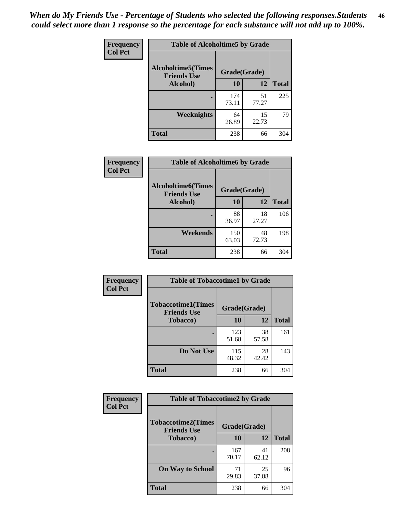*When do My Friends Use - Percentage of Students who selected the following responses.Students could select more than 1 response so the percentage for each substance will not add up to 100%.* **46**

| Frequency      | <b>Table of Alcoholtime5 by Grade</b>            |              |             |              |
|----------------|--------------------------------------------------|--------------|-------------|--------------|
| <b>Col Pct</b> | <b>Alcoholtime5</b> (Times<br><b>Friends Use</b> | Grade(Grade) |             |              |
|                | Alcohol)                                         | 10           | 12          | <b>Total</b> |
|                |                                                  | 174<br>73.11 | 51<br>77.27 | 225          |
|                | Weeknights                                       | 64<br>26.89  | 15<br>22.73 | 79           |
|                | <b>Total</b>                                     | 238          | 66          | 304          |

| Frequency      | <b>Table of Alcoholtime6 by Grade</b>           |              |             |              |
|----------------|-------------------------------------------------|--------------|-------------|--------------|
| <b>Col Pct</b> | <b>Alcoholtime6(Times</b><br><b>Friends Use</b> | Grade(Grade) |             |              |
|                | Alcohol)                                        | 10           | 12          | <b>Total</b> |
|                |                                                 | 88<br>36.97  | 18<br>27.27 | 106          |
|                | Weekends                                        | 150<br>63.03 | 48<br>72.73 | 198          |
|                | <b>Total</b>                                    | 238          | 66          | 304          |

| Frequency      | <b>Table of Tobaccotime1 by Grade</b>           |              |             |              |
|----------------|-------------------------------------------------|--------------|-------------|--------------|
| <b>Col Pct</b> | <b>Tobaccotime1(Times</b><br><b>Friends Use</b> | Grade(Grade) |             |              |
|                | <b>Tobacco</b> )                                | 10           | 12          | <b>Total</b> |
|                |                                                 | 123<br>51.68 | 38<br>57.58 | 161          |
|                | Do Not Use                                      | 115<br>48.32 | 28<br>42.42 | 143          |
|                | <b>Total</b>                                    | 238          | 66          | 304          |

| Frequency      |                                                 | <b>Table of Tobaccotime2 by Grade</b> |             |              |  |
|----------------|-------------------------------------------------|---------------------------------------|-------------|--------------|--|
| <b>Col Pct</b> | <b>Tobaccotime2(Times</b><br><b>Friends Use</b> | Grade(Grade)                          |             |              |  |
|                | <b>Tobacco</b> )                                | 10                                    | 12          | <b>Total</b> |  |
|                |                                                 | 167<br>70.17                          | 41<br>62.12 | 208          |  |
|                | <b>On Way to School</b>                         | 71<br>29.83                           | 25<br>37.88 | 96           |  |
|                | <b>Total</b>                                    | 238                                   | 66          | 304          |  |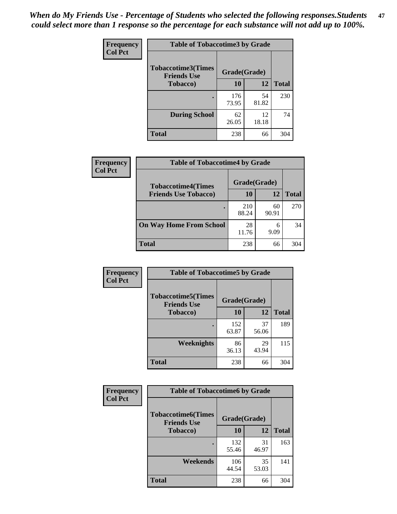*When do My Friends Use - Percentage of Students who selected the following responses.Students could select more than 1 response so the percentage for each substance will not add up to 100%.* **47**

| <b>Frequency</b> | <b>Table of Tobaccotime3 by Grade</b>           |              |             |              |  |
|------------------|-------------------------------------------------|--------------|-------------|--------------|--|
| <b>Col Pct</b>   | <b>Tobaccotime3(Times</b><br><b>Friends Use</b> | Grade(Grade) |             |              |  |
|                  | <b>Tobacco</b> )                                | 10           | 12          | <b>Total</b> |  |
|                  |                                                 | 176<br>73.95 | 54<br>81.82 | 230          |  |
|                  | <b>During School</b>                            | 62<br>26.05  | 12<br>18.18 | 74           |  |
|                  | <b>Total</b>                                    | 238          | 66          | 304          |  |

| Frequency<br><b>Col Pct</b> | <b>Table of Tobaccotime4 by Grade</b> |              |             |              |
|-----------------------------|---------------------------------------|--------------|-------------|--------------|
|                             | <b>Tobaccotime4(Times</b>             | Grade(Grade) |             |              |
|                             | <b>Friends Use Tobacco)</b>           | 10           | 12          | <b>Total</b> |
|                             |                                       | 210<br>88.24 | 60<br>90.91 | 270          |
|                             | <b>On Way Home From School</b>        | 28<br>11.76  | 6<br>9.09   | 34           |
|                             | <b>Total</b>                          | 238          | 66          | 304          |

| <b>Frequency</b> | <b>Table of Tobaccotime5 by Grade</b>            |              |             |              |
|------------------|--------------------------------------------------|--------------|-------------|--------------|
| <b>Col Pct</b>   | <b>Tobaccotime5</b> (Times<br><b>Friends Use</b> | Grade(Grade) |             |              |
|                  | <b>Tobacco</b> )                                 | 10           | 12          | <b>Total</b> |
|                  |                                                  | 152<br>63.87 | 37<br>56.06 | 189          |
|                  | <b>Weeknights</b>                                | 86<br>36.13  | 29<br>43.94 | 115          |
|                  | <b>Total</b>                                     | 238          | 66          | 304          |

| Frequency<br><b>Col Pct</b> | <b>Table of Tobaccotime6 by Grade</b>                           |              |             |              |
|-----------------------------|-----------------------------------------------------------------|--------------|-------------|--------------|
|                             | <b>Tobaccotime6(Times</b><br>Grade(Grade)<br><b>Friends Use</b> |              |             |              |
|                             | <b>Tobacco</b> )                                                | 10           | 12          | <b>Total</b> |
|                             |                                                                 | 132<br>55.46 | 31<br>46.97 | 163          |
|                             | Weekends                                                        | 106<br>44.54 | 35<br>53.03 | 141          |
|                             | <b>Total</b>                                                    | 238          | 66          | 304          |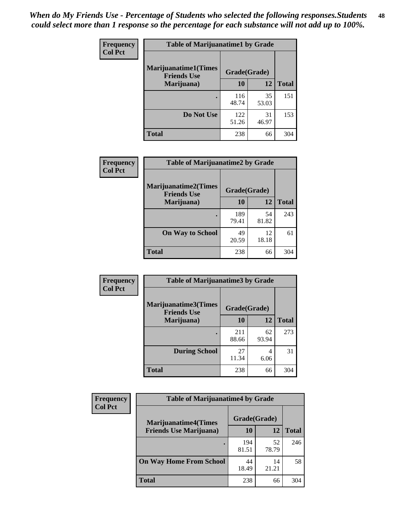| Frequency      | <b>Table of Marijuanatime1 by Grade</b>           |              |             |              |
|----------------|---------------------------------------------------|--------------|-------------|--------------|
| <b>Col Pct</b> | <b>Marijuanatime1(Times</b><br><b>Friends Use</b> | Grade(Grade) |             |              |
|                | Marijuana)                                        | 10           | 12          | <b>Total</b> |
|                |                                                   | 116<br>48.74 | 35<br>53.03 | 151          |
|                | Do Not Use                                        | 122<br>51.26 | 31<br>46.97 | 153          |
|                | <b>Total</b>                                      | 238          | 66          | 304          |

| Frequency      | <b>Table of Marijuanatime2 by Grade</b>           |              |             |              |
|----------------|---------------------------------------------------|--------------|-------------|--------------|
| <b>Col Pct</b> | <b>Marijuanatime2(Times</b><br><b>Friends Use</b> | Grade(Grade) |             |              |
|                | Marijuana)                                        | 10           | 12          | <b>Total</b> |
|                |                                                   | 189<br>79.41 | 54<br>81.82 | 243          |
|                | <b>On Way to School</b>                           | 49<br>20.59  | 12<br>18.18 | 61           |
|                | <b>Total</b>                                      | 238          | 66          | 304          |

| Frequency      | <b>Table of Marijuanatime3 by Grade</b>    |              |             |              |
|----------------|--------------------------------------------|--------------|-------------|--------------|
| <b>Col Pct</b> | Marijuanatime3(Times<br><b>Friends Use</b> | Grade(Grade) |             |              |
|                | Marijuana)                                 | 10           | 12          | <b>Total</b> |
|                |                                            | 211<br>88.66 | 62<br>93.94 | 273          |
|                | <b>During School</b>                       | 27<br>11.34  | 4<br>6.06   | 31           |
|                | <b>Total</b>                               | 238          | 66          | 304          |

| <b>Frequency</b> | <b>Table of Marijuanatime4 by Grade</b> |              |             |              |
|------------------|-----------------------------------------|--------------|-------------|--------------|
| <b>Col Pct</b>   | <b>Marijuanatime4(Times</b>             | Grade(Grade) |             |              |
|                  | <b>Friends Use Marijuana</b> )          | 10           | 12          | <b>Total</b> |
|                  |                                         | 194<br>81.51 | 52<br>78.79 | 246          |
|                  | <b>On Way Home From School</b>          | 44<br>18.49  | 14<br>21.21 | 58           |
|                  | <b>Total</b>                            | 238          | 66          | 304          |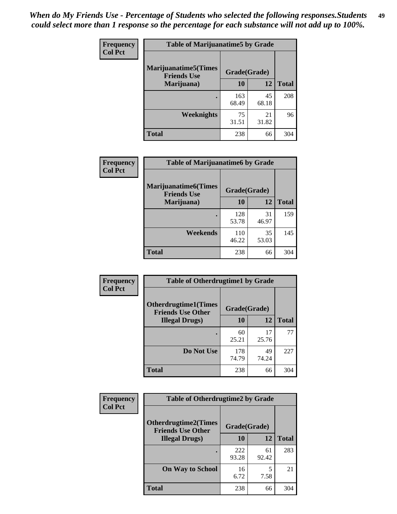| Frequency      | <b>Table of Marijuanatime5 by Grade</b>            |              |             |              |
|----------------|----------------------------------------------------|--------------|-------------|--------------|
| <b>Col Pct</b> | <b>Marijuanatime5</b> (Times<br><b>Friends Use</b> | Grade(Grade) |             |              |
|                | Marijuana)                                         | 10           | 12          | <b>Total</b> |
|                |                                                    | 163<br>68.49 | 45<br>68.18 | 208          |
|                | Weeknights                                         | 75<br>31.51  | 21<br>31.82 | 96           |
|                | <b>Total</b>                                       | 238          | 66          | 304          |

| <b>Frequency</b> | <b>Table of Marijuanatime6 by Grade</b>            |              |             |              |
|------------------|----------------------------------------------------|--------------|-------------|--------------|
| <b>Col Pct</b>   | <b>Marijuanatime6</b> (Times<br><b>Friends Use</b> | Grade(Grade) |             |              |
|                  | Marijuana)                                         | 10           | 12          | <b>Total</b> |
|                  |                                                    | 128<br>53.78 | 31<br>46.97 | 159          |
|                  | Weekends                                           | 110<br>46.22 | 35<br>53.03 | 145          |
|                  | <b>Total</b>                                       | 238          | 66          | 304          |

| <b>Frequency</b> | <b>Table of Otherdrugtime1 by Grade</b>                  |              |             |              |
|------------------|----------------------------------------------------------|--------------|-------------|--------------|
| <b>Col Pct</b>   | <b>Otherdrugtime1</b> (Times<br><b>Friends Use Other</b> | Grade(Grade) |             |              |
|                  | <b>Illegal Drugs</b> )                                   | 10           | 12          | <b>Total</b> |
|                  |                                                          | 60<br>25.21  | 17<br>25.76 | 77           |
|                  | Do Not Use                                               | 178<br>74.79 | 49<br>74.24 | 227          |
|                  | <b>Total</b>                                             | 238          | 66          | 304          |

| <b>Frequency</b><br><b>Col Pct</b> | <b>Table of Otherdrugtime2 by Grade</b>                 |              |             |              |  |  |
|------------------------------------|---------------------------------------------------------|--------------|-------------|--------------|--|--|
|                                    | <b>Otherdrugtime2(Times</b><br><b>Friends Use Other</b> | Grade(Grade) |             |              |  |  |
|                                    | <b>Illegal Drugs</b> )                                  | 10           | 12          | <b>Total</b> |  |  |
|                                    |                                                         | 222<br>93.28 | 61<br>92.42 | 283          |  |  |
|                                    | <b>On Way to School</b>                                 | 16<br>6.72   | 5<br>7.58   | 21           |  |  |
|                                    | <b>Total</b>                                            | 238          | 66          | 304          |  |  |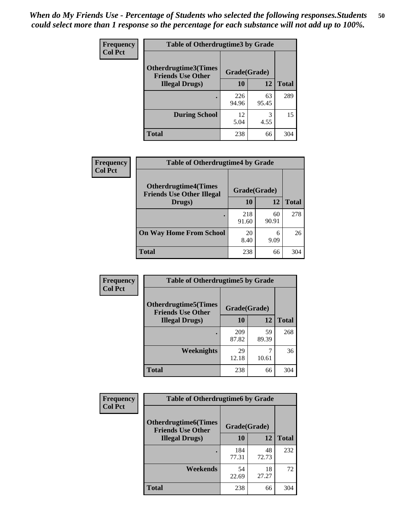| <b>Frequency</b> | <b>Table of Otherdrugtime3 by Grade</b>                 |              |             |              |  |  |  |
|------------------|---------------------------------------------------------|--------------|-------------|--------------|--|--|--|
| <b>Col Pct</b>   | <b>Otherdrugtime3(Times</b><br><b>Friends Use Other</b> | Grade(Grade) |             |              |  |  |  |
|                  | <b>Illegal Drugs</b> )                                  | 10           | 12          | <b>Total</b> |  |  |  |
|                  |                                                         | 226<br>94.96 | 63<br>95.45 | 289          |  |  |  |
|                  | <b>During School</b>                                    | 12<br>5.04   | 3<br>4.55   | 15           |  |  |  |
|                  | <b>Total</b>                                            | 238          | 66          | 304          |  |  |  |

| <b>Frequency</b> | <b>Table of Otherdrugtime4 by Grade</b>                         |              |             |              |  |  |
|------------------|-----------------------------------------------------------------|--------------|-------------|--------------|--|--|
| <b>Col Pct</b>   | <b>Otherdrugtime4(Times</b><br><b>Friends Use Other Illegal</b> | Grade(Grade) |             |              |  |  |
|                  | Drugs)                                                          | 10           | 12          | <b>Total</b> |  |  |
|                  |                                                                 | 218<br>91.60 | 60<br>90.91 | 278          |  |  |
|                  | <b>On Way Home From School</b>                                  | 20<br>8.40   | 6<br>9.09   | 26           |  |  |
|                  | <b>Total</b>                                                    | 238          | 66          | 304          |  |  |

| <b>Frequency</b> | <b>Table of Otherdrugtime5 by Grade</b>                  |              |             |              |  |  |
|------------------|----------------------------------------------------------|--------------|-------------|--------------|--|--|
| <b>Col Pct</b>   | <b>Otherdrugtime5</b> (Times<br><b>Friends Use Other</b> | Grade(Grade) |             |              |  |  |
|                  | <b>Illegal Drugs</b> )                                   |              | 12          | <b>Total</b> |  |  |
|                  |                                                          | 209<br>87.82 | 59<br>89.39 | 268          |  |  |
|                  | Weeknights                                               | 29<br>12.18  | 10.61       | 36           |  |  |
|                  | Total                                                    | 238          | 66          | 304          |  |  |

| Frequency      | <b>Table of Otherdrugtime6 by Grade</b>                 |              |             |              |  |  |
|----------------|---------------------------------------------------------|--------------|-------------|--------------|--|--|
| <b>Col Pct</b> | <b>Otherdrugtime6(Times</b><br><b>Friends Use Other</b> | Grade(Grade) |             |              |  |  |
|                | <b>Illegal Drugs</b> )                                  | 10           | 12          | <b>Total</b> |  |  |
|                |                                                         | 184<br>77.31 | 48<br>72.73 | 232          |  |  |
|                | Weekends                                                | 54<br>22.69  | 18<br>27.27 | 72           |  |  |
|                | <b>Total</b>                                            | 238          | 66          | 304          |  |  |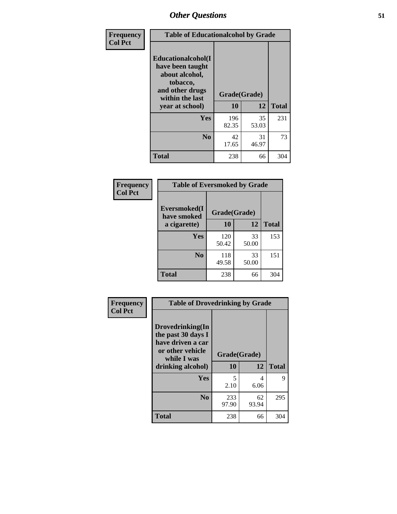| Frequency      | <b>Table of Educationalcohol by Grade</b>                                                                  |              |             |              |  |  |
|----------------|------------------------------------------------------------------------------------------------------------|--------------|-------------|--------------|--|--|
| <b>Col Pct</b> | Educationalcohol(I<br>have been taught<br>about alcohol,<br>tobacco,<br>and other drugs<br>within the last | Grade(Grade) |             |              |  |  |
|                | year at school)                                                                                            | 10           | 12          | <b>Total</b> |  |  |
|                | <b>Yes</b>                                                                                                 | 196<br>82.35 | 35<br>53.03 | 231          |  |  |
|                | N <sub>0</sub>                                                                                             | 42<br>17.65  | 31<br>46.97 | 73           |  |  |
|                | <b>Total</b>                                                                                               | 238          | 66          | 304          |  |  |

| Frequency      | <b>Table of Eversmoked by Grade</b> |              |             |              |  |  |
|----------------|-------------------------------------|--------------|-------------|--------------|--|--|
| <b>Col Pct</b> | Eversmoked(I<br>have smoked         |              |             |              |  |  |
|                | a cigarette)                        | 10           | 12          | <b>Total</b> |  |  |
|                | <b>Yes</b>                          | 120<br>50.42 | 33<br>50.00 | 153          |  |  |
|                | N <sub>0</sub>                      | 118<br>49.58 | 33<br>50.00 | 151          |  |  |
|                | <b>Total</b>                        | 238          | 66          | 304          |  |  |

| Frequency<br><b>Col Pct</b> | <b>Table of Drovedrinking by Grade</b>                                                         |              |                |              |  |  |
|-----------------------------|------------------------------------------------------------------------------------------------|--------------|----------------|--------------|--|--|
|                             | Drovedrinking(In<br>the past 30 days I<br>have driven a car<br>or other vehicle<br>while I was | Grade(Grade) |                |              |  |  |
|                             | drinking alcohol)                                                                              | 10           | 12             | <b>Total</b> |  |  |
|                             | <b>Yes</b>                                                                                     | 5            | $\overline{4}$ | 9            |  |  |
|                             |                                                                                                | 2.10         | 6.06           |              |  |  |
|                             | N <sub>0</sub>                                                                                 | 233<br>97.90 | 62<br>93.94    | 295          |  |  |
|                             | <b>Total</b>                                                                                   | 238          | 66             | 304          |  |  |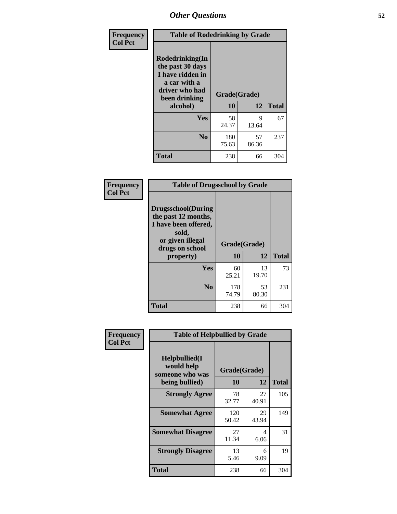| Frequency<br><b>Col Pct</b> | <b>Table of Rodedrinking by Grade</b>                                                                                  |                    |             |              |  |  |
|-----------------------------|------------------------------------------------------------------------------------------------------------------------|--------------------|-------------|--------------|--|--|
|                             | Rodedrinking(In<br>the past 30 days<br>I have ridden in<br>a car with a<br>driver who had<br>been drinking<br>alcohol) | Grade(Grade)<br>10 | 12          | <b>Total</b> |  |  |
|                             | <b>Yes</b>                                                                                                             | 58<br>24.37        | 9<br>13.64  | 67           |  |  |
|                             | N <sub>0</sub>                                                                                                         | 180<br>75.63       | 57<br>86.36 | 237          |  |  |
|                             | <b>Total</b>                                                                                                           | 238                | 66          | 304          |  |  |

#### **Frequency Col Pct**

| <b>Table of Drugsschool by Grade</b>                                                                                      |              |             |              |  |  |  |
|---------------------------------------------------------------------------------------------------------------------------|--------------|-------------|--------------|--|--|--|
| <b>Drugsschool</b> (During<br>the past 12 months,<br>I have been offered,<br>sold,<br>or given illegal<br>drugs on school | Grade(Grade) |             |              |  |  |  |
| property)                                                                                                                 | 10           | 12          | <b>Total</b> |  |  |  |
| Yes                                                                                                                       | 60<br>25.21  | 13<br>19.70 | 73           |  |  |  |
| N <sub>0</sub>                                                                                                            | 178<br>74.79 | 53<br>80.30 | 231          |  |  |  |
| Total                                                                                                                     | 238          | 66          | 304          |  |  |  |

| Frequency      | <b>Table of Helpbullied by Grade</b>                                   |                                 |             |              |  |  |  |
|----------------|------------------------------------------------------------------------|---------------------------------|-------------|--------------|--|--|--|
| <b>Col Pct</b> | $Helpb$ ullied $(I$<br>would help<br>someone who was<br>being bullied) | Grade(Grade)<br><b>10</b><br>12 |             | <b>Total</b> |  |  |  |
|                | <b>Strongly Agree</b>                                                  | 78<br>32.77                     | 27<br>40.91 | 105          |  |  |  |
|                | <b>Somewhat Agree</b>                                                  | 120<br>50.42                    | 29<br>43.94 | 149          |  |  |  |
|                | <b>Somewhat Disagree</b>                                               | 27<br>11.34                     | 4<br>6.06   | 31           |  |  |  |
|                | <b>Strongly Disagree</b>                                               | 13<br>5.46                      | 6<br>9.09   | 19           |  |  |  |
|                | Total                                                                  | 238                             | 66          | 304          |  |  |  |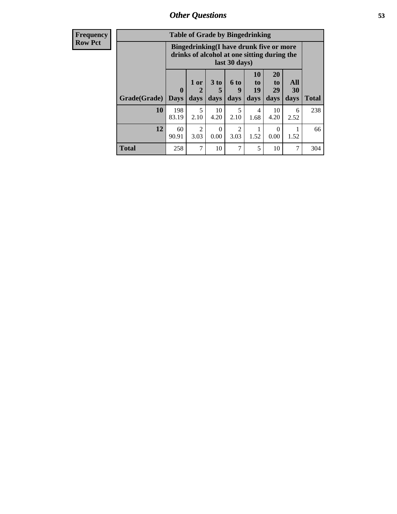| <b>Frequency</b> | <b>Table of Grade by Bingedrinking</b> |                                                                                                         |              |                   |                        |                               |                               |                          |              |
|------------------|----------------------------------------|---------------------------------------------------------------------------------------------------------|--------------|-------------------|------------------------|-------------------------------|-------------------------------|--------------------------|--------------|
| <b>Row Pct</b>   |                                        | Bingedrinking(I have drunk five or more<br>drinks of alcohol at one sitting during the<br>last 30 days) |              |                   |                        |                               |                               |                          |              |
|                  | Grade(Grade)                           | $\mathbf{0}$<br><b>Days</b>                                                                             | 1 or<br>days | 3 to<br>5<br>days | 6 to<br>9<br>days      | <b>10</b><br>to<br>19<br>days | <b>20</b><br>to<br>29<br>days | <b>All</b><br>30<br>days | <b>Total</b> |
|                  | 10                                     | 198<br>83.19                                                                                            | 5<br>2.10    | 10<br>4.20        | 5<br>2.10              | 4<br>1.68                     | 10<br>4.20                    | 6<br>2.52                | 238          |
|                  | 12                                     | 60<br>90.91                                                                                             | 2<br>3.03    | $\Omega$<br>0.00  | $\overline{c}$<br>3.03 | 1.52                          | 0<br>0.00                     | 1.52                     | 66           |
|                  | <b>Total</b>                           | 258                                                                                                     | 7            | 10                | 7                      | 5                             | 10                            | 7                        | 304          |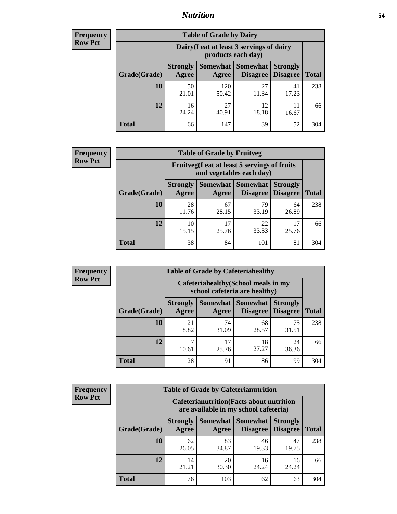### *Nutrition* **54**

| <b>Frequency</b><br>Row Pct |
|-----------------------------|
|                             |

| <b>Table of Grade by Dairy</b> |                          |                                                                                        |             |             |     |  |  |  |
|--------------------------------|--------------------------|----------------------------------------------------------------------------------------|-------------|-------------|-----|--|--|--|
|                                |                          | Dairy (I eat at least 3 servings of dairy<br>products each day)                        |             |             |     |  |  |  |
| Grade(Grade)                   | <b>Strongly</b><br>Agree | Somewhat<br><b>Somewhat</b><br><b>Strongly</b><br><b>Disagree</b><br>Disagree<br>Agree |             |             |     |  |  |  |
| 10                             | 50<br>21.01              | 120<br>50.42                                                                           | 27<br>11.34 | 41<br>17.23 | 238 |  |  |  |
| 12                             | 16<br>24.24              | 27<br>40.91                                                                            | 12<br>18.18 | 16.67       | 66  |  |  |  |
| <b>Total</b>                   | 66                       | 147                                                                                    | 39          | 52          | 304 |  |  |  |

| <b>Frequency</b> |  |
|------------------|--|
| <b>Row Pct</b>   |  |

| <b>Table of Grade by Fruitveg</b> |                          |                                                                                       |             |             |     |  |  |
|-----------------------------------|--------------------------|---------------------------------------------------------------------------------------|-------------|-------------|-----|--|--|
|                                   |                          | Fruitveg(I eat at least 5 servings of fruits<br>and vegetables each day)              |             |             |     |  |  |
| Grade(Grade)                      | <b>Strongly</b><br>Agree | <b>Somewhat   Somewhat</b><br><b>Strongly</b><br><b>Disagree</b><br>Disagree<br>Agree |             |             |     |  |  |
| 10                                | 28<br>11.76              | 67<br>28.15                                                                           | 79<br>33.19 | 64<br>26.89 | 238 |  |  |
| 12                                | 10<br>15.15              | 17<br>25.76                                                                           | 22<br>33.33 | 17<br>25.76 | 66  |  |  |
| <b>Total</b>                      | 38                       | 84                                                                                    | 101         | 81          | 304 |  |  |

| <b>Frequency</b> | <b>Table of Grade by Cafeteriahealthy</b> |                                                                       |                     |                      |                                    |              |  |  |
|------------------|-------------------------------------------|-----------------------------------------------------------------------|---------------------|----------------------|------------------------------------|--------------|--|--|
| <b>Row Pct</b>   |                                           | Cafeteriahealthy (School meals in my<br>school cafeteria are healthy) |                     |                      |                                    |              |  |  |
|                  | Grade(Grade)                              | <b>Strongly</b><br>Agree                                              | Somewhat  <br>Agree | Somewhat<br>Disagree | <b>Strongly</b><br><b>Disagree</b> | <b>Total</b> |  |  |
|                  | 10                                        | 21<br>8.82                                                            | 74<br>31.09         | 68<br>28.57          | 75<br>31.51                        | 238          |  |  |
|                  | 12                                        | 10.61                                                                 | 17<br>25.76         | 18<br>27.27          | 24<br>36.36                        | 66           |  |  |
|                  | Total                                     | 28                                                                    | 91                  | 86                   | 99                                 | 304          |  |  |

| <b>Frequency</b> |
|------------------|
| <b>Row Pct</b>   |

| <b>Table of Grade by Cafeterianutrition</b>                                                                                                 |                                                                                           |             |             |             |              |  |  |
|---------------------------------------------------------------------------------------------------------------------------------------------|-------------------------------------------------------------------------------------------|-------------|-------------|-------------|--------------|--|--|
|                                                                                                                                             | <b>Cafeterianutrition</b> (Facts about nutrition<br>are available in my school cafeteria) |             |             |             |              |  |  |
| <b>Somewhat</b><br>Somewhat  <br><b>Strongly</b><br><b>Strongly</b><br><b>Disagree</b><br>Grade(Grade)<br>Agree<br><b>Disagree</b><br>Agree |                                                                                           |             |             |             | <b>Total</b> |  |  |
| 10                                                                                                                                          | 62<br>26.05                                                                               | 83<br>34.87 | 46<br>19.33 | 47<br>19.75 | 238          |  |  |
| 12                                                                                                                                          | 14<br>21.21                                                                               | 20<br>30.30 | 16<br>24.24 | 16<br>24.24 | 66           |  |  |
| <b>Total</b>                                                                                                                                | 76                                                                                        | 103         | 62          | 63          | 304          |  |  |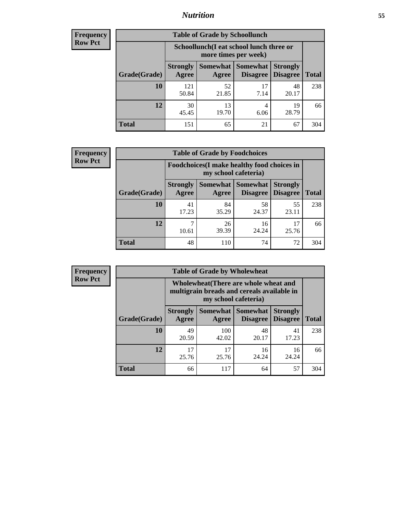### *Nutrition* **55**

| Frequency |
|-----------|
| Row Pct   |

| <b>Table of Grade by Schoollunch</b> |                                                                                                                                      |                                                                 |            |             |     |  |  |  |
|--------------------------------------|--------------------------------------------------------------------------------------------------------------------------------------|-----------------------------------------------------------------|------------|-------------|-----|--|--|--|
|                                      |                                                                                                                                      | Schoollunch(I eat school lunch three or<br>more times per week) |            |             |     |  |  |  |
| Grade(Grade)                         | Somewhat  <br><b>Somewhat</b><br><b>Strongly</b><br><b>Strongly</b><br><b>Disagree</b><br>Disagree<br><b>Total</b><br>Agree<br>Agree |                                                                 |            |             |     |  |  |  |
| 10                                   | 121<br>50.84                                                                                                                         | 52<br>21.85                                                     | 17<br>7.14 | 48<br>20.17 | 238 |  |  |  |
| 12                                   | 30<br>45.45                                                                                                                          | 13<br>19.70                                                     | 4<br>6.06  | 19<br>28.79 | 66  |  |  |  |
| <b>Total</b>                         | 151                                                                                                                                  | 65                                                              | 21         | 67          | 304 |  |  |  |

| <b>Frequency</b> |  |
|------------------|--|
| <b>Row Pct</b>   |  |

| V | <b>Table of Grade by Foodchoices</b> |                                                                            |             |                                   |                                    |              |  |  |
|---|--------------------------------------|----------------------------------------------------------------------------|-------------|-----------------------------------|------------------------------------|--------------|--|--|
|   |                                      | <b>Foodchoices</b> (I make healthy food choices in<br>my school cafeteria) |             |                                   |                                    |              |  |  |
|   | Grade(Grade)                         | <b>Strongly</b><br>Agree                                                   | Agree       | Somewhat   Somewhat  <br>Disagree | <b>Strongly</b><br><b>Disagree</b> | <b>Total</b> |  |  |
|   | 10                                   | 41<br>17.23                                                                | 84<br>35.29 | 58<br>24.37                       | 55<br>23.11                        | 238          |  |  |
|   | 12                                   | 10.61                                                                      | 26<br>39.39 | 16<br>24.24                       | 17<br>25.76                        | 66           |  |  |
|   | <b>Total</b>                         | 48                                                                         | 110         | 74                                | 72                                 | 304          |  |  |

| Frequency      | <b>Table of Grade by Wholewheat</b> |                                                                                                             |              |                                   |                                    |              |  |  |
|----------------|-------------------------------------|-------------------------------------------------------------------------------------------------------------|--------------|-----------------------------------|------------------------------------|--------------|--|--|
| <b>Row Pct</b> |                                     | Wholewheat (There are whole wheat and<br>multigrain breads and cereals available in<br>my school cafeteria) |              |                                   |                                    |              |  |  |
|                | Grade(Grade)                        | <b>Strongly</b><br>Agree                                                                                    | Agree        | Somewhat   Somewhat  <br>Disagree | <b>Strongly</b><br><b>Disagree</b> | <b>Total</b> |  |  |
|                | 10                                  | 49<br>20.59                                                                                                 | 100<br>42.02 | 48<br>20.17                       | 41<br>17.23                        | 238          |  |  |
|                | 12                                  | 17<br>25.76                                                                                                 | 17<br>25.76  | 16<br>24.24                       | 16<br>24.24                        | 66           |  |  |
|                | <b>Total</b>                        | 66                                                                                                          | 117          | 64                                | 57                                 | 304          |  |  |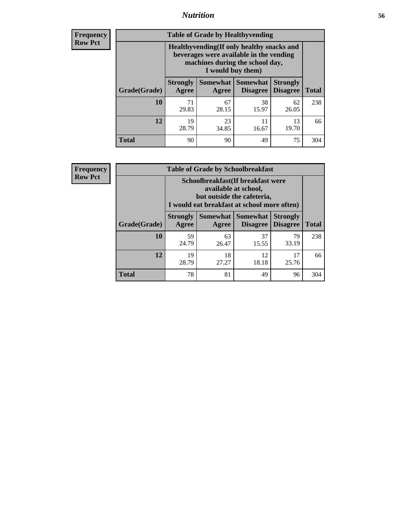### *Nutrition* **56**

**Frequency Row Pct**

| <b>Table of Grade by Healthyvending</b> |                                                                                                                                               |                     |                                    |                                    |              |  |
|-----------------------------------------|-----------------------------------------------------------------------------------------------------------------------------------------------|---------------------|------------------------------------|------------------------------------|--------------|--|
|                                         | Healthyvending (If only healthy snacks and<br>beverages were available in the vending<br>machines during the school day,<br>I would buy them) |                     |                                    |                                    |              |  |
| Grade(Grade)                            | <b>Strongly</b><br>Agree                                                                                                                      | Somewhat  <br>Agree | <b>Somewhat</b><br><b>Disagree</b> | <b>Strongly</b><br><b>Disagree</b> | <b>Total</b> |  |
| 10                                      | 71<br>29.83                                                                                                                                   | 67<br>28.15         | 38<br>15.97                        | 62<br>26.05                        | 238          |  |
| 12                                      | 19<br>28.79                                                                                                                                   | 23<br>34.85         | 11<br>16.67                        | 13<br>19.70                        | 66           |  |
| <b>Total</b>                            | 90                                                                                                                                            | 90                  | 49                                 | 75                                 | 304          |  |

**Frequency Row Pct**

| <b>Table of Grade by Schoolbreakfast</b> |                                                                                                                                         |             |                                        |                                    |              |  |
|------------------------------------------|-----------------------------------------------------------------------------------------------------------------------------------------|-------------|----------------------------------------|------------------------------------|--------------|--|
|                                          | Schoolbreakfast (If breakfast were<br>available at school,<br>but outside the cafeteria,<br>I would eat breakfast at school more often) |             |                                        |                                    |              |  |
| Grade(Grade)                             | <b>Strongly</b><br>Agree                                                                                                                | Agree       | Somewhat   Somewhat<br><b>Disagree</b> | <b>Strongly</b><br><b>Disagree</b> | <b>Total</b> |  |
| 10                                       | 59<br>24.79                                                                                                                             | 63<br>26.47 | 37<br>15.55                            | 79<br>33.19                        | 238          |  |
| 12                                       | 19<br>28.79                                                                                                                             | 18<br>27.27 | 12<br>18.18                            | 17<br>25.76                        | 66           |  |
| <b>Total</b>                             | 78                                                                                                                                      | 81          | 49                                     | 96                                 | 304          |  |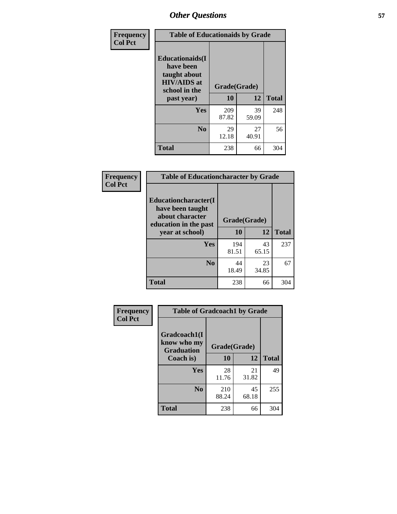| Frequency<br><b>Col Pct</b> | <b>Table of Educationaids by Grade</b>                                                                    |                    |             |              |
|-----------------------------|-----------------------------------------------------------------------------------------------------------|--------------------|-------------|--------------|
|                             | <b>Educationaids</b> (I<br>have been<br>taught about<br><b>HIV/AIDS</b> at<br>school in the<br>past year) | Grade(Grade)<br>10 | 12          | <b>Total</b> |
|                             | Yes                                                                                                       | 209<br>87.82       | 39<br>59.09 | 248          |
|                             | N <sub>0</sub>                                                                                            | 29<br>12.18        | 27<br>40.91 | 56           |
|                             | <b>Total</b>                                                                                              | 238                | 66          | 304          |

| Frequency      | <b>Table of Educationcharacter by Grade</b> |              |             |              |  |
|----------------|---------------------------------------------|--------------|-------------|--------------|--|
| <b>Col Pct</b> | Educationcharacter(I<br>have been taught    |              |             |              |  |
|                | about character<br>education in the past    | Grade(Grade) |             |              |  |
|                | year at school)                             | <b>10</b>    | 12          | <b>Total</b> |  |
|                | Yes                                         | 194<br>81.51 | 43<br>65.15 | 237          |  |
|                | N <sub>0</sub>                              | 44<br>18.49  | 23<br>34.85 | 67           |  |
|                | <b>Total</b>                                | 238          | 66          | 304          |  |

| Frequency      | <b>Table of Gradcoach1 by Grade</b>              |              |             |              |
|----------------|--------------------------------------------------|--------------|-------------|--------------|
| <b>Col Pct</b> | Gradcoach1(I<br>know who my<br><b>Graduation</b> | Grade(Grade) |             |              |
|                | Coach is)                                        | 10           | 12          | <b>Total</b> |
|                | <b>Yes</b>                                       | 28<br>11.76  | 21<br>31.82 | 49           |
|                | N <sub>0</sub>                                   | 210<br>88.24 | 45<br>68.18 | 255          |
|                | <b>Total</b>                                     | 238          | 66          | 304          |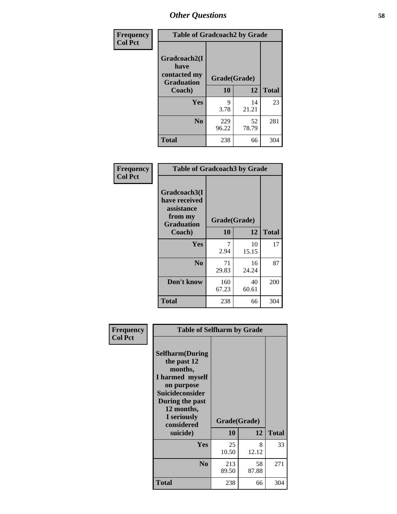| Frequency      | <b>Table of Gradcoach2 by Grade</b> |              |             |              |
|----------------|-------------------------------------|--------------|-------------|--------------|
| <b>Col Pct</b> |                                     |              |             |              |
|                | Gradcoach2(I<br>have                |              |             |              |
|                | contacted my<br><b>Graduation</b>   | Grade(Grade) |             |              |
|                | Coach)                              | 10           | 12          | <b>Total</b> |
|                | Yes                                 | 9<br>3.78    | 14<br>21.21 | 23           |
|                | N <sub>0</sub>                      | 229<br>96.22 | 52<br>78.79 | 281          |
|                | <b>Total</b>                        | 238          | 66          | 304          |

| Frequency<br><b>Col Pct</b> | <b>Table of Gradcoach3 by Grade</b>                                         |              |             |              |
|-----------------------------|-----------------------------------------------------------------------------|--------------|-------------|--------------|
|                             | Gradcoach3(I<br>have received<br>assistance<br>from my<br><b>Graduation</b> | Grade(Grade) |             |              |
|                             | Coach)                                                                      | 10           | 12          | <b>Total</b> |
|                             | Yes                                                                         | 7<br>2.94    | 10<br>15.15 | 17           |
|                             | N <sub>0</sub>                                                              | 71<br>29.83  | 16<br>24.24 | 87           |
|                             | Don't know                                                                  | 160<br>67.23 | 40<br>60.61 | 200          |
|                             | <b>Total</b>                                                                | 238          | 66          | 304          |

| Frequency      | <b>Table of Selfharm by Grade</b>                                                                                                                                          |              |             |              |
|----------------|----------------------------------------------------------------------------------------------------------------------------------------------------------------------------|--------------|-------------|--------------|
| <b>Col Pct</b> | <b>Selfharm</b> (During<br>the past 12<br>months,<br>I harmed myself<br>on purpose<br><b>Suicideconsider</b><br>During the past<br>12 months,<br>I seriously<br>considered | Grade(Grade) |             |              |
|                | suicide)                                                                                                                                                                   | 10           | 12          | <b>Total</b> |
|                | Yes                                                                                                                                                                        | 25<br>10.50  | 8<br>12.12  | 33           |
|                | N <sub>0</sub>                                                                                                                                                             | 213<br>89.50 | 58<br>87.88 | 271          |
|                | <b>Total</b>                                                                                                                                                               | 238          | 66          | 304          |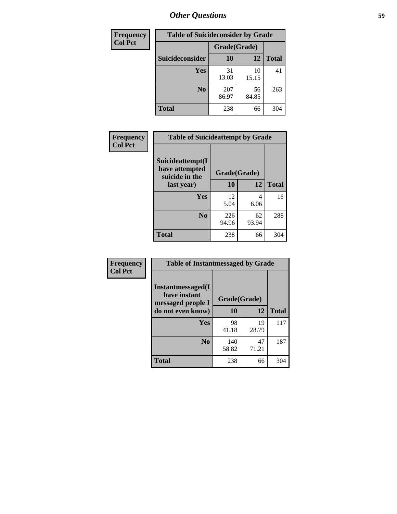| <b>Frequency</b> | <b>Table of Suicideconsider by Grade</b> |              |             |              |  |
|------------------|------------------------------------------|--------------|-------------|--------------|--|
| <b>Col Pct</b>   |                                          | Grade(Grade) |             |              |  |
|                  | Suicideconsider                          | <b>10</b>    | 12          | <b>Total</b> |  |
|                  | Yes                                      | 31<br>13.03  | 10<br>15.15 | 41           |  |
|                  | N <sub>0</sub>                           | 207<br>86.97 | 56<br>84.85 | 263          |  |
|                  | Total                                    | 238          | 66          | 304          |  |

| Frequency      | <b>Table of Suicideattempt by Grade</b>              |              |             |              |
|----------------|------------------------------------------------------|--------------|-------------|--------------|
| <b>Col Pct</b> | Suicideattempt(I<br>have attempted<br>suicide in the | Grade(Grade) |             |              |
|                | last year)                                           | 10           | 12          | <b>Total</b> |
|                | Yes                                                  | 12<br>5.04   | 4<br>6.06   | 16           |
|                | N <sub>0</sub>                                       | 226<br>94.96 | 62<br>93.94 | 288          |
|                | <b>Total</b>                                         | 238          | 66          | 304          |

| Frequency      | <b>Table of Instantmessaged by Grade</b>               |              |             |              |
|----------------|--------------------------------------------------------|--------------|-------------|--------------|
| <b>Col Pct</b> | Instantmessaged(I<br>have instant<br>messaged people I | Grade(Grade) |             |              |
|                | do not even know)                                      | 10           | 12          | <b>Total</b> |
|                | Yes                                                    | 98<br>41.18  | 19<br>28.79 | 117          |
|                | N <sub>0</sub>                                         | 140<br>58.82 | 47<br>71.21 | 187          |
|                | <b>Total</b>                                           | 238          | 66          | 304          |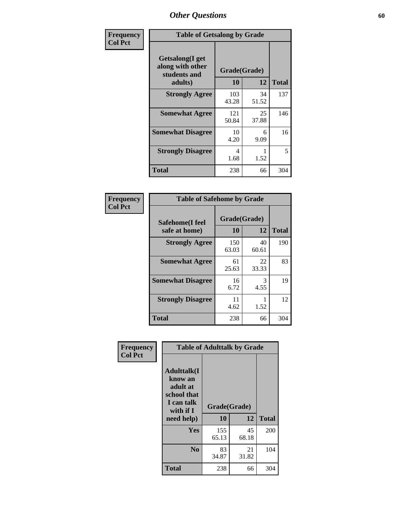| Frequency      | <b>Table of Getsalong by Grade</b>                                     |                    |             |              |
|----------------|------------------------------------------------------------------------|--------------------|-------------|--------------|
| <b>Col Pct</b> | <b>Getsalong</b> (I get<br>along with other<br>students and<br>adults) | Grade(Grade)<br>10 | 12          | <b>Total</b> |
|                | <b>Strongly Agree</b>                                                  | 103                | 34          | 137          |
|                |                                                                        | 43.28              | 51.52       |              |
|                | <b>Somewhat Agree</b>                                                  | 121<br>50.84       | 25<br>37.88 | 146          |
|                | <b>Somewhat Disagree</b>                                               | 10<br>4.20         | 6<br>9.09   | 16           |
|                | <b>Strongly Disagree</b>                                               | 4<br>1.68          | 1.52        | 5            |
|                | <b>Total</b>                                                           | 238                | 66          | 304          |

| Frequency      | <b>Table of Safehome by Grade</b> |                    |                       |              |
|----------------|-----------------------------------|--------------------|-----------------------|--------------|
| <b>Col Pct</b> | Safehome(I feel<br>safe at home)  | Grade(Grade)<br>10 | 12                    | <b>Total</b> |
|                | <b>Strongly Agree</b>             | 150<br>63.03       | 40<br>60.61           | 190          |
|                | <b>Somewhat Agree</b>             | 61<br>25.63        | 22<br>33.33           | 83           |
|                | <b>Somewhat Disagree</b>          | 16<br>6.72         | $\mathcal{F}$<br>4.55 | 19           |
|                | <b>Strongly Disagree</b>          | 11<br>4.62         | 1.52                  | 12           |
|                | <b>Total</b>                      | 238                | 66                    | 304          |

| Frequency      |                                                                                     |              | <b>Table of Adulttalk by Grade</b> |              |
|----------------|-------------------------------------------------------------------------------------|--------------|------------------------------------|--------------|
| <b>Col Pct</b> | <b>Adulttalk(I</b><br>know an<br>adult at<br>school that<br>I can talk<br>with if I | Grade(Grade) |                                    |              |
|                | need help)                                                                          | 10           | 12                                 | <b>Total</b> |
|                | Yes                                                                                 | 155<br>65.13 | 45<br>68.18                        | 200          |
|                | N <sub>0</sub>                                                                      | 83<br>34.87  | 21<br>31.82                        | 104          |
|                | <b>Total</b>                                                                        | 238          | 66                                 | 304          |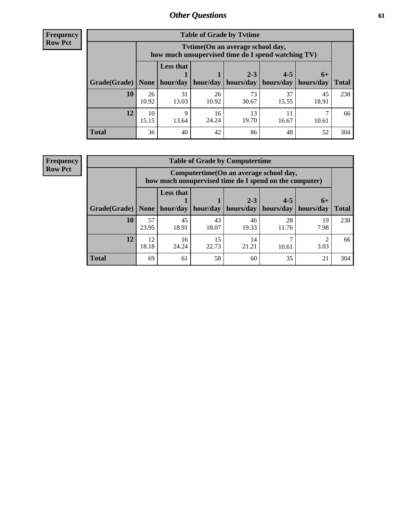**Frequency Row Pct**

| <b>Table of Grade by Tvtime</b> |             |                                                                                        |             |                      |                      |                     |              |  |  |  |
|---------------------------------|-------------|----------------------------------------------------------------------------------------|-------------|----------------------|----------------------|---------------------|--------------|--|--|--|
|                                 |             | Tvtime(On an average school day,<br>how much unsupervised time do I spend watching TV) |             |                      |                      |                     |              |  |  |  |
| Grade(Grade)   None             |             | <b>Less that</b><br>hour/day                                                           | hour/day    | $2 - 3$<br>hours/day | $4 - 5$<br>hours/day | $6+$<br>  hours/day | <b>Total</b> |  |  |  |
| 10                              | 26<br>10.92 | 31<br>13.03                                                                            | 26<br>10.92 | 73<br>30.67          | 37<br>15.55          | 45<br>18.91         | 238          |  |  |  |
| 12                              | 10<br>15.15 | 9<br>13.64                                                                             | 16<br>24.24 | 13<br>19.70          | 16.67                | 10.61               | 66           |  |  |  |
| <b>Total</b>                    | 36          | 40                                                                                     | 42          | 86                   | 48                   | 52                  | 304          |  |  |  |

**Frequency Row Pct**

| <b>Table of Grade by Computertime</b> |             |                                                                                                   |                     |             |             |            |              |  |  |
|---------------------------------------|-------------|---------------------------------------------------------------------------------------------------|---------------------|-------------|-------------|------------|--------------|--|--|
|                                       |             | Computertime (On an average school day,<br>how much unsupervised time do I spend on the computer) |                     |             |             |            |              |  |  |
|                                       |             | <b>Less that</b>                                                                                  |                     | $2 - 3$     | $4 - 5$     | $6+$       |              |  |  |
| Grade(Grade)                          | None $ $    |                                                                                                   | hour/day   hour/day | hours/day   | hours/day   | hours/day  | <b>Total</b> |  |  |
| 10                                    | 57<br>23.95 | 45<br>18.91                                                                                       | 43<br>18.07         | 46<br>19.33 | 28<br>11.76 | 19<br>7.98 | 238          |  |  |
| 12                                    | 12<br>18.18 | 16<br>24.24                                                                                       | 15<br>22.73         | 14<br>21.21 | 10.61       | ി<br>3.03  | 66           |  |  |
| <b>Total</b>                          | 69          | 61                                                                                                | 58                  | 60          | 35          | 21         | 304          |  |  |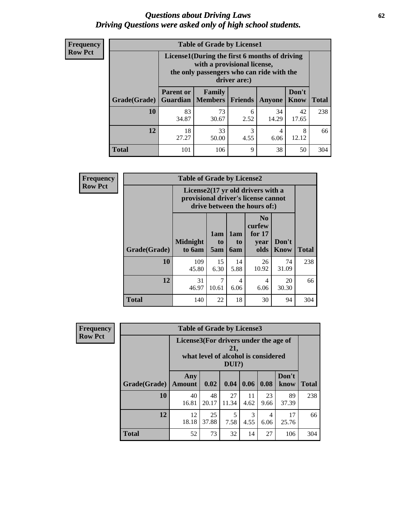#### *Questions about Driving Laws* **62** *Driving Questions were asked only of high school students.*

| <b>Frequency</b> |
|------------------|
| <b>Row Pct</b>   |

| <b>Table of Grade by License1</b> |                                                                    |                                                                                                                                           |                |             |               |              |  |  |  |
|-----------------------------------|--------------------------------------------------------------------|-------------------------------------------------------------------------------------------------------------------------------------------|----------------|-------------|---------------|--------------|--|--|--|
|                                   |                                                                    | License1(During the first 6 months of driving<br>with a provisional license,<br>the only passengers who can ride with the<br>driver are:) |                |             |               |              |  |  |  |
| Grade(Grade)                      | <b>Parent or</b><br><b>Guardian</b>                                | Family<br><b>Members</b>                                                                                                                  | <b>Friends</b> | Anyone      | Don't<br>Know | <b>Total</b> |  |  |  |
| 10                                | 83<br>34.87                                                        | 73<br>30.67                                                                                                                               | 6<br>2.52      | 34<br>14.29 | 42<br>17.65   | 238          |  |  |  |
| 12                                | 3<br>18<br>33<br>8<br>4<br>27.27<br>4.55<br>12.12<br>50.00<br>6.06 |                                                                                                                                           |                |             |               |              |  |  |  |
| <b>Total</b>                      | 101                                                                | 106                                                                                                                                       | 9              | 38          | 50            | 304          |  |  |  |

| Frequency      |              | <b>Table of Grade by License2</b>                                                                        |                  |                  |                                                      |                      |              |  |  |
|----------------|--------------|----------------------------------------------------------------------------------------------------------|------------------|------------------|------------------------------------------------------|----------------------|--------------|--|--|
| <b>Row Pct</b> |              | License2(17 yr old drivers with a<br>provisional driver's license cannot<br>drive between the hours of:) |                  |                  |                                                      |                      |              |  |  |
|                | Grade(Grade) | <b>Midnight</b><br>to 6am                                                                                | 1am<br>to<br>5am | 1am<br>to<br>6am | N <sub>0</sub><br>curfew<br>for $17$<br>year<br>olds | Don't<br><b>Know</b> | <b>Total</b> |  |  |
|                | 10           | 109<br>45.80                                                                                             | 15<br>6.30       | 14<br>5.88       | 26<br>10.92                                          | 74<br>31.09          | 238          |  |  |
|                | 12           | 31<br>46.97                                                                                              | 7<br>10.61       | 4<br>6.06        | 4<br>6.06                                            | 20<br>30.30          | 66           |  |  |
|                | <b>Total</b> | 140                                                                                                      | 22               | 18               | 30                                                   | 94                   | 304          |  |  |

| <b>Frequency</b> | <b>Table of Grade by License3</b> |                                       |                                     |                 |            |            |               |              |
|------------------|-----------------------------------|---------------------------------------|-------------------------------------|-----------------|------------|------------|---------------|--------------|
| <b>Row Pct</b>   |                                   | License3(For drivers under the age of | what level of alcohol is considered | 21,<br>$DUI$ ?) |            |            |               |              |
|                  | Grade(Grade)                      | Any<br><b>Amount</b>                  | 0.02                                | 0.04            | 0.06       | 0.08       | Don't<br>know | <b>Total</b> |
|                  | <b>10</b>                         | 40<br>16.81                           | 48<br>20.17                         | 27<br>11.34     | 11<br>4.62 | 23<br>9.66 | 89<br>37.39   | 238          |
|                  | 12                                | 12<br>18.18                           | 25<br>37.88                         | 5<br>7.58       | 3<br>4.55  | 4<br>6.06  | 17<br>25.76   | 66           |
|                  | <b>Total</b>                      | 52                                    | 73                                  | 32              | 14         | 27         | 106           | 304          |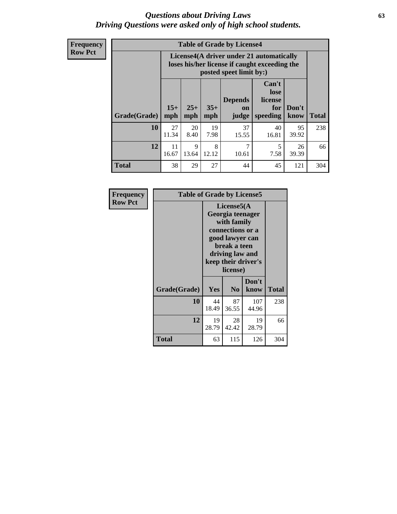#### *Questions about Driving Laws* **63** *Driving Questions were asked only of high school students.*

**Frequency Row Pct**

| <b>Table of Grade by License4</b> |              |                                                                                                                                               |            |             |             |             |     |  |
|-----------------------------------|--------------|-----------------------------------------------------------------------------------------------------------------------------------------------|------------|-------------|-------------|-------------|-----|--|
|                                   |              | License4(A driver under 21 automatically<br>loses his/her license if caught exceeding the<br>posted speet limit by:)                          |            |             |             |             |     |  |
| Grade(Grade)                      | $15+$<br>mph | Can't<br>lose<br>license<br><b>Depends</b><br>$35+$<br>$25+$<br>Don't<br>for<br>on<br><b>Total</b><br>speeding<br>mph<br>know<br>mph<br>judge |            |             |             |             |     |  |
| 10                                | 27<br>11.34  | 20<br>8.40                                                                                                                                    | 19<br>7.98 | 37<br>15.55 | 40<br>16.81 | 95<br>39.92 | 238 |  |
| 12                                | 11<br>16.67  | 9<br>13.64                                                                                                                                    | 8<br>12.12 | 7<br>10.61  | 5<br>7.58   | 26<br>39.39 | 66  |  |
| <b>Total</b>                      | 38           | 29                                                                                                                                            | 27         | 44          | 45          | 121         | 304 |  |

| Frequency      | <b>Table of Grade by License5</b> |             |                                                                                                                                      |                     |       |  |  |  |  |
|----------------|-----------------------------------|-------------|--------------------------------------------------------------------------------------------------------------------------------------|---------------------|-------|--|--|--|--|
| <b>Row Pct</b> |                                   |             | License5(A)<br>Georgia teenager<br>with family<br>connections or a<br>good lawyer can<br>break a teen<br>driving law and<br>license) | keep their driver's |       |  |  |  |  |
|                | Grade(Grade)                      | <b>Yes</b>  | N <sub>0</sub>                                                                                                                       | Don't<br>know       | Total |  |  |  |  |
|                | 10                                | 44<br>18.49 | 87<br>36.55                                                                                                                          | 107<br>44.96        | 238   |  |  |  |  |
|                | 12                                | 19<br>28.79 | 28<br>42.42                                                                                                                          | 19<br>28.79         | 66    |  |  |  |  |
|                | <b>Total</b>                      | 63          | 115                                                                                                                                  | 126                 | 304   |  |  |  |  |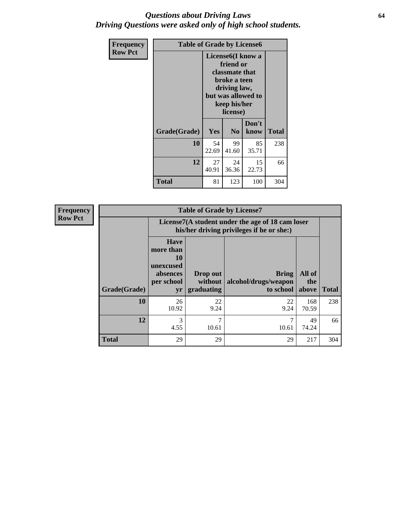#### *Questions about Driving Laws* **64** *Driving Questions were asked only of high school students.*

| <b>Frequency</b> | <b>Table of Grade by License6</b> |             |                                                                                                                           |                    |              |  |
|------------------|-----------------------------------|-------------|---------------------------------------------------------------------------------------------------------------------------|--------------------|--------------|--|
| <b>Row Pct</b>   |                                   |             | License <sub>6</sub> (I know a<br>friend or<br>classmate that<br>broke a teen<br>driving law,<br>keep his/her<br>license) | but was allowed to |              |  |
|                  | Grade(Grade)                      | Yes         | N <sub>0</sub>                                                                                                            | Don't<br>know      | <b>Total</b> |  |
|                  | 10                                | 54<br>22.69 | 99<br>41.60                                                                                                               | 85<br>35.71        | 238          |  |
|                  | 12                                | 27<br>40.91 | 24<br>36.36                                                                                                               | 15<br>22.73        | 66           |  |
|                  | <b>Total</b>                      | 81          | 123                                                                                                                       | 100                | 304          |  |

| Frequency      |              |                                                                             | <b>Table of Grade by License7</b>                                                             |                                                   |                        |              |  |  |  |
|----------------|--------------|-----------------------------------------------------------------------------|-----------------------------------------------------------------------------------------------|---------------------------------------------------|------------------------|--------------|--|--|--|
| <b>Row Pct</b> |              |                                                                             | License7(A student under the age of 18 cam loser<br>his/her driving privileges if he or she:) |                                                   |                        |              |  |  |  |
|                | Grade(Grade) | <b>Have</b><br>more than<br>10<br>unexcused<br>absences<br>per school<br>yr | Drop out<br>without  <br>graduating                                                           | <b>Bring</b><br>alcohol/drugs/weapon<br>to school | All of<br>the<br>above | <b>Total</b> |  |  |  |
|                | 10           | 26<br>10.92                                                                 | 22<br>9.24                                                                                    | 22<br>9.24                                        | 168<br>70.59           | 238          |  |  |  |
|                | 12           | 3<br>4.55                                                                   | 7<br>10.61                                                                                    | 10.61                                             | 49<br>74.24            | 66           |  |  |  |
|                | <b>Total</b> | 29                                                                          | 29                                                                                            | 29                                                | 217                    | 304          |  |  |  |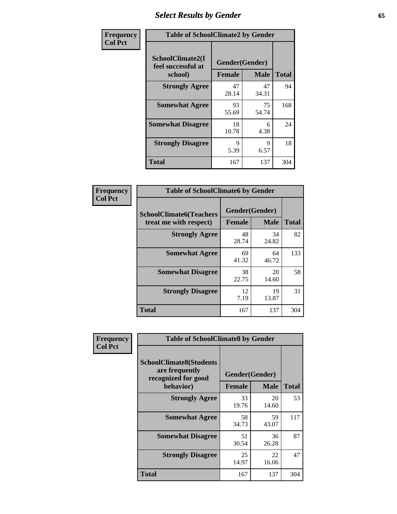# *Select Results by Gender* **65**

| Frequency      | <b>Table of SchoolClimate2 by Gender</b>          |                                 |             |              |
|----------------|---------------------------------------------------|---------------------------------|-------------|--------------|
| <b>Col Pct</b> | SchoolClimate2(I<br>feel successful at<br>school) | Gender(Gender)<br><b>Female</b> | <b>Male</b> | <b>Total</b> |
|                | <b>Strongly Agree</b>                             | 47<br>28.14                     | 47<br>34.31 | 94           |
|                | <b>Somewhat Agree</b>                             | 93<br>55.69                     | 75<br>54.74 | 168          |
|                | <b>Somewhat Disagree</b>                          | 18<br>10.78                     | 6<br>4.38   | 24           |
|                | <b>Strongly Disagree</b>                          | 9<br>5.39                       | 9<br>6.57   | 18           |
|                | <b>Total</b>                                      | 167                             | 137         | 304          |

| Frequency      | <b>Table of SchoolClimate6 by Gender</b>                 |                                 |             |              |  |
|----------------|----------------------------------------------------------|---------------------------------|-------------|--------------|--|
| <b>Col Pct</b> | <b>SchoolClimate6(Teachers</b><br>treat me with respect) | Gender(Gender)<br><b>Female</b> | <b>Male</b> | <b>Total</b> |  |
|                | <b>Strongly Agree</b>                                    | 48<br>28.74                     | 34<br>24.82 | 82           |  |
|                | <b>Somewhat Agree</b>                                    | 69<br>41.32                     | 64<br>46.72 | 133          |  |
|                | <b>Somewhat Disagree</b>                                 | 38<br>22.75                     | 20<br>14.60 | 58           |  |
|                | <b>Strongly Disagree</b>                                 | 12<br>7.19                      | 19<br>13.87 | 31           |  |
|                | <b>Total</b>                                             | 167                             | 137         | 304          |  |

| <b>Frequency</b> | <b>Table of SchoolClimate8 by Gender</b>                                             |               |                               |              |  |
|------------------|--------------------------------------------------------------------------------------|---------------|-------------------------------|--------------|--|
| <b>Col Pct</b>   | <b>SchoolClimate8(Students</b><br>are frequently<br>recognized for good<br>behavior) | <b>Female</b> | Gender(Gender)<br><b>Male</b> | <b>Total</b> |  |
|                  | <b>Strongly Agree</b>                                                                | 33<br>19.76   | 20<br>14.60                   | 53           |  |
|                  | <b>Somewhat Agree</b>                                                                | 58<br>34.73   | 59<br>43.07                   | 117          |  |
|                  | <b>Somewhat Disagree</b>                                                             | 51<br>30.54   | 36<br>26.28                   | 87           |  |
|                  | <b>Strongly Disagree</b>                                                             | 25<br>14.97   | 22<br>16.06                   | 47           |  |
|                  | Total                                                                                | 167           | 137                           | 304          |  |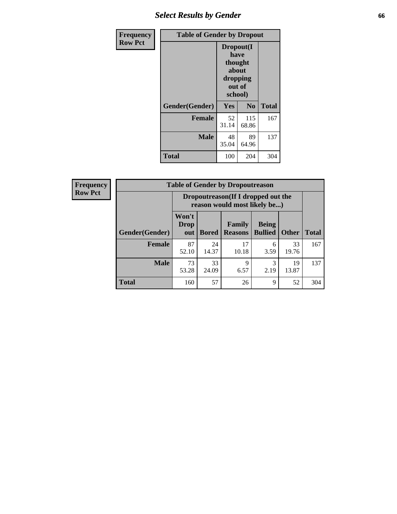# *Select Results by Gender* **66**

| Frequency      | <b>Table of Gender by Dropout</b> |                                                                        |                |              |
|----------------|-----------------------------------|------------------------------------------------------------------------|----------------|--------------|
| <b>Row Pct</b> |                                   | Dropout(I<br>have<br>thought<br>about<br>dropping<br>out of<br>school) |                |              |
|                | Gender(Gender)                    | Yes                                                                    | N <sub>0</sub> | <b>Total</b> |
|                | <b>Female</b>                     | 52<br>31.14                                                            | 115<br>68.86   | 167          |
|                | <b>Male</b>                       | 48<br>35.04                                                            | 89<br>64.96    | 137          |
|                | <b>Total</b>                      | 100                                                                    | 204            | 304          |

| <b>Frequency</b> | <b>Table of Gender by Dropoutreason</b> |                                                                     |              |                          |                                |              |              |
|------------------|-----------------------------------------|---------------------------------------------------------------------|--------------|--------------------------|--------------------------------|--------------|--------------|
| <b>Row Pct</b>   |                                         | Dropoutreason (If I dropped out the<br>reason would most likely be) |              |                          |                                |              |              |
|                  | <b>Gender(Gender)</b>                   | Won't<br><b>Drop</b><br>out                                         | <b>Bored</b> | Family<br><b>Reasons</b> | <b>Being</b><br><b>Bullied</b> | <b>Other</b> | <b>Total</b> |
|                  | <b>Female</b>                           | 87<br>52.10                                                         | 24<br>14.37  | 17<br>10.18              | 6<br>3.59                      | 33<br>19.76  | 167          |
|                  | <b>Male</b>                             | 73<br>53.28                                                         | 33<br>24.09  | $\mathbf Q$<br>6.57      | 2.19                           | 19<br>13.87  | 137          |
|                  | <b>Total</b>                            | 160                                                                 | 57           | 26                       | 9                              | 52           | 304          |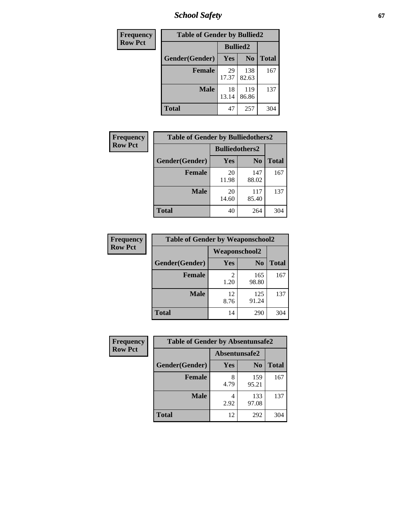*School Safety* **67**

| Frequency      | <b>Table of Gender by Bullied2</b> |                 |                |              |
|----------------|------------------------------------|-----------------|----------------|--------------|
| <b>Row Pct</b> |                                    | <b>Bullied2</b> |                |              |
|                | Gender(Gender)                     | <b>Yes</b>      | N <sub>0</sub> | <b>Total</b> |
|                | <b>Female</b>                      | 29<br>17.37     | 138<br>82.63   | 167          |
|                | <b>Male</b>                        | 18<br>13.14     | 119<br>86.86   | 137          |
|                | Total                              | 47              | 257            | 304          |

| Frequency      | <b>Table of Gender by Bulliedothers2</b> |                       |                |              |
|----------------|------------------------------------------|-----------------------|----------------|--------------|
| <b>Row Pct</b> |                                          | <b>Bulliedothers2</b> |                |              |
|                | Gender(Gender)                           | Yes                   | N <sub>0</sub> | <b>Total</b> |
|                | <b>Female</b>                            | 20<br>11.98           | 147<br>88.02   | 167          |
|                | <b>Male</b>                              | 20<br>14.60           | 117<br>85.40   | 137          |
|                | <b>Total</b>                             | 40                    | 264            | 304          |

| Frequency      | <b>Table of Gender by Weaponschool2</b> |                      |                |              |
|----------------|-----------------------------------------|----------------------|----------------|--------------|
| <b>Row Pct</b> |                                         | <b>Weaponschool2</b> |                |              |
|                | Gender(Gender)                          | Yes                  | N <sub>0</sub> | <b>Total</b> |
|                | Female                                  | 1.20                 | 165<br>98.80   | 167          |
|                | <b>Male</b>                             | 12<br>8.76           | 125<br>91.24   | 137          |
|                | <b>Total</b>                            | 14                   | 290            | 304          |

| Frequency      | <b>Table of Gender by Absentunsafe2</b> |               |                |              |
|----------------|-----------------------------------------|---------------|----------------|--------------|
| <b>Row Pct</b> |                                         | Absentunsafe2 |                |              |
|                | Gender(Gender)                          | Yes           | N <sub>0</sub> | <b>Total</b> |
|                | <b>Female</b>                           | 8<br>4.79     | 159<br>95.21   | 167          |
|                | <b>Male</b>                             | 2.92          | 133<br>97.08   | 137          |
|                | <b>Total</b>                            | 12            | 292            | 304          |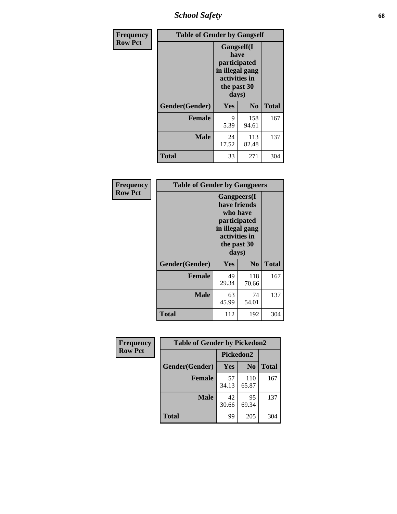*School Safety* **68**

| Frequency      | <b>Table of Gender by Gangself</b> |                                                                                                |                |              |
|----------------|------------------------------------|------------------------------------------------------------------------------------------------|----------------|--------------|
| <b>Row Pct</b> |                                    | Gangself(I<br>have<br>participated<br>in illegal gang<br>activities in<br>the past 30<br>days) |                |              |
|                | Gender(Gender)                     | Yes                                                                                            | N <sub>0</sub> | <b>Total</b> |
|                | <b>Female</b>                      | 9<br>5.39                                                                                      | 158<br>94.61   | 167          |
|                | <b>Male</b>                        | 24<br>17.52                                                                                    | 113<br>82.48   | 137          |
|                | <b>Total</b>                       | 33                                                                                             | 271            | 304          |

| Frequency      | <b>Table of Gender by Gangpeers</b> |                                                                                                                             |                |              |
|----------------|-------------------------------------|-----------------------------------------------------------------------------------------------------------------------------|----------------|--------------|
| <b>Row Pct</b> |                                     | <b>Gangpeers</b> (I<br>have friends<br>who have<br>participated<br>in illegal gang<br>activities in<br>the past 30<br>days) |                |              |
|                | Gender(Gender)                      | Yes                                                                                                                         | N <sub>0</sub> | <b>Total</b> |
|                | <b>Female</b>                       | 49<br>29.34                                                                                                                 | 118<br>70.66   | 167          |
|                | <b>Male</b>                         | 63<br>45.99                                                                                                                 | 74<br>54.01    | 137          |
|                | Total                               | 112                                                                                                                         | 192            | 304          |

| Frequency      | <b>Table of Gender by Pickedon2</b> |                  |                |              |
|----------------|-------------------------------------|------------------|----------------|--------------|
| <b>Row Pct</b> |                                     | <b>Pickedon2</b> |                |              |
|                | Gender(Gender)                      | Yes              | N <sub>0</sub> | <b>Total</b> |
|                | <b>Female</b>                       | 57<br>34.13      | 110<br>65.87   | 167          |
|                | <b>Male</b>                         | 42<br>30.66      | 95<br>69.34    | 137          |
|                | <b>Total</b>                        | 99               | 205            | 304          |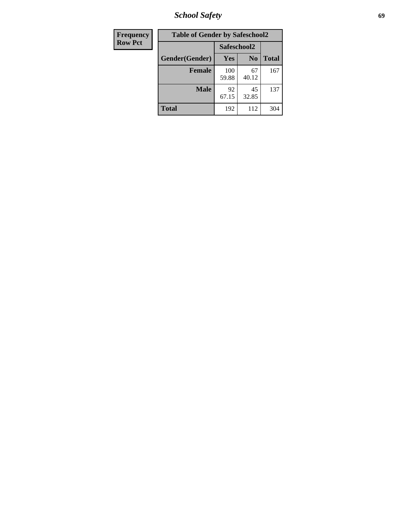*School Safety* **69**

| Frequency      | <b>Table of Gender by Safeschool2</b> |              |                |              |  |
|----------------|---------------------------------------|--------------|----------------|--------------|--|
| <b>Row Pct</b> |                                       | Safeschool2  |                |              |  |
|                | Gender(Gender)                        | <b>Yes</b>   | N <sub>0</sub> | <b>Total</b> |  |
|                | <b>Female</b>                         | 100<br>59.88 | 67<br>40.12    | 167          |  |
|                | <b>Male</b>                           | 92<br>67.15  | 45<br>32.85    | 137          |  |
|                | <b>Total</b>                          | 192          | 112            | 304          |  |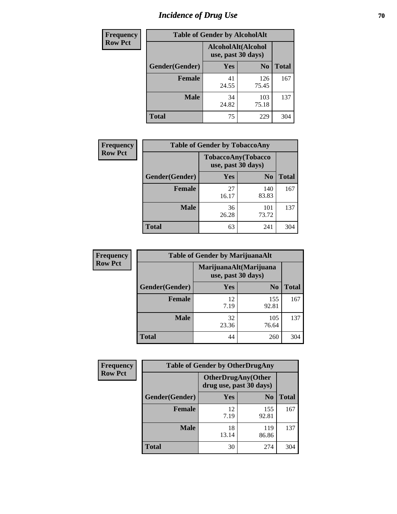# *Incidence of Drug Use* **70**

| <b>Frequency</b> | <b>Table of Gender by AlcoholAlt</b> |                                          |                |              |  |
|------------------|--------------------------------------|------------------------------------------|----------------|--------------|--|
| <b>Row Pct</b>   |                                      | AlcoholAlt(Alcohol<br>use, past 30 days) |                |              |  |
|                  | Gender(Gender)                       | <b>Yes</b>                               | N <sub>0</sub> | <b>Total</b> |  |
|                  | <b>Female</b>                        | 41<br>24.55                              | 126<br>75.45   | 167          |  |
|                  | <b>Male</b>                          | 34<br>24.82                              | 103<br>75.18   | 137          |  |
|                  | <b>Total</b>                         | 75                                       | 229            | 304          |  |

| <b>Frequency</b> | <b>Table of Gender by TobaccoAny</b> |                    |                    |              |  |
|------------------|--------------------------------------|--------------------|--------------------|--------------|--|
| <b>Row Pct</b>   |                                      | use, past 30 days) | TobaccoAny(Tobacco |              |  |
|                  | Gender(Gender)                       | Yes                | N <sub>0</sub>     | <b>Total</b> |  |
|                  | <b>Female</b>                        | 27<br>16.17        | 140<br>83.83       | 167          |  |
|                  | <b>Male</b>                          | 36<br>26.28        | 101<br>73.72       | 137          |  |
|                  | <b>Total</b>                         | 63                 | 241                | 304          |  |

| <b>Frequency</b> | <b>Table of Gender by MarijuanaAlt</b> |                                              |                |              |
|------------------|----------------------------------------|----------------------------------------------|----------------|--------------|
| <b>Row Pct</b>   |                                        | MarijuanaAlt(Marijuana<br>use, past 30 days) |                |              |
|                  | Gender(Gender)                         | <b>Yes</b>                                   | N <sub>0</sub> | <b>Total</b> |
|                  | <b>Female</b>                          | 12<br>7.19                                   | 155<br>92.81   | 167          |
|                  | <b>Male</b>                            | 32<br>23.36                                  | 105<br>76.64   | 137          |
|                  | <b>Total</b>                           | 44                                           | 260            | 304          |

| <b>Frequency</b> | <b>Table of Gender by OtherDrugAny</b> |                                                      |                |              |
|------------------|----------------------------------------|------------------------------------------------------|----------------|--------------|
| <b>Row Pct</b>   |                                        | <b>OtherDrugAny(Other</b><br>drug use, past 30 days) |                |              |
|                  | Gender(Gender)                         | <b>Yes</b>                                           | N <sub>0</sub> | <b>Total</b> |
|                  | <b>Female</b>                          | 12<br>7.19                                           | 155<br>92.81   | 167          |
|                  | <b>Male</b>                            | 18<br>13.14                                          | 119<br>86.86   | 137          |
|                  | <b>Total</b>                           | 30                                                   | 274            | 304          |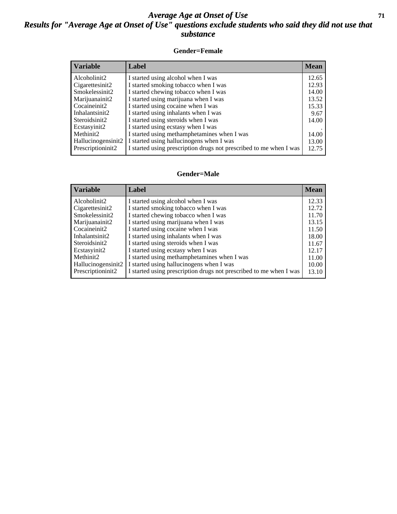#### *Average Age at Onset of Use* **71** *Results for "Average Age at Onset of Use" questions exclude students who said they did not use that substance*

#### **Gender=Female**

| <b>Variable</b>    | <b>Label</b>                                                       | <b>Mean</b> |
|--------------------|--------------------------------------------------------------------|-------------|
| Alcoholinit2       | I started using alcohol when I was                                 | 12.65       |
| Cigarettesinit2    | I started smoking tobacco when I was                               | 12.93       |
| Smokelessinit2     | I started chewing tobacco when I was                               | 14.00       |
| Marijuanainit2     | I started using marijuana when I was                               | 13.52       |
| Cocaineinit2       | I started using cocaine when I was                                 | 15.33       |
| Inhalantsinit2     | I started using inhalants when I was                               | 9.67        |
| Steroidsinit2      | I started using steroids when I was                                | 14.00       |
| Ecstasyinit2       | I started using ecstasy when I was                                 |             |
| Methinit2          | I started using methamphetamines when I was                        | 14.00       |
| Hallucinogensinit2 | I started using hallucinogens when I was                           | 13.00       |
| Prescription in t2 | I started using prescription drugs not prescribed to me when I was | 12.75       |

#### **Gender=Male**

| Variable                        | Label                                                              | <b>Mean</b> |
|---------------------------------|--------------------------------------------------------------------|-------------|
| Alcoholinit2                    | I started using alcohol when I was                                 | 12.33       |
| Cigarettesinit2                 | I started smoking tobacco when I was                               | 12.72       |
| Smokelessinit2                  | I started chewing tobacco when I was                               | 11.70       |
| Marijuanainit2                  | I started using marijuana when I was                               | 13.15       |
| Cocaineinit2                    | I started using cocaine when I was                                 | 11.50       |
| Inhalantsinit2                  | I started using inhalants when I was                               | 18.00       |
| Steroidsinit2                   | I started using steroids when I was                                | 11.67       |
| Ecstasyinit2                    | I started using ecstasy when I was                                 | 12.17       |
| Methinit2                       | I started using methamphetamines when I was                        | 11.00       |
| Hallucinogensinit2              | I started using hallucinogens when I was                           | 10.00       |
| Prescription in it <sub>2</sub> | I started using prescription drugs not prescribed to me when I was | 13.10       |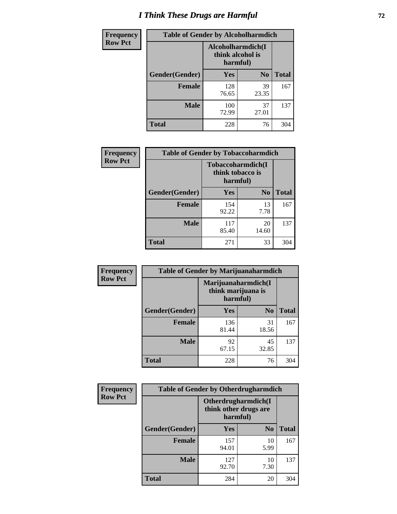# *I Think These Drugs are Harmful* **72**

| <b>Frequency</b> | <b>Table of Gender by Alcoholharmdich</b> |                  |                               |              |
|------------------|-------------------------------------------|------------------|-------------------------------|--------------|
| <b>Row Pct</b>   |                                           | think alcohol is | Alcoholharmdich(I<br>harmful) |              |
|                  | Gender(Gender)                            | <b>Yes</b>       | N <sub>0</sub>                | <b>Total</b> |
|                  | <b>Female</b>                             | 128<br>76.65     | 39<br>23.35                   | 167          |
|                  | <b>Male</b>                               | 100<br>72.99     | 37<br>27.01                   | 137          |
|                  | Total                                     | 228              | 76                            | 304          |

| Frequency      | <b>Table of Gender by Tobaccoharmdich</b> |                                                   |                |              |  |
|----------------|-------------------------------------------|---------------------------------------------------|----------------|--------------|--|
| <b>Row Pct</b> |                                           | Tobaccoharmdich(I<br>think tobacco is<br>harmful) |                |              |  |
|                | Gender(Gender)                            | Yes                                               | N <sub>0</sub> | <b>Total</b> |  |
|                | <b>Female</b>                             | 154<br>92.22                                      | 13<br>7.78     | 167          |  |
|                | <b>Male</b>                               | 117<br>85.40                                      | 20<br>14.60    | 137          |  |
|                | <b>Total</b>                              | 271                                               | 33             | 304          |  |

| Frequency      | <b>Table of Gender by Marijuanaharmdich</b> |                                                       |                |              |  |
|----------------|---------------------------------------------|-------------------------------------------------------|----------------|--------------|--|
| <b>Row Pct</b> |                                             | Marijuanaharmdich(I<br>think marijuana is<br>harmful) |                |              |  |
|                | Gender(Gender)                              | <b>Yes</b>                                            | N <sub>0</sub> | <b>Total</b> |  |
|                | <b>Female</b>                               | 136<br>81.44                                          | 31<br>18.56    | 167          |  |
|                | <b>Male</b>                                 | 92<br>67.15                                           | 45<br>32.85    | 137          |  |
|                | <b>Total</b>                                | 228                                                   | 76             | 304          |  |

| Frequency      | <b>Table of Gender by Otherdrugharmdich</b> |                                                          |                |              |  |
|----------------|---------------------------------------------|----------------------------------------------------------|----------------|--------------|--|
| <b>Row Pct</b> |                                             | Otherdrugharmdich(I<br>think other drugs are<br>harmful) |                |              |  |
|                | Gender(Gender)                              | <b>Yes</b>                                               | N <sub>0</sub> | <b>Total</b> |  |
|                | <b>Female</b>                               | 157<br>94.01                                             | 10<br>5.99     | 167          |  |
|                | <b>Male</b>                                 | 127<br>92.70                                             | 10<br>7.30     | 137          |  |
|                | <b>Total</b>                                | 284                                                      | 20             | 304          |  |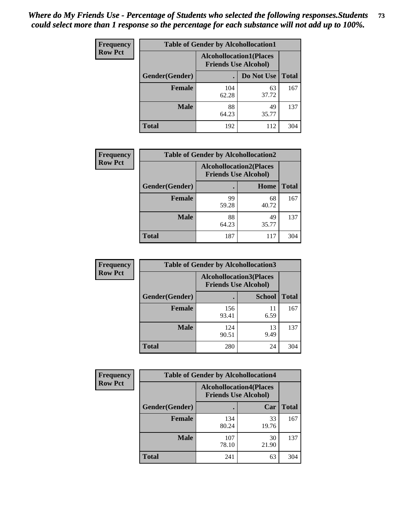| <b>Frequency</b> | <b>Table of Gender by Alcohollocation1</b> |                                                               |             |              |
|------------------|--------------------------------------------|---------------------------------------------------------------|-------------|--------------|
| <b>Row Pct</b>   |                                            | <b>Alcohollocation1(Places</b><br><b>Friends Use Alcohol)</b> |             |              |
|                  | Gender(Gender)                             |                                                               | Do Not Use  | <b>Total</b> |
|                  | <b>Female</b>                              | 104<br>62.28                                                  | 63<br>37.72 | 167          |
|                  | <b>Male</b>                                | 88<br>64.23                                                   | 49<br>35.77 | 137          |
|                  | <b>Total</b>                               | 192                                                           | 112         | 304          |

| <b>Frequency</b> | <b>Table of Gender by Alcohollocation2</b> |                                                               |             |              |
|------------------|--------------------------------------------|---------------------------------------------------------------|-------------|--------------|
| <b>Row Pct</b>   |                                            | <b>Alcohollocation2(Places</b><br><b>Friends Use Alcohol)</b> |             |              |
|                  | Gender(Gender)                             |                                                               | Home        | <b>Total</b> |
|                  | Female                                     | 99<br>59.28                                                   | 68<br>40.72 | 167          |
|                  | <b>Male</b>                                | 88<br>64.23                                                   | 49<br>35.77 | 137          |
|                  | <b>Total</b>                               | 187                                                           | 117         | 304          |

| Frequency      | <b>Table of Gender by Alcohollocation3</b> |              |                                                               |              |
|----------------|--------------------------------------------|--------------|---------------------------------------------------------------|--------------|
| <b>Row Pct</b> |                                            |              | <b>Alcohollocation3(Places</b><br><b>Friends Use Alcohol)</b> |              |
|                | Gender(Gender)                             |              | <b>School</b>                                                 | <b>Total</b> |
|                | <b>Female</b>                              | 156<br>93.41 | 11<br>6.59                                                    | 167          |
|                | <b>Male</b>                                | 124<br>90.51 | 13<br>9.49                                                    | 137          |
|                | <b>Total</b>                               | 280          | 24                                                            | 304          |

| Frequency      | <b>Table of Gender by Alcohollocation4</b> |              |                                                               |              |
|----------------|--------------------------------------------|--------------|---------------------------------------------------------------|--------------|
| <b>Row Pct</b> |                                            |              | <b>Alcohollocation4(Places</b><br><b>Friends Use Alcohol)</b> |              |
|                | <b>Gender</b> (Gender)                     |              | Car                                                           | <b>Total</b> |
|                | <b>Female</b>                              | 134<br>80.24 | 33<br>19.76                                                   | 167          |
|                | <b>Male</b>                                | 107<br>78.10 | 30<br>21.90                                                   | 137          |
|                | <b>Total</b>                               | 241          | 63                                                            | 304          |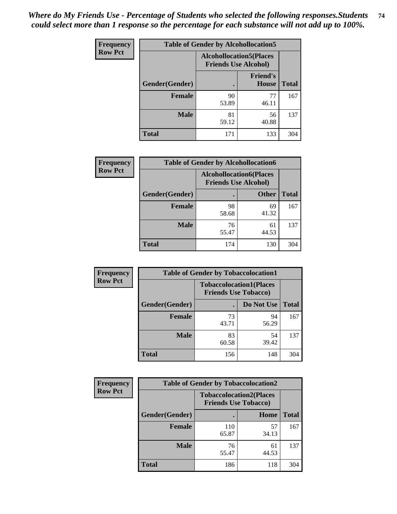| <b>Frequency</b> | <b>Table of Gender by Alcohollocation5</b> |                                |                                 |              |
|------------------|--------------------------------------------|--------------------------------|---------------------------------|--------------|
| <b>Row Pct</b>   |                                            | <b>Alcohollocation5(Places</b> | <b>Friends Use Alcohol)</b>     |              |
|                  | Gender(Gender)                             | $\bullet$                      | <b>Friend's</b><br><b>House</b> | <b>Total</b> |
|                  | <b>Female</b>                              | 90<br>53.89                    | 77<br>46.11                     | 167          |
|                  | <b>Male</b>                                | 81<br>59.12                    | 56<br>40.88                     | 137          |
|                  | <b>Total</b>                               | 171                            | 133                             | 304          |

| Frequency      | <b>Table of Gender by Alcohollocation6</b> |                                                               |              |              |  |
|----------------|--------------------------------------------|---------------------------------------------------------------|--------------|--------------|--|
| <b>Row Pct</b> |                                            | <b>Alcohollocation6(Places</b><br><b>Friends Use Alcohol)</b> |              |              |  |
|                | Gender(Gender)                             |                                                               | <b>Other</b> | <b>Total</b> |  |
|                | Female                                     | 98<br>58.68                                                   | 69<br>41.32  | 167          |  |
|                | <b>Male</b>                                | 76<br>55.47                                                   | 61<br>44.53  | 137          |  |
|                | <b>Total</b>                               | 174                                                           | 130          | 304          |  |

| Frequency      | <b>Table of Gender by Tobaccolocation1</b> |                                                               |             |              |  |
|----------------|--------------------------------------------|---------------------------------------------------------------|-------------|--------------|--|
| <b>Row Pct</b> |                                            | <b>Tobaccolocation1(Places</b><br><b>Friends Use Tobacco)</b> |             |              |  |
|                | Gender(Gender)                             |                                                               | Do Not Use  | <b>Total</b> |  |
|                | Female                                     | 73<br>43.71                                                   | 94<br>56.29 | 167          |  |
|                | <b>Male</b>                                | 83<br>60.58                                                   | 54<br>39.42 | 137          |  |
|                | <b>Total</b>                               | 156                                                           | 148         | 304          |  |

| <b>Frequency</b> | <b>Table of Gender by Tobaccolocation2</b> |                                                               |             |              |
|------------------|--------------------------------------------|---------------------------------------------------------------|-------------|--------------|
| <b>Row Pct</b>   |                                            | <b>Tobaccolocation2(Places</b><br><b>Friends Use Tobacco)</b> |             |              |
|                  | Gender(Gender)                             |                                                               | <b>Home</b> | <b>Total</b> |
|                  | Female                                     | 110<br>65.87                                                  | 57<br>34.13 | 167          |
|                  | <b>Male</b>                                | 76<br>55.47                                                   | 61<br>44.53 | 137          |
|                  | <b>Total</b>                               | 186                                                           | 118         | 304          |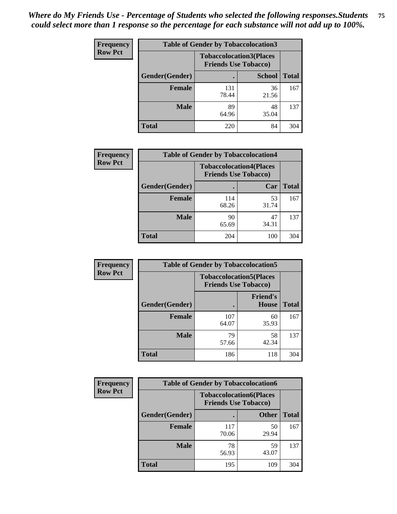| <b>Frequency</b> | <b>Table of Gender by Tobaccolocation3</b> |                                                               |               |              |
|------------------|--------------------------------------------|---------------------------------------------------------------|---------------|--------------|
| <b>Row Pct</b>   |                                            | <b>Tobaccolocation3(Places</b><br><b>Friends Use Tobacco)</b> |               |              |
|                  | Gender(Gender)                             |                                                               | <b>School</b> | <b>Total</b> |
|                  | <b>Female</b>                              | 131<br>78.44                                                  | 36<br>21.56   | 167          |
|                  | <b>Male</b>                                | 89<br>64.96                                                   | 48<br>35.04   | 137          |
|                  | <b>Total</b>                               | 220                                                           | 84            | 304          |

| <b>Frequency</b> | <b>Table of Gender by Tobaccolocation4</b> |              |                                                               |              |
|------------------|--------------------------------------------|--------------|---------------------------------------------------------------|--------------|
| <b>Row Pct</b>   |                                            |              | <b>Tobaccolocation4(Places</b><br><b>Friends Use Tobacco)</b> |              |
|                  | Gender(Gender)                             |              | Car                                                           | <b>Total</b> |
|                  | <b>Female</b>                              | 114<br>68.26 | 53<br>31.74                                                   | 167          |
|                  | <b>Male</b>                                | 90<br>65.69  | 47<br>34.31                                                   | 137          |
|                  | <b>Total</b>                               | 204          | 100                                                           | 304          |

| <b>Frequency</b> | <b>Table of Gender by Tobaccolocation5</b> |                                                               |                                 |              |
|------------------|--------------------------------------------|---------------------------------------------------------------|---------------------------------|--------------|
| <b>Row Pct</b>   |                                            | <b>Tobaccolocation5(Places</b><br><b>Friends Use Tobacco)</b> |                                 |              |
|                  | Gender(Gender)                             |                                                               | <b>Friend's</b><br><b>House</b> | <b>Total</b> |
|                  | <b>Female</b>                              | 107<br>64.07                                                  | 60<br>35.93                     | 167          |
|                  | <b>Male</b>                                | 79<br>57.66                                                   | 58<br>42.34                     | 137          |
|                  | <b>Total</b>                               | 186                                                           | 118                             | 304          |

| <b>Frequency</b> | <b>Table of Gender by Tobaccolocation6</b> |                                                               |              |              |
|------------------|--------------------------------------------|---------------------------------------------------------------|--------------|--------------|
| <b>Row Pct</b>   |                                            | <b>Tobaccolocation6(Places</b><br><b>Friends Use Tobacco)</b> |              |              |
|                  | Gender(Gender)                             |                                                               | <b>Other</b> | <b>Total</b> |
|                  | Female                                     | 117<br>70.06                                                  | 50<br>29.94  | 167          |
|                  | <b>Male</b>                                | 78<br>56.93                                                   | 59<br>43.07  | 137          |
|                  | <b>Total</b>                               | 195                                                           | 109          | 304          |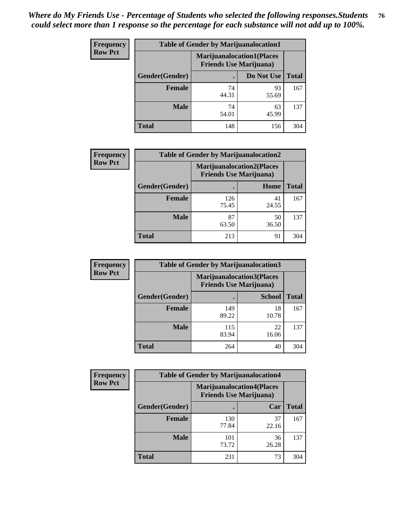| <b>Frequency</b> | <b>Table of Gender by Marijuanalocation1</b> |                                                                    |             |              |
|------------------|----------------------------------------------|--------------------------------------------------------------------|-------------|--------------|
| <b>Row Pct</b>   |                                              | <b>Marijuanalocation1(Places</b><br><b>Friends Use Marijuana</b> ) |             |              |
|                  | Gender(Gender)                               |                                                                    | Do Not Use  | <b>Total</b> |
|                  | <b>Female</b>                                | 74<br>44.31                                                        | 93<br>55.69 | 167          |
|                  | <b>Male</b>                                  | 74<br>54.01                                                        | 63<br>45.99 | 137          |
|                  | <b>Total</b>                                 | 148                                                                | 156         | 304          |

| <b>Frequency</b> | <b>Table of Gender by Marijuanalocation2</b> |                                                                    |             |              |
|------------------|----------------------------------------------|--------------------------------------------------------------------|-------------|--------------|
| <b>Row Pct</b>   |                                              | <b>Marijuanalocation2(Places</b><br><b>Friends Use Marijuana</b> ) |             |              |
|                  | Gender(Gender)                               |                                                                    | Home        | <b>Total</b> |
|                  | Female                                       | 126<br>75.45                                                       | 41<br>24.55 | 167          |
|                  | <b>Male</b>                                  | 87<br>63.50                                                        | 50<br>36.50 | 137          |
|                  | <b>Total</b>                                 | 213                                                                | 91          | 304          |

| <b>Frequency</b> |                | <b>Table of Gender by Marijuanalocation3</b>                       |               |              |
|------------------|----------------|--------------------------------------------------------------------|---------------|--------------|
| <b>Row Pct</b>   |                | <b>Marijuanalocation3(Places</b><br><b>Friends Use Marijuana</b> ) |               |              |
|                  | Gender(Gender) |                                                                    | <b>School</b> | <b>Total</b> |
|                  | Female         | 149<br>89.22                                                       | 18<br>10.78   | 167          |
|                  | <b>Male</b>    | 115<br>83.94                                                       | 22<br>16.06   | 137          |
|                  | <b>Total</b>   | 264                                                                | 40            | 304          |

| Frequency      | <b>Table of Gender by Marijuanalocation4</b> |                                |                                  |              |
|----------------|----------------------------------------------|--------------------------------|----------------------------------|--------------|
| <b>Row Pct</b> |                                              | <b>Friends Use Marijuana</b> ) | <b>Marijuanalocation4(Places</b> |              |
|                | <b>Gender</b> (Gender)                       |                                | Car                              | <b>Total</b> |
|                | <b>Female</b>                                | 130<br>77.84                   | 37<br>22.16                      | 167          |
|                | <b>Male</b>                                  | 101<br>73.72                   | 36<br>26.28                      | 137          |
|                | <b>Total</b>                                 | 231                            | 73                               | 304          |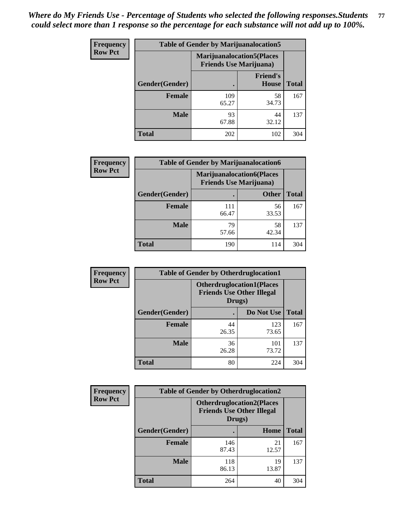| <b>Frequency</b> | <b>Table of Gender by Marijuanalocation5</b> |                                                                     |                          |              |
|------------------|----------------------------------------------|---------------------------------------------------------------------|--------------------------|--------------|
| <b>Row Pct</b>   |                                              | <b>Marijuanalocation5</b> (Places<br><b>Friends Use Marijuana</b> ) |                          |              |
|                  | Gender(Gender)                               |                                                                     | <b>Friend's</b><br>House | <b>Total</b> |
|                  | <b>Female</b>                                | 109<br>65.27                                                        | 58<br>34.73              | 167          |
|                  | <b>Male</b>                                  | 93<br>67.88                                                         | 44<br>32.12              | 137          |
|                  | <b>Total</b>                                 | 202                                                                 | 102                      | 304          |

| <b>Frequency</b> | <b>Table of Gender by Marijuanalocation6</b> |                                |                                  |              |
|------------------|----------------------------------------------|--------------------------------|----------------------------------|--------------|
| <b>Row Pct</b>   |                                              | <b>Friends Use Marijuana</b> ) | <b>Marijuanalocation6(Places</b> |              |
|                  | <b>Gender</b> (Gender)                       |                                | <b>Other</b>                     | <b>Total</b> |
|                  | Female                                       | 111<br>66.47                   | 56<br>33.53                      | 167          |
|                  | <b>Male</b>                                  | 79<br>57.66                    | 58<br>42.34                      | 137          |
|                  | Total                                        | 190                            | 114                              | 304          |

| Frequency      | <b>Table of Gender by Otherdruglocation1</b> |                                                                                |              |              |
|----------------|----------------------------------------------|--------------------------------------------------------------------------------|--------------|--------------|
| <b>Row Pct</b> |                                              | <b>Otherdruglocation1(Places</b><br><b>Friends Use Other Illegal</b><br>Drugs) |              |              |
|                | Gender(Gender)                               |                                                                                | Do Not Use   | <b>Total</b> |
|                | <b>Female</b>                                | 44<br>26.35                                                                    | 123<br>73.65 | 167          |
|                | <b>Male</b>                                  | 36<br>26.28                                                                    | 101<br>73.72 | 137          |
|                | <b>Total</b>                                 | 80                                                                             | 224          | 304          |

| <b>Frequency</b> | <b>Table of Gender by Otherdruglocation2</b> |              |                                                                                |              |
|------------------|----------------------------------------------|--------------|--------------------------------------------------------------------------------|--------------|
| <b>Row Pct</b>   |                                              |              | <b>Otherdruglocation2(Places</b><br><b>Friends Use Other Illegal</b><br>Drugs) |              |
|                  | Gender(Gender)                               |              | Home                                                                           | <b>Total</b> |
|                  | <b>Female</b>                                | 146<br>87.43 | 21<br>12.57                                                                    | 167          |
|                  | <b>Male</b>                                  | 118<br>86.13 | 19<br>13.87                                                                    | 137          |
|                  | <b>Total</b>                                 | 264          | 40                                                                             | 304          |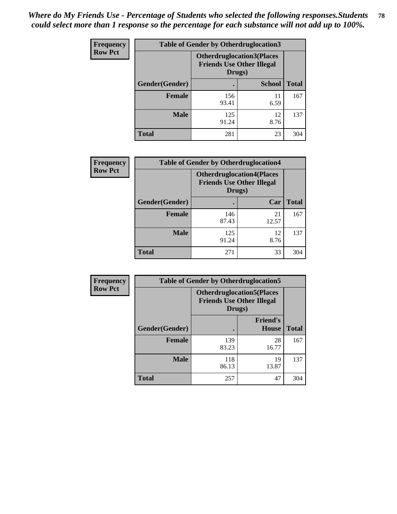| <b>Frequency</b> | <b>Table of Gender by Otherdruglocation3</b> |                                                                                |               |              |
|------------------|----------------------------------------------|--------------------------------------------------------------------------------|---------------|--------------|
| <b>Row Pct</b>   |                                              | <b>Otherdruglocation3(Places</b><br><b>Friends Use Other Illegal</b><br>Drugs) |               |              |
|                  | Gender(Gender)                               |                                                                                | <b>School</b> | <b>Total</b> |
|                  | <b>Female</b>                                | 156<br>93.41                                                                   | 11<br>6.59    | 167          |
|                  | <b>Male</b>                                  | 125<br>91.24                                                                   | 12<br>8.76    | 137          |
|                  | <b>Total</b>                                 | 281                                                                            | 23            | 304          |

| <b>Frequency</b> | <b>Table of Gender by Otherdruglocation4</b> |                                                                                |             |              |
|------------------|----------------------------------------------|--------------------------------------------------------------------------------|-------------|--------------|
| <b>Row Pct</b>   |                                              | <b>Otherdruglocation4(Places</b><br><b>Friends Use Other Illegal</b><br>Drugs) |             |              |
|                  | Gender(Gender)                               |                                                                                | Car         | <b>Total</b> |
|                  | Female                                       | 146<br>87.43                                                                   | 21<br>12.57 | 167          |
|                  | <b>Male</b>                                  | 125<br>91.24                                                                   | 12<br>8.76  | 137          |
|                  | <b>Total</b>                                 | 271                                                                            | 33          | 304          |

| Frequency      | <b>Table of Gender by Otherdruglocation5</b> |                                                                                |                                 |              |
|----------------|----------------------------------------------|--------------------------------------------------------------------------------|---------------------------------|--------------|
| <b>Row Pct</b> |                                              | <b>Otherdruglocation5(Places</b><br><b>Friends Use Other Illegal</b><br>Drugs) |                                 |              |
|                | Gender(Gender)                               |                                                                                | <b>Friend's</b><br><b>House</b> | <b>Total</b> |
|                | <b>Female</b>                                | 139<br>83.23                                                                   | 28<br>16.77                     | 167          |
|                | <b>Male</b>                                  | 118<br>86.13                                                                   | 19<br>13.87                     | 137          |
|                | <b>Total</b>                                 | 257                                                                            | 47                              | 304          |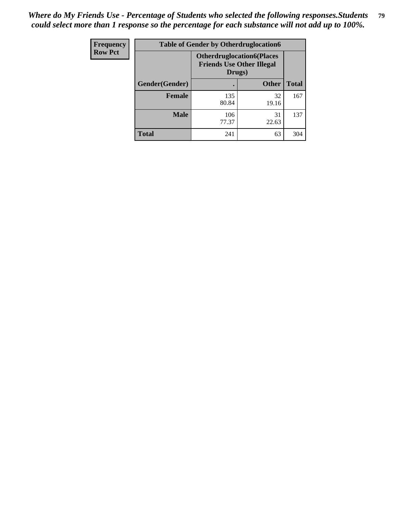| <b>Frequency</b> | <b>Table of Gender by Otherdruglocation6</b> |                                                                                |              |              |
|------------------|----------------------------------------------|--------------------------------------------------------------------------------|--------------|--------------|
| <b>Row Pct</b>   |                                              | <b>Otherdruglocation6(Places</b><br><b>Friends Use Other Illegal</b><br>Drugs) |              |              |
|                  | Gender(Gender)                               |                                                                                | <b>Other</b> | <b>Total</b> |
|                  | <b>Female</b>                                | 135<br>80.84                                                                   | 32<br>19.16  | 167          |
|                  | <b>Male</b>                                  | 106<br>77.37                                                                   | 31<br>22.63  | 137          |
|                  | <b>Total</b>                                 | 241                                                                            | 63           | 304          |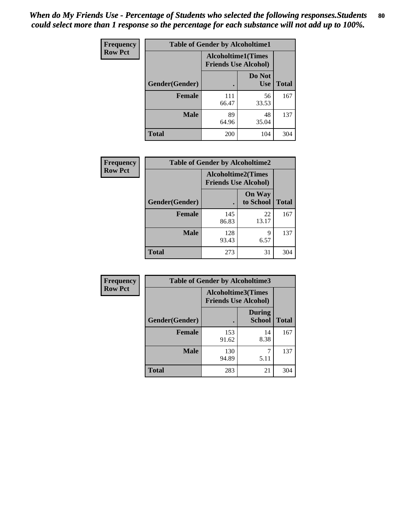| <b>Frequency</b> | <b>Table of Gender by Alcoholtime1</b> |                                                          |                      |              |
|------------------|----------------------------------------|----------------------------------------------------------|----------------------|--------------|
| <b>Row Pct</b>   |                                        | <b>Alcoholtime1(Times</b><br><b>Friends Use Alcohol)</b> |                      |              |
|                  | Gender(Gender)                         | ٠                                                        | Do Not<br><b>Use</b> | <b>Total</b> |
|                  | <b>Female</b>                          | 111<br>66.47                                             | 56<br>33.53          | 167          |
|                  | <b>Male</b>                            | 89<br>64.96                                              | 48<br>35.04          | 137          |
|                  | <b>Total</b>                           | 200                                                      | 104                  | 304          |

| Frequency      | <b>Table of Gender by Alcoholtime2</b> |                                                          |                            |              |
|----------------|----------------------------------------|----------------------------------------------------------|----------------------------|--------------|
| <b>Row Pct</b> |                                        | <b>Alcoholtime2(Times</b><br><b>Friends Use Alcohol)</b> |                            |              |
|                | Gender(Gender)                         |                                                          | <b>On Way</b><br>to School | <b>Total</b> |
|                | <b>Female</b>                          | 145<br>86.83                                             | 22<br>13.17                | 167          |
|                | <b>Male</b>                            | 128<br>93.43                                             | 9<br>6.57                  | 137          |
|                | <b>Total</b>                           | 273                                                      | 31                         | 304          |

| <b>Frequency</b> | <b>Table of Gender by Alcoholtime3</b> |                                                          |                                |              |
|------------------|----------------------------------------|----------------------------------------------------------|--------------------------------|--------------|
| <b>Row Pct</b>   |                                        | <b>Alcoholtime3(Times</b><br><b>Friends Use Alcohol)</b> |                                |              |
|                  | Gender(Gender)                         |                                                          | <b>During</b><br><b>School</b> | <b>Total</b> |
|                  | Female                                 | 153<br>91.62                                             | 14<br>8.38                     | 167          |
|                  | <b>Male</b>                            | 130<br>94.89                                             | 5.11                           | 137          |
|                  | <b>Total</b>                           | 283                                                      | 21                             | 304          |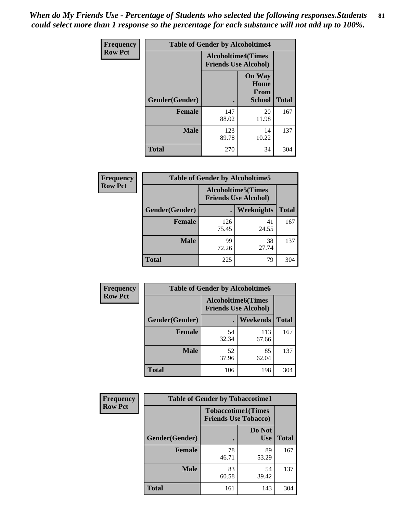*When do My Friends Use - Percentage of Students who selected the following responses.Students could select more than 1 response so the percentage for each substance will not add up to 100%.* **81**

| <b>Frequency</b> | <b>Table of Gender by Alcoholtime4</b> |                                                          |                                                |              |
|------------------|----------------------------------------|----------------------------------------------------------|------------------------------------------------|--------------|
| <b>Row Pct</b>   |                                        | <b>Alcoholtime4(Times</b><br><b>Friends Use Alcohol)</b> |                                                |              |
|                  | Gender(Gender)                         |                                                          | <b>On Way</b><br>Home<br>From<br><b>School</b> | <b>Total</b> |
|                  | <b>Female</b>                          | 147<br>88.02                                             | 20<br>11.98                                    | 167          |
|                  | <b>Male</b>                            | 123<br>89.78                                             | 14<br>10.22                                    | 137          |
|                  | <b>Total</b>                           | 270                                                      | 34                                             | 304          |

| <b>Frequency</b> |                | <b>Table of Gender by Alcoholtime5</b> |                                                           |              |
|------------------|----------------|----------------------------------------|-----------------------------------------------------------|--------------|
| <b>Row Pct</b>   |                |                                        | <b>Alcoholtime5</b> (Times<br><b>Friends Use Alcohol)</b> |              |
|                  | Gender(Gender) |                                        | <b>Weeknights</b>                                         | <b>Total</b> |
|                  | <b>Female</b>  | 126<br>75.45                           | 41<br>24.55                                               | 167          |
|                  | <b>Male</b>    | 99<br>72.26                            | 38<br>27.74                                               | 137          |
|                  | <b>Total</b>   | 225                                    | 79                                                        | 304          |

| <b>Frequency</b> |                | <b>Table of Gender by Alcoholtime6</b> |                                                           |              |
|------------------|----------------|----------------------------------------|-----------------------------------------------------------|--------------|
| <b>Row Pct</b>   |                |                                        | <b>Alcoholtime6</b> (Times<br><b>Friends Use Alcohol)</b> |              |
|                  | Gender(Gender) |                                        | Weekends                                                  | <b>Total</b> |
|                  | Female         | 54<br>32.34                            | 113<br>67.66                                              | 167          |
|                  | <b>Male</b>    | 52<br>37.96                            | 85<br>62.04                                               | 137          |
|                  | <b>Total</b>   | 106                                    | 198                                                       | 304          |

| Frequency      | <b>Table of Gender by Tobaccotime1</b> |                                                          |                      |              |
|----------------|----------------------------------------|----------------------------------------------------------|----------------------|--------------|
| <b>Row Pct</b> |                                        | <b>Tobaccotime1(Times</b><br><b>Friends Use Tobacco)</b> |                      |              |
|                | Gender(Gender)                         |                                                          | Do Not<br><b>Use</b> | <b>Total</b> |
|                | <b>Female</b>                          | 78<br>46.71                                              | 89<br>53.29          | 167          |
|                | <b>Male</b>                            | 83<br>60.58                                              | 54<br>39.42          | 137          |
|                | <b>Total</b>                           | 161                                                      | 143                  | 304          |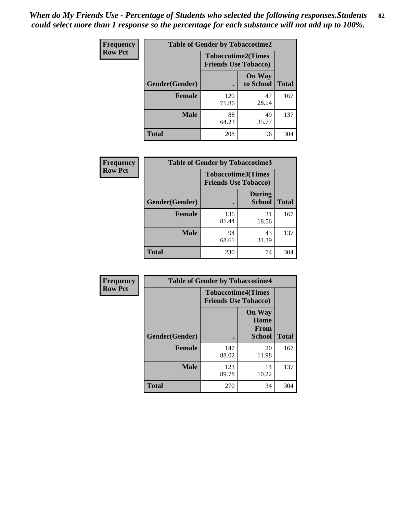| <b>Frequency</b> | <b>Table of Gender by Tobaccotime2</b> |                             |                            |              |
|------------------|----------------------------------------|-----------------------------|----------------------------|--------------|
| <b>Row Pct</b>   |                                        | <b>Friends Use Tobacco)</b> | <b>Tobaccotime2(Times</b>  |              |
|                  | Gender(Gender)                         |                             | <b>On Way</b><br>to School | <b>Total</b> |
|                  | <b>Female</b>                          | 120<br>71.86                | 47<br>28.14                | 167          |
|                  | <b>Male</b>                            | 88<br>64.23                 | 49<br>35.77                | 137          |
|                  | <b>Total</b>                           | 208                         | 96                         | 304          |

| Frequency      | <b>Table of Gender by Tobaccotime3</b> |                                                          |                                |              |
|----------------|----------------------------------------|----------------------------------------------------------|--------------------------------|--------------|
| <b>Row Pct</b> |                                        | <b>Tobaccotime3(Times</b><br><b>Friends Use Tobacco)</b> |                                |              |
|                | Gender(Gender)                         |                                                          | <b>During</b><br><b>School</b> | <b>Total</b> |
|                | Female                                 | 136<br>81.44                                             | 31<br>18.56                    | 167          |
|                | <b>Male</b>                            | 94<br>68.61                                              | 43<br>31.39                    | 137          |
|                | <b>Total</b>                           | 230                                                      | 74                             | 304          |

| <b>Frequency</b> | <b>Table of Gender by Tobaccotime4</b> |                                                          |                                         |              |
|------------------|----------------------------------------|----------------------------------------------------------|-----------------------------------------|--------------|
| <b>Row Pct</b>   |                                        | <b>Tobaccotime4(Times</b><br><b>Friends Use Tobacco)</b> |                                         |              |
|                  | Gender(Gender)                         |                                                          | <b>On Way</b><br>Home<br>From<br>School | <b>Total</b> |
|                  | <b>Female</b>                          | 147<br>88.02                                             | 20<br>11.98                             | 167          |
|                  | <b>Male</b>                            | 123<br>89.78                                             | 14<br>10.22                             | 137          |
|                  | <b>Total</b>                           | 270                                                      | 34                                      | 304          |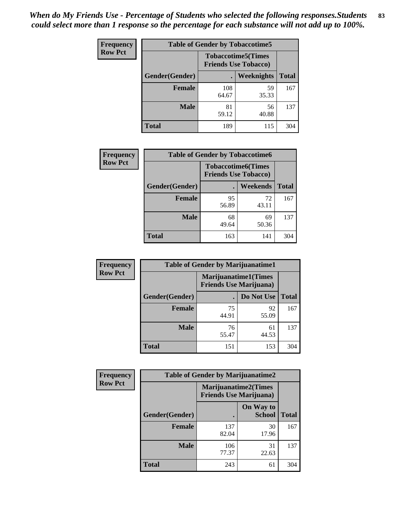| Frequency      | <b>Table of Gender by Tobaccotime5</b> |              |                                                          |              |  |
|----------------|----------------------------------------|--------------|----------------------------------------------------------|--------------|--|
| <b>Row Pct</b> |                                        |              | <b>Tobaccotime5(Times</b><br><b>Friends Use Tobacco)</b> |              |  |
|                | Gender(Gender)                         |              | Weeknights                                               | <b>Total</b> |  |
|                | <b>Female</b>                          | 108<br>64.67 | 59<br>35.33                                              | 167          |  |
|                | <b>Male</b>                            | 81<br>59.12  | 56<br>40.88                                              | 137          |  |
|                | <b>Total</b>                           | 189          | 115                                                      | 304          |  |

| Frequency      | <b>Table of Gender by Tobaccotime6</b> |                                                          |                 |              |
|----------------|----------------------------------------|----------------------------------------------------------|-----------------|--------------|
| <b>Row Pct</b> |                                        | <b>Tobaccotime6(Times</b><br><b>Friends Use Tobacco)</b> |                 |              |
|                | Gender(Gender)                         |                                                          | <b>Weekends</b> | <b>Total</b> |
|                | Female                                 | 95<br>56.89                                              | 72<br>43.11     | 167          |
|                | <b>Male</b>                            | 68<br>49.64                                              | 69<br>50.36     | 137          |
|                | <b>Total</b>                           | 163                                                      | 141             | 304          |

| <b>Frequency</b> | <b>Table of Gender by Marijuanatime1</b> |                                                               |             |              |  |
|------------------|------------------------------------------|---------------------------------------------------------------|-------------|--------------|--|
| <b>Row Pct</b>   |                                          | <b>Marijuanatime1(Times</b><br><b>Friends Use Marijuana</b> ) |             |              |  |
|                  | Gender(Gender)                           |                                                               | Do Not Use  | <b>Total</b> |  |
|                  | <b>Female</b>                            | 75<br>44.91                                                   | 92<br>55.09 | 167          |  |
|                  | <b>Male</b>                              | 76<br>55.47                                                   | 61<br>44.53 | 137          |  |
|                  | <b>Total</b>                             | 151                                                           | 153         | 304          |  |

| <b>Frequency</b> | <b>Table of Gender by Marijuanatime2</b> |                                                               |                            |              |
|------------------|------------------------------------------|---------------------------------------------------------------|----------------------------|--------------|
| <b>Row Pct</b>   |                                          | <b>Marijuanatime2(Times</b><br><b>Friends Use Marijuana</b> ) |                            |              |
|                  | Gender(Gender)                           |                                                               | On Way to<br><b>School</b> | <b>Total</b> |
|                  | Female                                   | 137<br>82.04                                                  | 30<br>17.96                | 167          |
|                  | <b>Male</b>                              | 106<br>77.37                                                  | 31<br>22.63                | 137          |
|                  | <b>Total</b>                             | 243                                                           | 61                         | 304          |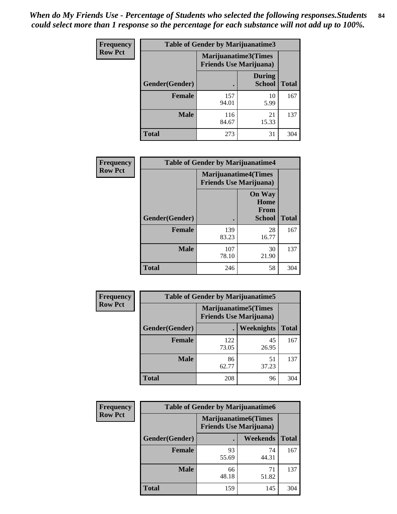*When do My Friends Use - Percentage of Students who selected the following responses.Students could select more than 1 response so the percentage for each substance will not add up to 100%.* **84**

| <b>Frequency</b> | Table of Gender by Marijuanatime3 |                                                        |                                |              |
|------------------|-----------------------------------|--------------------------------------------------------|--------------------------------|--------------|
| <b>Row Pct</b>   |                                   | Marijuanatime3(Times<br><b>Friends Use Marijuana</b> ) |                                |              |
|                  | Gender(Gender)                    |                                                        | <b>During</b><br><b>School</b> | <b>Total</b> |
|                  | <b>Female</b>                     | 157<br>94.01                                           | 10<br>5.99                     | 167          |
|                  | <b>Male</b>                       | 116<br>84.67                                           | 21<br>15.33                    | 137          |
|                  | <b>Total</b>                      | 273                                                    | 31                             | 304          |

| Frequency      |                | <b>Table of Gender by Marijuanatime4</b>                      |                                                       |              |  |
|----------------|----------------|---------------------------------------------------------------|-------------------------------------------------------|--------------|--|
| <b>Row Pct</b> |                | <b>Marijuanatime4(Times</b><br><b>Friends Use Marijuana</b> ) |                                                       |              |  |
|                | Gender(Gender) |                                                               | <b>On Way</b><br>Home<br><b>From</b><br><b>School</b> | <b>Total</b> |  |
|                | <b>Female</b>  | 139<br>83.23                                                  | 28<br>16.77                                           | 167          |  |
|                | <b>Male</b>    | 107<br>78.10                                                  | 30<br>21.90                                           | 137          |  |
|                | <b>Total</b>   | 246                                                           | 58                                                    | 304          |  |

| Frequency      |                | <b>Table of Gender by Marijuanatime5</b> |                                                                |              |
|----------------|----------------|------------------------------------------|----------------------------------------------------------------|--------------|
| <b>Row Pct</b> |                |                                          | <b>Marijuanatime5</b> (Times<br><b>Friends Use Marijuana</b> ) |              |
|                | Gender(Gender) | ٠                                        | Weeknights                                                     | <b>Total</b> |
|                | <b>Female</b>  | 122<br>73.05                             | 45<br>26.95                                                    | 167          |
|                | <b>Male</b>    | 86<br>62.77                              | 51<br>37.23                                                    | 137          |
|                | <b>Total</b>   | 208                                      | 96                                                             | 304          |

| Frequency      | <b>Table of Gender by Marijuanatime6</b> |                                                                |             |              |  |
|----------------|------------------------------------------|----------------------------------------------------------------|-------------|--------------|--|
| <b>Row Pct</b> |                                          | <b>Marijuanatime6</b> (Times<br><b>Friends Use Marijuana</b> ) |             |              |  |
|                | Gender(Gender)                           |                                                                | Weekends    | <b>Total</b> |  |
|                | <b>Female</b>                            | 93<br>55.69                                                    | 74<br>44.31 | 167          |  |
|                | <b>Male</b>                              | 66<br>48.18                                                    | 71<br>51.82 | 137          |  |
|                | <b>Total</b>                             | 159                                                            | 145         | 304          |  |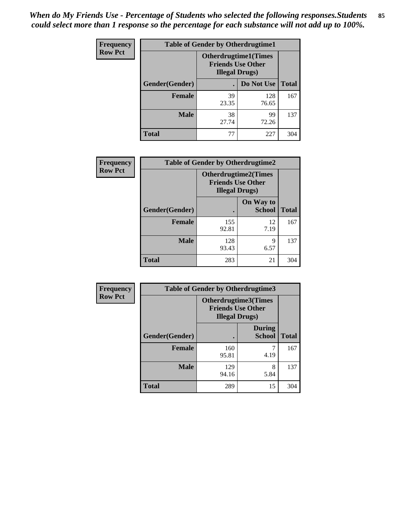*When do My Friends Use - Percentage of Students who selected the following responses.Students could select more than 1 response so the percentage for each substance will not add up to 100%.* **85**

| <b>Frequency</b> | <b>Table of Gender by Otherdrugtime1</b> |                        |                                                         |              |
|------------------|------------------------------------------|------------------------|---------------------------------------------------------|--------------|
| <b>Row Pct</b>   |                                          | <b>Illegal Drugs</b> ) | <b>Otherdrugtime1(Times</b><br><b>Friends Use Other</b> |              |
|                  | Gender(Gender)                           |                        | Do Not Use                                              | <b>Total</b> |
|                  | <b>Female</b>                            | 39<br>23.35            | 128<br>76.65                                            | 167          |
|                  | <b>Male</b>                              | 38<br>27.74            | 99<br>72.26                                             | 137          |
|                  | <b>Total</b>                             | 77                     | 227                                                     | 304          |

| Frequency      | <b>Table of Gender by Otherdrugtime2</b> |                                                                                   |                            |              |
|----------------|------------------------------------------|-----------------------------------------------------------------------------------|----------------------------|--------------|
| <b>Row Pct</b> |                                          | <b>Otherdrugtime2(Times</b><br><b>Friends Use Other</b><br><b>Illegal Drugs</b> ) |                            |              |
|                | Gender(Gender)                           |                                                                                   | On Way to<br><b>School</b> | <b>Total</b> |
|                | <b>Female</b>                            | 155<br>92.81                                                                      | 12<br>7.19                 | 167          |
|                | <b>Male</b>                              | 128<br>93.43                                                                      | 9<br>6.57                  | 137          |
|                | <b>Total</b>                             | 283                                                                               | 21                         | 304          |

| Frequency      | <b>Table of Gender by Otherdrugtime3</b> |                        |                                                  |              |  |
|----------------|------------------------------------------|------------------------|--------------------------------------------------|--------------|--|
| <b>Row Pct</b> |                                          | <b>Illegal Drugs</b> ) | Otherdrugtime3(Times<br><b>Friends Use Other</b> |              |  |
|                | Gender(Gender)                           |                        | <b>During</b><br><b>School</b>                   | <b>Total</b> |  |
|                | <b>Female</b>                            | 160<br>95.81           | 7<br>4.19                                        | 167          |  |
|                | <b>Male</b>                              | 129<br>94.16           | 8<br>5.84                                        | 137          |  |
|                | <b>Total</b>                             | 289                    | 15                                               | 304          |  |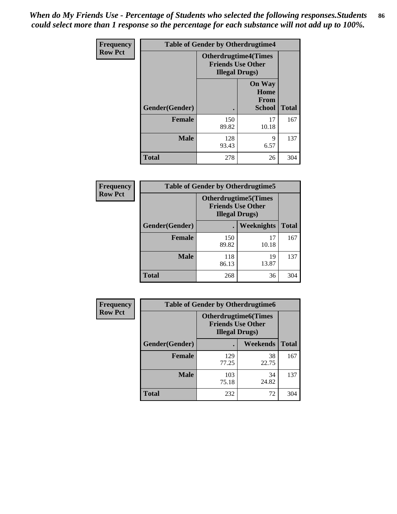*When do My Friends Use - Percentage of Students who selected the following responses.Students could select more than 1 response so the percentage for each substance will not add up to 100%.* **86**

| <b>Frequency</b> | <b>Table of Gender by Otherdrugtime4</b> |                                                                                   |                                                       |              |
|------------------|------------------------------------------|-----------------------------------------------------------------------------------|-------------------------------------------------------|--------------|
| <b>Row Pct</b>   |                                          | <b>Otherdrugtime4(Times</b><br><b>Friends Use Other</b><br><b>Illegal Drugs</b> ) |                                                       |              |
|                  | Gender(Gender)                           |                                                                                   | <b>On Way</b><br>Home<br><b>From</b><br><b>School</b> | <b>Total</b> |
|                  | Female                                   | 150<br>89.82                                                                      | 17<br>10.18                                           | 167          |
|                  | <b>Male</b>                              | 128<br>93.43                                                                      | 9<br>6.57                                             | 137          |
|                  | <b>Total</b>                             | 278                                                                               | 26                                                    | 304          |

| Frequency      | <b>Table of Gender by Otherdrugtime5</b> |                                                                                    |             |              |
|----------------|------------------------------------------|------------------------------------------------------------------------------------|-------------|--------------|
| <b>Row Pct</b> |                                          | <b>Otherdrugtime5</b> (Times<br><b>Friends Use Other</b><br><b>Illegal Drugs</b> ) |             |              |
|                | Gender(Gender)                           |                                                                                    | Weeknights  | <b>Total</b> |
|                | Female                                   | 150<br>89.82                                                                       | 17<br>10.18 | 167          |
|                | <b>Male</b>                              | 118<br>86.13                                                                       | 19<br>13.87 | 137          |
|                | <b>Total</b>                             | 268                                                                                | 36          | 304          |

| <b>Frequency</b> | <b>Table of Gender by Otherdrugtime6</b> |                                                                                   |             |              |
|------------------|------------------------------------------|-----------------------------------------------------------------------------------|-------------|--------------|
| <b>Row Pct</b>   |                                          | <b>Otherdrugtime6(Times</b><br><b>Friends Use Other</b><br><b>Illegal Drugs</b> ) |             |              |
|                  | Gender(Gender)                           |                                                                                   | Weekends    | <b>Total</b> |
|                  | <b>Female</b>                            | 129<br>77.25                                                                      | 38<br>22.75 | 167          |
|                  | <b>Male</b>                              | 103<br>75.18                                                                      | 34<br>24.82 | 137          |
|                  | <b>Total</b>                             | 232                                                                               | 72          | 304          |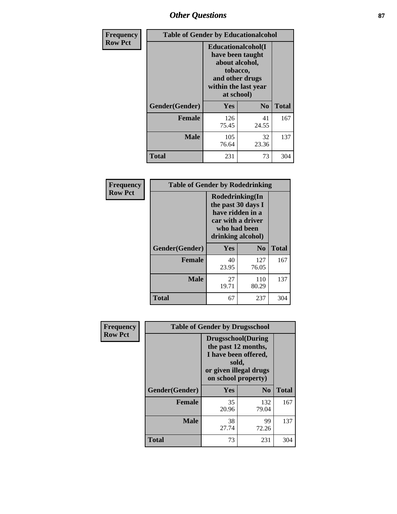## *Other Questions* **87**

| <b>Frequency</b> | <b>Table of Gender by Educationalcohol</b> |                                                                                                                                       |                |              |
|------------------|--------------------------------------------|---------------------------------------------------------------------------------------------------------------------------------------|----------------|--------------|
| <b>Row Pct</b>   |                                            | <b>Educationalcohol</b> (I<br>have been taught<br>about alcohol,<br>tobacco,<br>and other drugs<br>within the last year<br>at school) |                |              |
|                  | Gender(Gender)                             | <b>Yes</b>                                                                                                                            | N <sub>0</sub> | <b>Total</b> |
|                  | <b>Female</b>                              | 126<br>75.45                                                                                                                          | 41<br>24.55    | 167          |
|                  | <b>Male</b>                                | 105<br>76.64                                                                                                                          | 32<br>23.36    | 137          |
|                  | <b>Total</b>                               | 231                                                                                                                                   | 73             | 304          |

| Frequency      | <b>Table of Gender by Rodedrinking</b> |                                                                                                                     |              |              |  |
|----------------|----------------------------------------|---------------------------------------------------------------------------------------------------------------------|--------------|--------------|--|
| <b>Row Pct</b> |                                        | Rodedrinking(In<br>the past 30 days I<br>have ridden in a<br>car with a driver<br>who had been<br>drinking alcohol) |              |              |  |
|                | Gender(Gender)                         | Yes                                                                                                                 | $\bf N_0$    | <b>Total</b> |  |
|                | <b>Female</b>                          | 40<br>23.95                                                                                                         | 127<br>76.05 | 167          |  |
|                | <b>Male</b>                            | 27<br>19.71                                                                                                         | 110<br>80.29 | 137          |  |
|                | <b>Total</b>                           | 67                                                                                                                  | 237          | 304          |  |

| Frequency      | <b>Table of Gender by Drugsschool</b> |                                                                                                                                     |                |              |  |
|----------------|---------------------------------------|-------------------------------------------------------------------------------------------------------------------------------------|----------------|--------------|--|
| <b>Row Pct</b> |                                       | <b>Drugsschool</b> (During<br>the past 12 months,<br>I have been offered,<br>sold,<br>or given illegal drugs<br>on school property) |                |              |  |
|                | Gender(Gender)                        | Yes                                                                                                                                 | N <sub>0</sub> | <b>Total</b> |  |
|                | <b>Female</b>                         | 35<br>20.96                                                                                                                         | 132<br>79.04   | 167          |  |
|                | <b>Male</b>                           | 38<br>27.74                                                                                                                         | 99<br>72.26    | 137          |  |
|                | <b>Total</b>                          | 73                                                                                                                                  | 231            | 304          |  |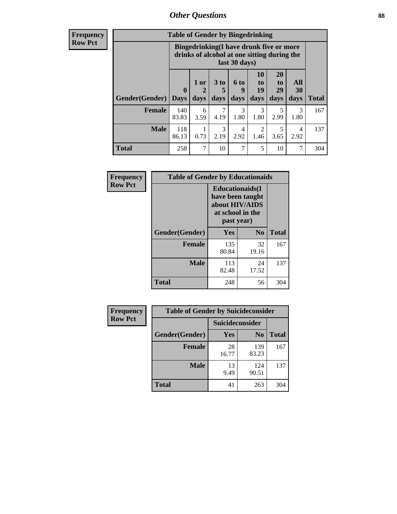### *Other Questions* **88**

**Frequency Row Pct**

| <b>Table of Gender by Bingedrinking</b> |                         |                                                                                                         |                   |                   |                        |                               |                   |              |
|-----------------------------------------|-------------------------|---------------------------------------------------------------------------------------------------------|-------------------|-------------------|------------------------|-------------------------------|-------------------|--------------|
|                                         |                         | Bingedrinking(I have drunk five or more<br>drinks of alcohol at one sitting during the<br>last 30 days) |                   |                   |                        |                               |                   |              |
| <b>Gender</b> (Gender)                  | $\bf{0}$<br><b>Days</b> | 1 or<br>days                                                                                            | 3 to<br>5<br>days | 6 to<br>9<br>days | 10<br>to<br>19<br>days | <b>20</b><br>to<br>29<br>days | All<br>30<br>days | <b>Total</b> |
| <b>Female</b>                           | 140<br>83.83            | 6<br>3.59                                                                                               | 7<br>4.19         | 3<br>1.80         | 3<br>1.80              | 5<br>2.99                     | 3<br>1.80         | 167          |
| <b>Male</b>                             | 118<br>86.13            | 0.73                                                                                                    | 3<br>2.19         | 4<br>2.92         | 2<br>1.46              | 5<br>3.65                     | 4<br>2.92         | 137          |
| <b>Total</b>                            | 258                     | 7                                                                                                       | 10                | 7                 | 5                      | 10                            | 7                 | 304          |

| Frequency      | <b>Table of Gender by Educationaids</b> |                                                                                                 |             |              |  |
|----------------|-----------------------------------------|-------------------------------------------------------------------------------------------------|-------------|--------------|--|
| <b>Row Pct</b> |                                         | <b>Educationaids</b> (I<br>have been taught<br>about HIV/AIDS<br>at school in the<br>past year) |             |              |  |
|                | Gender(Gender)                          | Yes                                                                                             | $\bf N_0$   | <b>Total</b> |  |
|                | <b>Female</b>                           | 135<br>80.84                                                                                    | 32<br>19.16 | 167          |  |
|                | <b>Male</b>                             | 113<br>82.48                                                                                    | 24<br>17.52 | 137          |  |
|                | <b>Total</b>                            | 248                                                                                             | 56          | 304          |  |

| <b>Frequency</b> | <b>Table of Gender by Suicideconsider</b> |                 |                |              |  |
|------------------|-------------------------------------------|-----------------|----------------|--------------|--|
| <b>Row Pct</b>   |                                           | Suicideconsider |                |              |  |
|                  | Gender(Gender)                            | Yes             | N <sub>0</sub> | <b>Total</b> |  |
|                  | <b>Female</b>                             | 28<br>16.77     | 139<br>83.23   | 167          |  |
|                  | <b>Male</b>                               | 13<br>9.49      | 124<br>90.51   | 137          |  |
|                  | Total                                     | 41              | 263            | 304          |  |